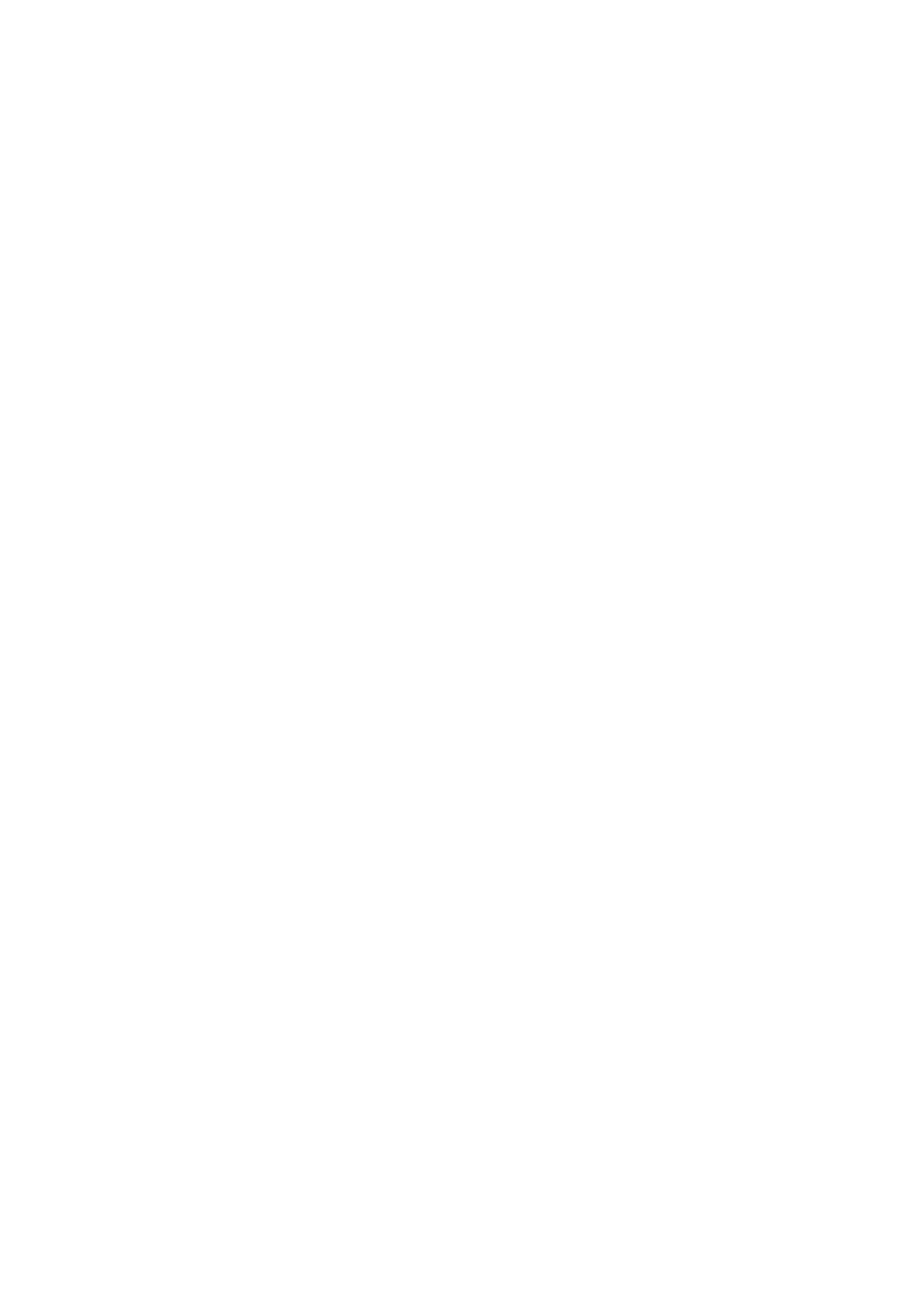# **UNIT 1 : "CASTES IN INDIA": DR BABASAHEB AMBEDKAR**

#### **Structure**

- 1.0 Objective
- 1.1 Introduction
- 1.2 B.R. Ambedkar
	- 1.2.1 Early life
	- 1.2.2 Education
	- 1.2.3 Opposition to Aryan invasion theory
	- 1.2.4 Opposition to untouchability
	- 1.2.5 Political career
	- 1.2.6 In Popular culture
- 1.3 Let us Sum up
- 1.4 Check Your Progress

## **1.0 OBJECTIVE**

In this unit we seeks to familiarize the students with issues of inequality, and oppression of caste and race . Points as follows:

- To analyse and interpret Ambedkar's ideological reflection on social and political aspects and on their reformation, in the light of the characteristics of the social and political order that prevailed in India during his life time and before.
- To assess the contribution made by Ambedkar as a social reformist, in terms of the development of the down trodden classes in India and with special reference to the Ambedkar Movement.
- To assess the services rendered by Ambedkar in his various official capacities, for the propagation and establishment of his messages.

# **1.1 INTRODUCTION**

Education is not only a source of power but it is also an instrument of social change. It has always been functioning as an agent of social control in the interest of the ruling class. The native elites in India used education as an apparatus to subject the downtrodden people to slavery by constituting them in the lowest strata of the caste hierarchy. The colonial forces too used it to establish their imperial reign. In the ancient times, education was the prerogative of the priestly class. They controlled the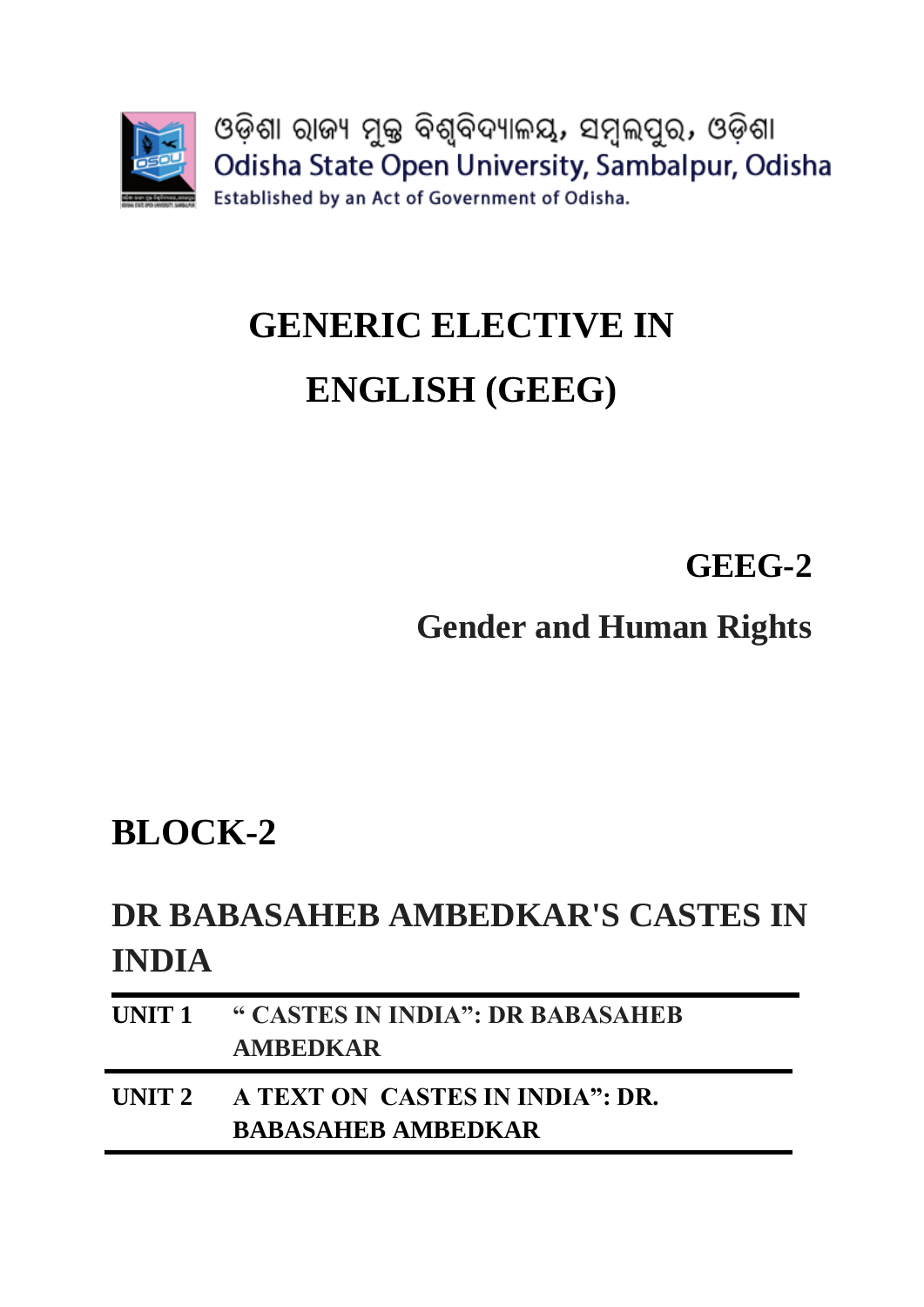social relations primarily through the construction of knowledge which was confined to the three higher varnas, the Brahmins, the Kshatiyas and the Vaishyas. The shudras, the untouchables and the women were completely denied access to the sacredness of knowledge which was equated to the learning of the vedas. Even during the medieval period and the begining of the modem age, the social relations and production of knowledge remained under the control of Brahmanic discourses. The exclusive possession of knowledge, power by the upper castes remained undisturbed even during the colonial rule, resulting in the subjugation of the Dalits and throwing them to the abyss of moral degradation.

# **1.2 B. R. AMBEDKAR**



**Bhimrao Ramji Ambedkar** (14 April 1891 – 6 December 1956), also known as **Babasaheb Ambedkar**, was an Indian [jurist,](https://en.wikipedia.org/wiki/Jurist) [economist,](https://en.wikipedia.org/wiki/Economist) [politician](https://en.wikipedia.org/wiki/Politician) and [social](https://en.wikipedia.org/wiki/Social_Reformer)  [reformer](https://en.wikipedia.org/wiki/Social_Reformer) who inspired the [Dalit Buddhist movement](https://en.wikipedia.org/wiki/Dalit_Buddhist_movement) and campaigned against social [discrimination](https://en.wikipedia.org/wiki/Discrimination) towards the [untouchables](https://en.wikipedia.org/wiki/Untouchability) (*[Dalits](https://en.wikipedia.org/wiki/Dalit)*). He was independent India's first [law and justice minister,](https://en.wikipedia.org/wiki/Ministry_of_Law_and_Justice_(India)) the major architect of the [Constitution of India.](https://en.wikipedia.org/wiki/Constitution_of_India)

Ambedkar was a prolific student, earning [doctorates](https://en.wikipedia.org/wiki/Doctorate) in economics from both [Columbia University](https://en.wikipedia.org/wiki/Columbia_University) and the [London School of Economics,](https://en.wikipedia.org/wiki/London_School_of_Economics) and gained a reputation as a scholar for his research in law, economics and political science.In his early career he was an economist, professor, and lawyer. His later life was marked by his political activities; he became involved in campaigning and negotiations for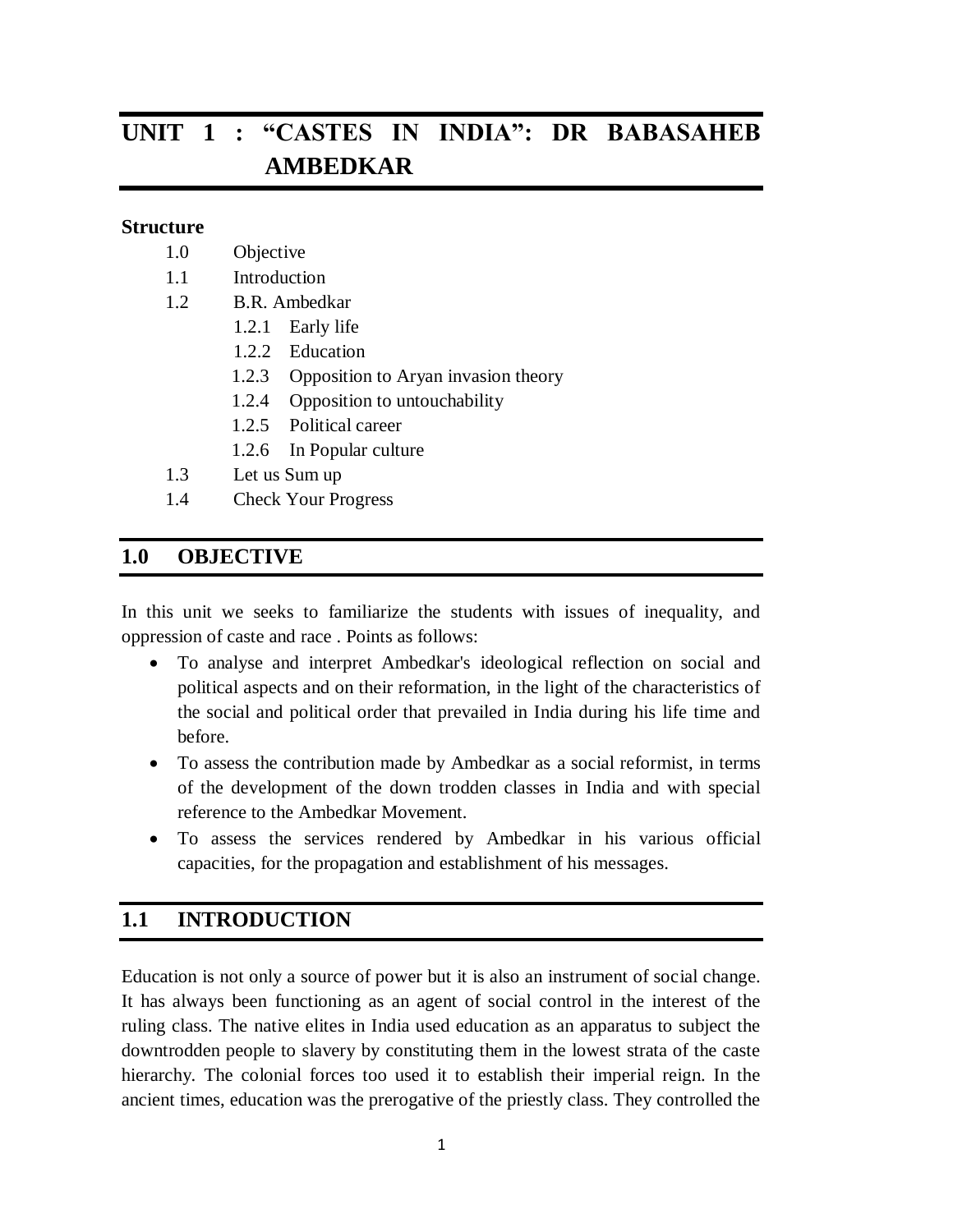India's independence, publishing journals, advocating political rights and social freedom for Dalits, and contributing significantly to the establishment of the state of India. In 1956 he converted to [Buddhism,](https://en.wikipedia.org/wiki/Buddhism) initiating mass conversions of Dalits.

In 1990, the [Bharat Ratna,](https://en.wikipedia.org/wiki/Bharat_Ratna) India's highest civilian award, was posthumously conferred upon Ambedkar. Ambedkar's legacy includes numerous memorials and depictions in popular culture.

П.

# **1.2.1 EARLY LIFE**

Ambedkar was born on 14 April 1891 in the town and military cantonment of [Mhow](https://en.wikipedia.org/wiki/Mhow) in the [Central Provinces](https://en.wikipedia.org/wiki/Central_Provinces) (now in [Madhya Pradesh\)](https://en.wikipedia.org/wiki/Madhya_Pradesh). He was the 14th and last child of [Ramji Maloji Sakpal,](https://en.wikipedia.org/w/index.php?title=Ramji_Maloji_Sakpal&action=edit&redlink=1) an army officer who held the rank of [Subedar,](https://en.wikipedia.org/wiki/Subedar) and Bhimabai Sakpal, daughter of Laxman Murbadkar. His [family](https://en.wikipedia.org/wiki/Ambedkar_family) was of [Marathi](https://en.wikipedia.org/wiki/Marathi_people) background from the town of [Ambadawe](https://en.wikipedia.org/wiki/Ambadawe) [\(Mandangad taluka\)](https://en.wikipedia.org/wiki/Mandangad) in [Ratnagiri district](https://en.wikipedia.org/wiki/Ratnagiri_(district)) of modern-day [Maharashtra.](https://en.wikipedia.org/wiki/Maharashtra) Ambedkar was born into a poor low [Mahar](https://en.wikipedia.org/wiki/Mahar) (dalit) caste, who were treated as [untouchables](https://en.wikipedia.org/wiki/Untouchability) and subjected to socioeconomic discrimination. Ambedkar's ancestors had long worked for the army of the [British East India Company,](https://en.wikipedia.org/wiki/British_East_India_Company) and his father served in the [British Indian Army](https://en.wikipedia.org/wiki/British_Indian_Army) at the Mhow cantonment. Although they attended school, Ambedkar and other untouchable children were segregated and given little attention or help by teachers. They were not allowed to sit inside the class. When they needed to drink water, someone from a higher caste had to pour that water from a height as they were not allowed to touch either the water or the vessel that contained it. This task was usually performed for the young Ambedkar by the school [peon,](https://en.wikipedia.org/wiki/Peon) and if the peon was not available then he had to go without water; he described the situation later in his writings as *"No peon, No Water"*. He was required to sit on a [gunny sack](https://en.wikipedia.org/wiki/Gunny_sack) which he had to take home with him.

Ramji Sakpal retired in 1894 and the family moved to [Satara](https://en.wikipedia.org/wiki/Satara_district) two years later. Shortly after their move, Ambedkar's mother died. The children were cared for by their paternal aunt and lived in difficult circumstances. Three sons – Balaram, Anandrao and Bhimrao – and two daughters – Manjula and Tulasa – of the Ambedkars survived them. Of his brothers and sisters, only Ambedkar passed his examinations and went to high school. His original surname was *Sakpal* but his father registered his name as *Ambadawekar* in school, meaning he comes from his native village ['Ambadawe'](https://en.wikipedia.org/wiki/Ambadawe) in Ratnagiri district. His Devrukhe Brahmin teacher, Krishna Keshav Ambedkar, changed his surname from 'Ambadawekar' to his own surname 'Ambedkar' in school records.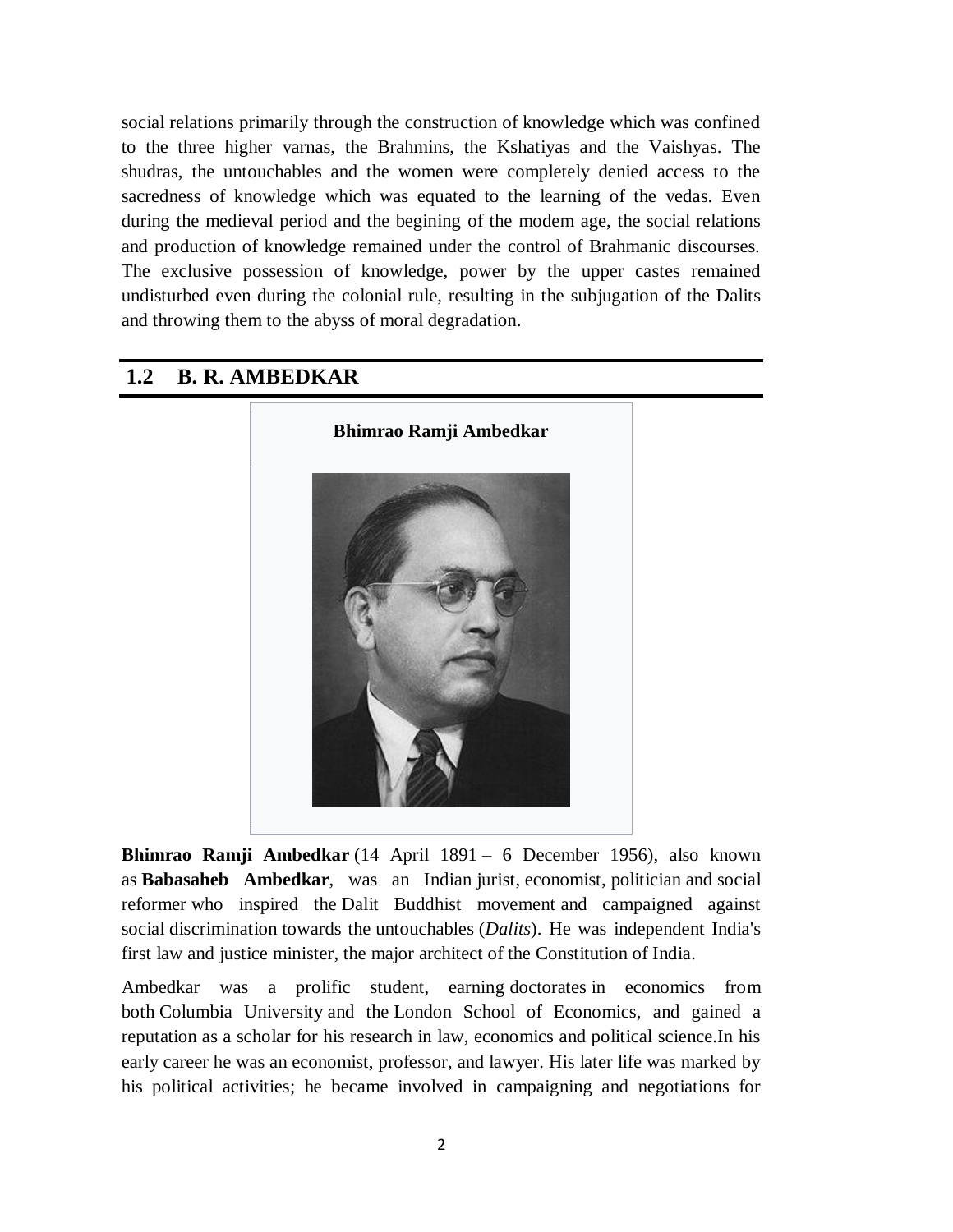## **1.2.2 EDUCATION**

## **Post-secondary education**

In 1897, Ambedkar's family moved to Mumbai where Ambedkar became the only untouchable enrolled at [Elphinstone High School.](https://en.wikipedia.org/wiki/Elphinstone_High_School) In 1906, when he was about 15 years old, his marriage to a nine-year-old girl, Ramabai, was [arranged.](https://en.wikipedia.org/wiki/Arranged_marriage_in_the_Indian_subcontinent)

**Undergraduate studies at the University of Bombay**



**Ambedkar as a student**

In 1907, he passed his matriculation examination and in the following year he entered [Elphinstone College,](https://en.wikipedia.org/wiki/Elphinstone_College) which was affiliated to the [University of Bombay,](https://en.wikipedia.org/wiki/University_of_Bombay) becoming, according to him, the first from his Mahar caste to do so. When he passed his English fourth standard examinations, the people of his community wanted to celebrate because they considered that he had reached "great heights" which he says was "hardly an occasion compared to the state of education in other communities". A public ceremony was evoked, to celebrate his success, by the community, and it was at this occasion that he was presented with a biography of the [Buddha](https://en.wikipedia.org/wiki/Gautama_Buddha) by Dada Keluskar, the author and a family friend. *Pritchett, Frances. ["In the 1890s"](http://www.columbia.edu/itc/mealac/pritchett/00ambedkar/timeline/1890s.html) (PHP).*

By 1912, he obtained his degree in economics and political science from Bombay University, and prepared to take up employment with the Baroda state government. His wife had just moved his young family and started work when he had to quickly return to Mumbai to see his ailing father, who died on 2 February 1913.

# **Postgraduate studies at Columbia University**

In 1913, Ambedkar moved to the United States at the age of 22. He had been awarded a Baroda State Scholarship of £11.50 (Sterling) per month for three years under a scheme established by [Sayajirao Gaekwad III](https://en.wikipedia.org/wiki/Sayajirao_Gaekwad_III) [\(Gaekwad](https://en.wikipedia.org/wiki/Gaekwad) of [Baroda\)](https://en.wikipedia.org/wiki/Princely_State_of_Baroda) that was designed to provide opportunities for postgraduate education at [Columbia](https://en.wikipedia.org/wiki/Columbia_University)  [University](https://en.wikipedia.org/wiki/Columbia_University) in [New York City.](https://en.wikipedia.org/wiki/New_York_City) Soon after arriving there he settled in rooms at [Livingston Hall](https://en.wikipedia.org/wiki/Wallach_Hall) with Naval Bhathena, a [Parsi](https://en.wikipedia.org/wiki/Parsi) who was to be a lifelong friend. He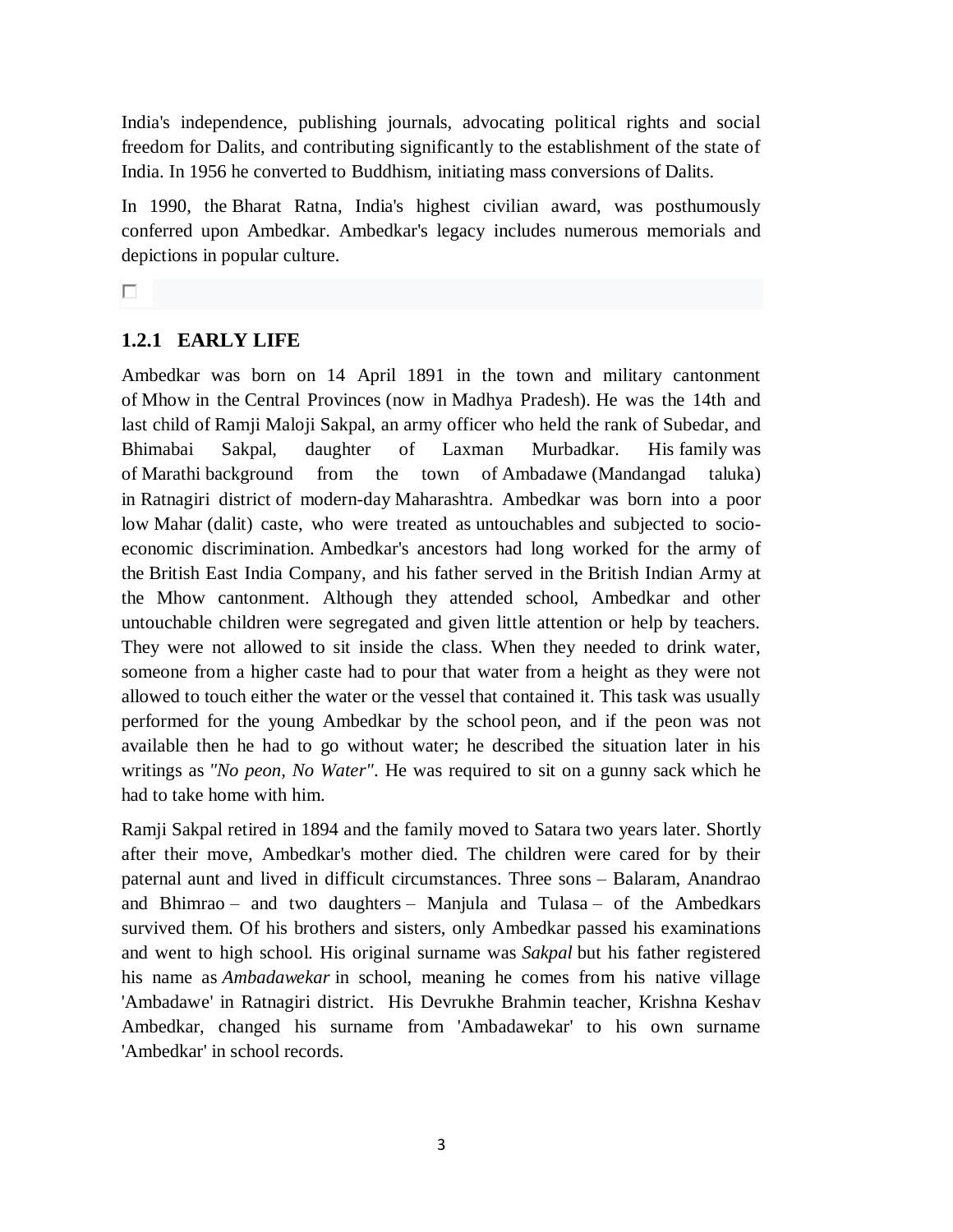passed his M.A. exam in June 1915, majoring in Economics, and other subjects of Sociology, History, Philosophy and Anthropology. He presented a thesis, *Ancient Indian Commerce*. Ambedkar was influenced by [John Dewey](https://en.wikipedia.org/wiki/John_Dewey) and his work on democracy.

In 1916 he completed his second thesis, *National Dividend of India - A Historic and Analytical Study*, for another M.A., and finally he received his PhD in Economics in 1927, for his third thesis, after he left for London. On 9 May, he presented the paper *[Castes in India: Their Mechanism, Genesis and Development](https://en.wikipedia.org/wiki/Castes_in_India:_Their_Mechanism,_Genesis_and_Development)* before a seminar conducted by the anthropologist [Alexander Goldenweiser.](https://en.wikipedia.org/wiki/Alexander_Goldenweiser_(anthropologist))

## **Postgraduate studies at the London School of Economics**

Ambedkar (In center line, first from right) with his professors and friends from the London School of Economics (1916-17)

In October 1916, he enrolled for the [Bar course](https://en.wikipedia.org/wiki/Bar_examination) at [Gray's Inn,](https://en.wikipedia.org/wiki/Gray%27s_Inn) and at the same time enrolled at the London School of Economics where he started working on a doctoral thesis. In June 1917, he returned to India because his scholarship from Baroda ended. His book collection was dispatched on different ship from the one he was on, and that ship was torpedoed and sunk by a German submarine He got permission to return to London to submit his thesis within four years. He returned at the first opportunity, and completed a master's degree in 1921. His thesis was on "The problem of the rupee: Its origin and its solution".In 1923, he completed a D.Sc. in Economics, and the same year he was called to the Bar by Gray's Inn. His third and fourth Doctorates (LL.D, Columbia, 1952 and D.Litt., Osmania, 1953) were conferred *honoris causa*.

#### **1.2.3 OPPOSITION TO ARYAN INVASION THEORY**

Ambedkar viewed the [Shudras](https://en.wikipedia.org/wiki/Shudras) as Aryan and adamantly rejected the [Aryan invasion](https://en.wikipedia.org/wiki/Indo-Aryan_migration_theory)  [theory,](https://en.wikipedia.org/wiki/Indo-Aryan_migration_theory) describing it as "so absurd that it ought to have been dead long ago" in his 1946 book *[Who Were the Shudras?](https://en.wikipedia.org/wiki/Who_Were_the_Shudras%3F)*.

Ambedkar viewed Shudras as originally being "part of the Kshatriya Varna in the Indo-Aryan society", but became socially degraded after they inflicted many tyrannies on [Brahmins.](https://en.wikipedia.org/wiki/Brahmins)

According to Arvind Sharma, Ambedkar noticed certain flaws in the Aryan invasion theory that were later acknowledged by western scholarship. For example, scholars now acknowledge *anās* in [Rig Veda](https://en.wikipedia.org/wiki/Rig_Veda) 5.29.10 refers to speech rather than the shape of the [nose.](https://en.wikipedia.org/wiki/Human_nose) Ambedkar anticipated this modern view by stating:

The term *Anasa* occurs in Rig Veda V.29.10. What does the word mean? There are two interpretations. One is by Prof. Max Muller. The other is by Sayanacharya.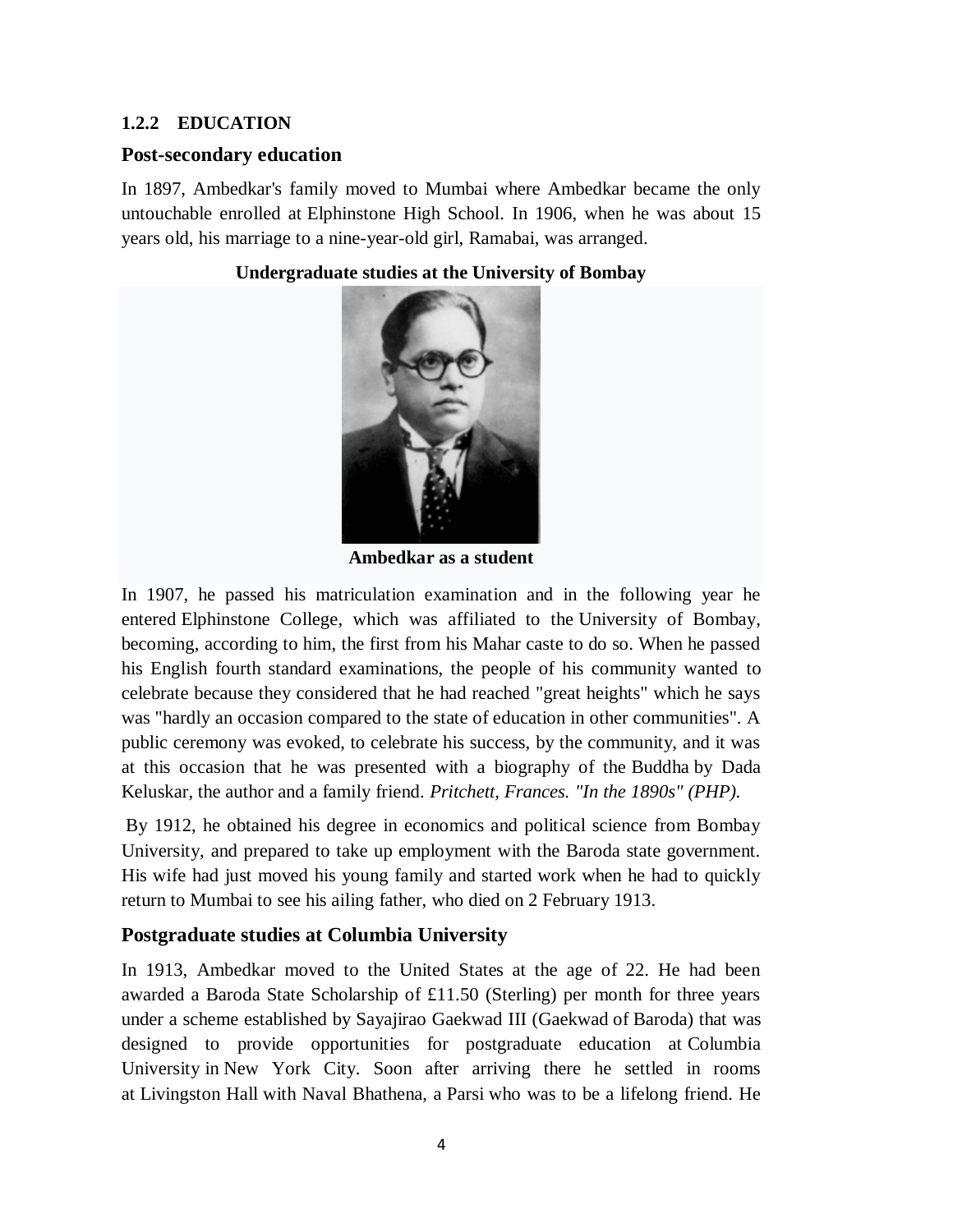According to Prof. Max Muller, it means 'one without nose' or 'one with a flat nose' and has as such been relied upon as a piece of evidence in support of the view that the Aryans were a separate race from the Dasyus. Sayanacharya says that it means 'mouthless,' i.e., devoid of good speech. This difference of meaning is due to difference in the correct reading of the word *Anasa*. Sayanacharya reads it as *anasa* while Prof. Max Muller reads it as *a-nasa*. As read by Prof. Max Muller, it means 'without nose.' Question is : which of the two readings is the correct one? There is no reason to hold that Sayana's reading is wrong. On the other hand there is everything to suggest that it is right. In the first place, it does not make non-sense of the word. Secondly, as there is no other place where the Dasyus are described as noseless, there is no reason why the word should be read in such a manner as to give it an altogether new sense. It is only fair to read it as a synonym of *Mridhravak*. There is therefore no evidence in support of the conclusion that the Dasyus belonged to a different race.

Ambedkar disputed various hypotheses of the Aryan homeland being [outside India,](https://en.wikipedia.org/wiki/Indo-Aryan_migration_theory) and concluded the Aryan homeland was India itself. According to Ambedkar, the Rig Veda says Aryans, Dāsa and Dasyus were competing religious groups, not different people.

# **1.2.4 OPPOSITION TO UNTOUCHABILITY**



**Ambedkar as a barrister in 1922**

As Ambedkar was educated by the Princely State of Baroda, he was bound to serve it. He was appointed Military Secretary to the Gaikwad but had to quit in a short time. He described the incident in his autobiography, *[Waiting for a Visa](https://en.wikipedia.org/wiki/Waiting_for_a_Visa)*. Thereafter, he tried to find ways to make a living for his growing family. He worked as a private tutor, as an accountant, and established an investment consulting business, but it failed when his clients learned that he was an untouchable. In 1918, he became Professor of Political Economy in the [Sydenham College of Commerce and](https://en.wikipedia.org/wiki/Sydenham_College)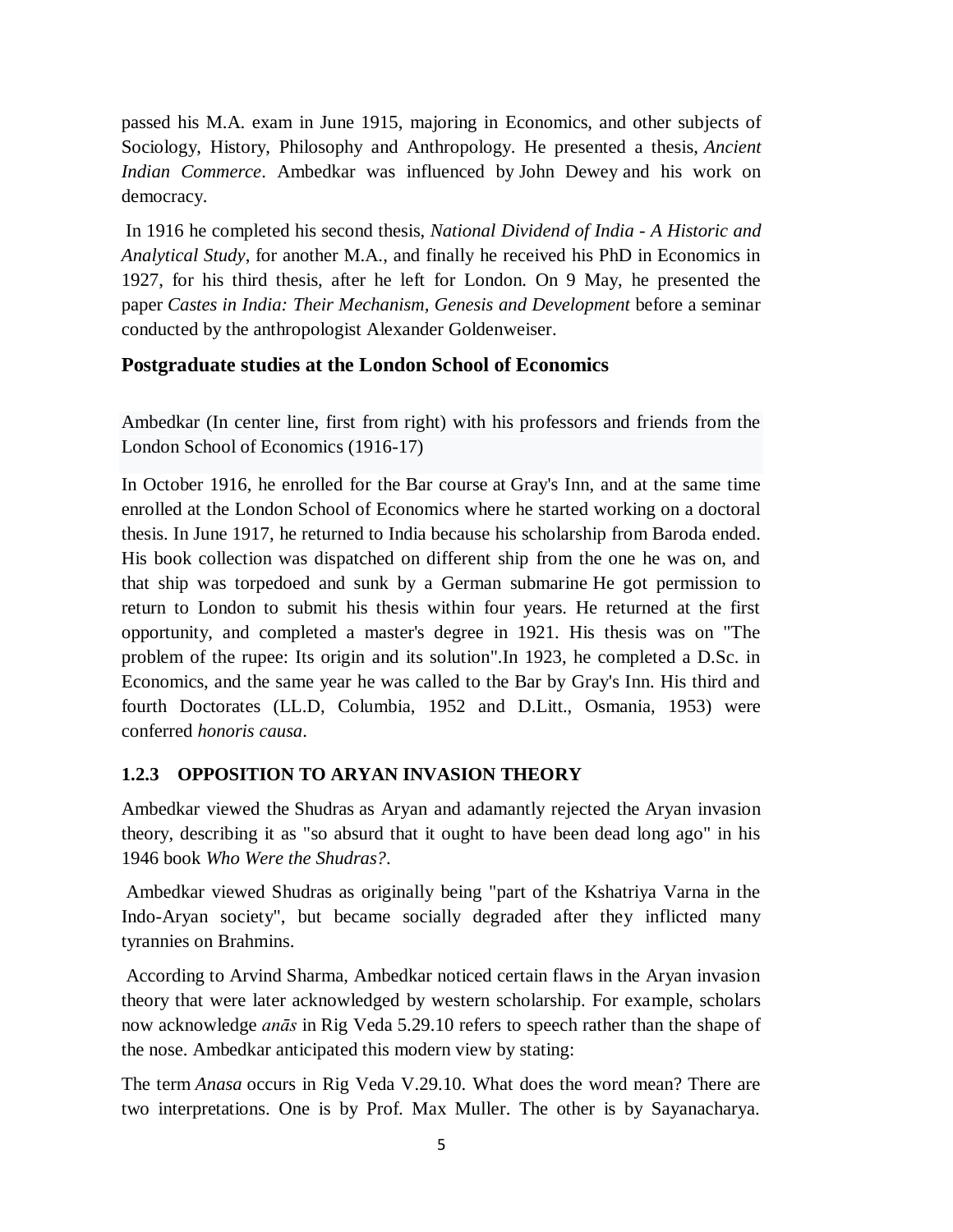Economics in Mumbai. Although he was successful with the students, other professors objected to his sharing a drinking-water jug with them.

Ambedkar had been invited to testify before the [Southborough Committee,](https://en.wikipedia.org/wiki/Southborough_Committee) which was preparing the [Government of India Act 1919.](https://en.wikipedia.org/wiki/Government_of_India_Act_1919) At this hearing, Ambedkar argued for creating separate [electorates](https://en.wikipedia.org/wiki/Electoral_district) and [reservations](https://en.wikipedia.org/wiki/Reservation_in_India) for untouchables and other religious communities.In 1920, he began the publication of the weekly *Mooknayak* (*Leader of the Silent*) in Mumbai with the help of [Shahu of Kolhapur](https://en.wikipedia.org/wiki/Shahu_of_Kolhapur) i.e. Shahu IV (1874– 1922).

Ambedkar went on to work as a legal professional. In 1926, he successfully defended three non-Brahmin leaders who had accused the Brahmin community of ruining India and were then subsequently sued for libel. [Dhananjay Keer](https://en.wikipedia.org/wiki/Dhananjay_Keer) notes that "The victory was resounding, both socially and individually, for the clients and the Doctor Samarth.

While practising law in the Bombay High Court, he tried to promote education to untouchables and uplift them. His first organised attempt was his establishment of the central institution [Bahishkrit Hitakarini Sabha,](https://en.wikipedia.org/wiki/Bahishkrit_Hitakarini_Sabha) intended to promote education and socio-economic improvement, as well as the welfare of ["outcastes"](https://en.wikipedia.org/wiki/Dalit), at the time referred to as depressed classes For the defence of Dalit rights, he started many periodicals like *Mook Nayak*, *Bahishkrit Bharat*, and *Equality Janta*

He was appointed to the Bombay Presidency Committee to work with the all-European [Simon Commission](https://en.wikipedia.org/wiki/Simon_Commission) in 1925.This commission had sparked great protests across India, and while its report was ignored by most Indians, Ambedkar himself wrote a separate set of recommendations for the future Constitution of India.

By 1927, Ambedkar had decided to launch active movements against [untouchability.](https://en.wikipedia.org/wiki/Untouchability) He began with public movements and marches to open up public drinking water resources. He also began a struggle for the right to enter Hindu temples. He led *[a](https://en.wikipedia.org/wiki/Mahad_Satyagraha)  [satyagraha](https://en.wikipedia.org/wiki/Mahad_Satyagraha)* in [Mahad](https://en.wikipedia.org/wiki/Mahad) to fight for the right of the untouchable community to draw water from the main water tank of the town. In a conference in late 1927, Ambedkar publicly condemned the classic Hindu text, the [Manusmriti](https://en.wikipedia.org/wiki/Manusmriti) (Laws of Manu), for ideologically justifying caste discrimination and "untouchability", and he ceremonially burned copies of the ancient text. On 25 December 1927, he led thousands of followers to [burn copies of Manusmrti.](https://en.wikipedia.org/wiki/Manusmriti_Dahan_Din) Thus annually 25 December is celebrated as *[Manusmriti Dahan Din](https://en.wikipedia.org/wiki/Manusmriti_Dahan_Din) (Manusmriti Burning Day)* by [Ambedkarites](https://en.wikipedia.org/wiki/Dalit_Buddhist_movement) and [Dalits.](https://en.wikipedia.org/wiki/Dalit) In 1930, Ambedkar launched Kalaram Temple movement after three months of preparation. About 15,000 volunteers assembled at [Kalaram Temple](https://en.wikipedia.org/wiki/Kalaram_Temple) satygraha making one of the greatest processions of [Nashik.](https://en.wikipedia.org/wiki/Nashik) The procession was headed by a military band, a batch of scouts, women and men walked in discipline, order and determination to see the god for the first time. When they reached to gate, the gates were closed by Brahmin authorities.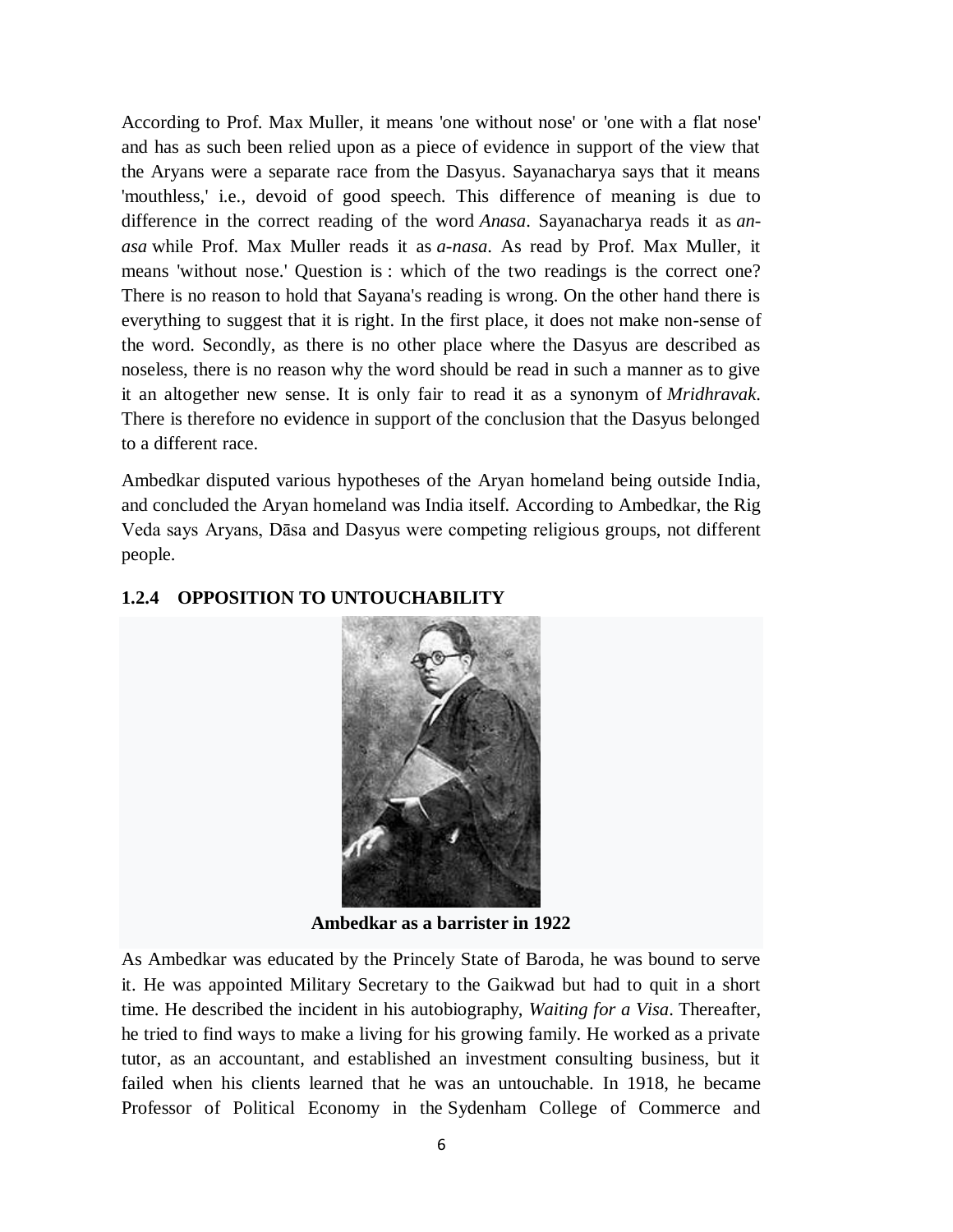#### **Poona Pact**

M.R. Jayakar, Tej Bahadur Sapru and Ambedkar at Yerwada jail, in Poona, on 24 September 1932, the day the Poona Pact was signed.

In 1932, British announced the formation of a separate electorate for "Depressed Classes" in the [Communal Award.](https://en.wikipedia.org/wiki/Communal_Award) [Gandhi](https://en.wikipedia.org/wiki/Gandhi) fiercely opposed a separate electorate for untouchables, saying he feared that such an arrangement would divide the Hindu community. Gandhi protested by fasting while imprisoned in the [Yerwada Central](https://en.wikipedia.org/wiki/Yerwada_Central_Jail)  [Jail](https://en.wikipedia.org/wiki/Yerwada_Central_Jail) of [Poona.](https://en.wikipedia.org/wiki/Poona) Following the fast, Congress politicians and activists such as [Madan](https://en.wikipedia.org/wiki/Madan_Mohan_Malaviya)  [Mohan Malaviya](https://en.wikipedia.org/wiki/Madan_Mohan_Malaviya) and [Palwankar Baloo](https://en.wikipedia.org/wiki/Palwankar_Baloo) organised joint meetings with Ambedkar and his supporters at Yerwada. On 25 September 1932, the agreement known as [Poona](https://en.wikipedia.org/wiki/Poona_Pact)  [Pact](https://en.wikipedia.org/wiki/Poona_Pact) was signed between Ambedkar (on behalf of the depressed classes among Hindus) and [Madan Mohan Malaviya](https://en.wikipedia.org/wiki/Madan_Mohan_Malaviya) (on behalf of the other Hindus). The agreement gave reserved seats for the depressed classes in the Provisional legislatures, within the general electorate. Due to the pact, the depressed class received 148 seats in the legislature, instead of the 71 as allocated in the [Communal Award](https://en.wikipedia.org/wiki/Communal_Award) earlier proposed by British Prime Minister [Ramsay MacDonald.](https://en.wikipedia.org/wiki/Ramsay_MacDonald) The text uses the term "Depressed Classes" to denote Untouchables among Hindus who were later called Scheduled Castes and Scheduled Tribes under India Act 1935, and the later Indian Constitution of 1950. In the Poona Pact, a unified electorate was in principle formed, but primary and secondary elections allowed Untouchables in practice to choose their own candidates.

#### **1.2.5 POLITICAL CAREER**

Ambedkar with his family members at Rajgraha in February 1934. From left – Yashwant (son), Ambedkar, Ramabai (wife), Laxmibai (wife of his elder brother, Balaram), Mukund (nephew) and Ambedkar's favourite dog, Tobby

In 1935, Ambedkar was appointed principal of the [Government Law College,](https://en.wikipedia.org/wiki/Government_Law_College,_Bombay)  [Bombay,](https://en.wikipedia.org/wiki/Government_Law_College,_Bombay) a position he held for two years. He also served as the chairman of Governing body of [Ramjas College,](https://en.wikipedia.org/wiki/Ramjas_College) University of Delhi, after the death of its Founder Shri Rai Kedarnath. Settling in Bombay (today called Mumbai), Ambedkar oversaw the construction of a house, and stocked his personal library with more than 50,000 books. His wife Ramabai died after a long illness the same year. It had been her long-standing wish to go on a pilgrimage to [Pandharpur,](https://en.wikipedia.org/wiki/Pandharpur) but Ambedkar had refused to let her go, telling her that he would create a new Pandharpur for her instead of Hinduism's Pandharpur which treated them as untouchables. At the Yeola Conversion Conference on 13 October in Nasik, Ambedkar announced his intention to convert to a different religion and exhorted his followers to leave [Hinduism.](https://en.wikipedia.org/wiki/Hinduism) He would repeat his message at many public meetings across India.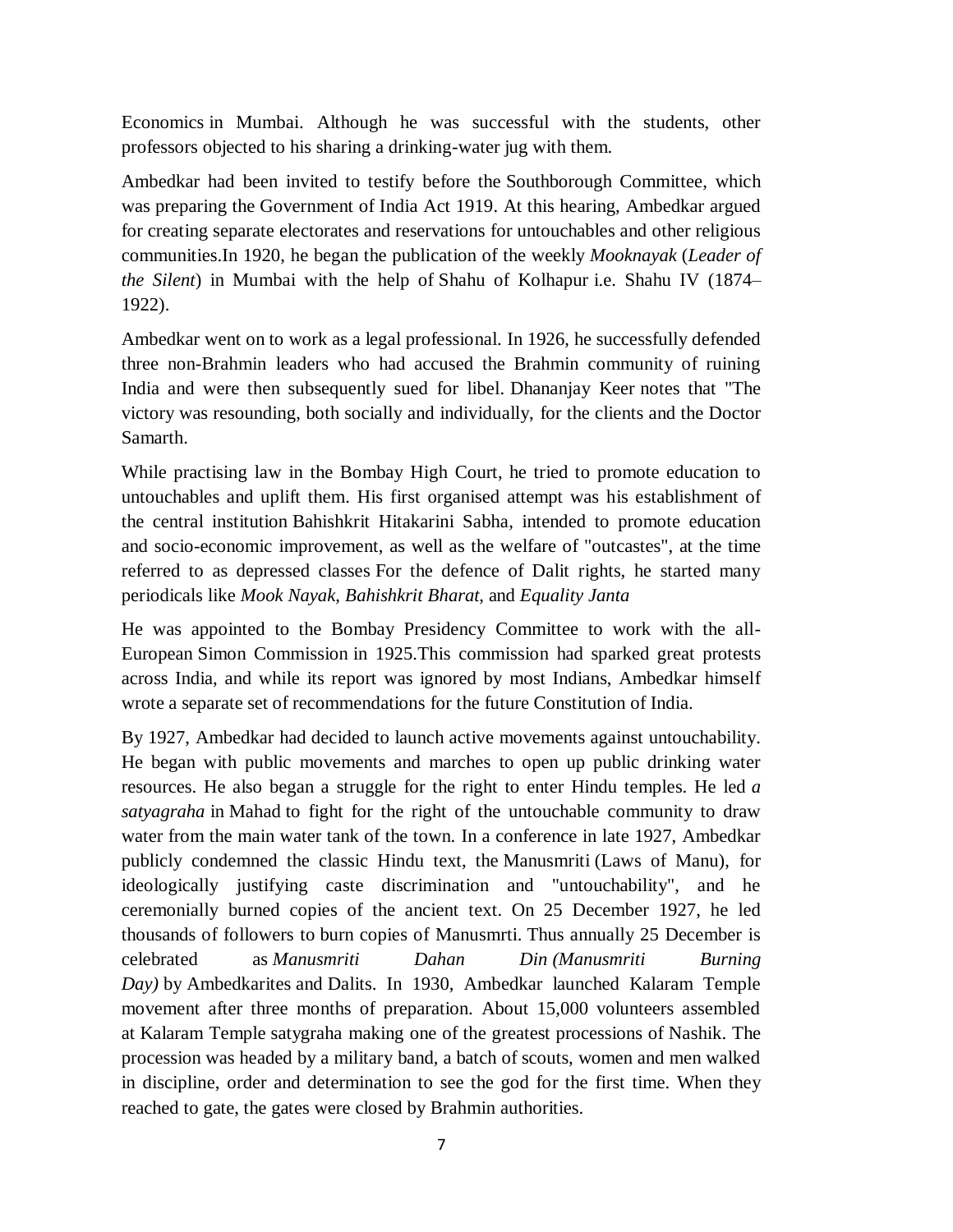In 1936, Ambedkar founded the [Independent Labour Party,](https://en.wikipedia.org/wiki/Independent_Labour_Party_(India)) which contested the 1937 Bombay election to the [Central Legislative Assembly](https://en.wikipedia.org/wiki/Central_Legislative_Assembly) for the 13 reserved and 4 general seats, and secured 11 and 3 seats respectively.

Ambedkar published his book *[Annihilation of Caste](https://en.wikipedia.org/wiki/Annihilation_of_Caste)* on 15 May 1936. It strongly criticised Hindu orthodox religious leaders and the caste system in general, and included "a rebuke of Gandhi" on the subject. Later, in a 1955 BBC interview, he accused Gandhi of writing in opposition of the caste system in English language papers while writing in support of it in Gujarati language papers.

Ambedkar served on the Defence Advisory Committee and the Viceroy's Executive Council as minister for labour. After the [Lahore resolution](https://en.wikipedia.org/wiki/Lahore_resolution) (1940) of the Muslim League demanding Pakistan, Ambedkar wrote a 400 page tract titled *Thoughts on Pakistan*, which analysed the concept of "Pakistan" in all its aspects. Ambedkar argued that the Hindus should concede Pakistan to the Muslims. He proposed that the provincial boundaries of Punjab and Bengal should be redrawn to separate the Muslim and non-Muslim majority parts. He thought the Muslims could have no objection to redrawing provincial boundaries. If they did, they did not quite "understand the nature of their own demand". Scholar Venkat Dhulipala states that *Thoughts on Pakistan* "rocked Indian politics for a decade". It determined the course of dialogue between the Muslim League and the Indian Naitonal Congress, paving the way for the [Partition of India.](https://en.wikipedia.org/wiki/Partition_of_India) In his work *[Who Were the Shudras?](https://en.wikipedia.org/wiki/Who_Were_the_Shudras%3F)*, Ambedkar tried to explain the formation of untouchables. He saw Shudras and Ati Shudras who form the lowest caste in the ritual hierarchy of the [caste system,](https://en.wikipedia.org/wiki/Caste_system_in_India) as separate from Untouchables. Ambedkar oversaw the transformation of his political party into the [Scheduled Castes Federation,](https://en.wikipedia.org/wiki/Scheduled_Castes_Federation) although it performed poorly in the 1946 elections for [Constituent Assembly of India.](https://en.wikipedia.org/wiki/Constituent_Assembly_of_India) Later he was elected into the constituent assembly of [Bengal](https://en.wikipedia.org/wiki/Bengal) where [Muslim League](https://en.wikipedia.org/wiki/All-India_Muslim_League) was in power. Ambedkar contested in the Bombay North first Indian General Election of 1952, but lost to his former assistant and Congress Party candidate Narayan Kajrolkar. Ambedkar became a member of Rajya Sabha, probably an appointed member. He tried to enter Lok Sabha again in the by-election of 1954 from Bhandara, but he placed third (the Congress Party won). By the time of the second general election in 1957, Ambedkar had died.

Ambedkar also criticised Islamic practice in South Asia. While justifying the [Partition of India,](https://en.wikipedia.org/wiki/Partition_of_India) he condemned child marriage and the mistreatment of women in Muslim society.

No words can adequately express the great and many evils of polygamy and concubinage, and especially as a source of misery to a Muslim woman. Take the caste system. Everybody infers that Islam must be free from slavery and caste. [...] [While slavery existed], much of its support was derived from Islam and Islamic countries. While the prescriptions by the Prophet regarding the just and humane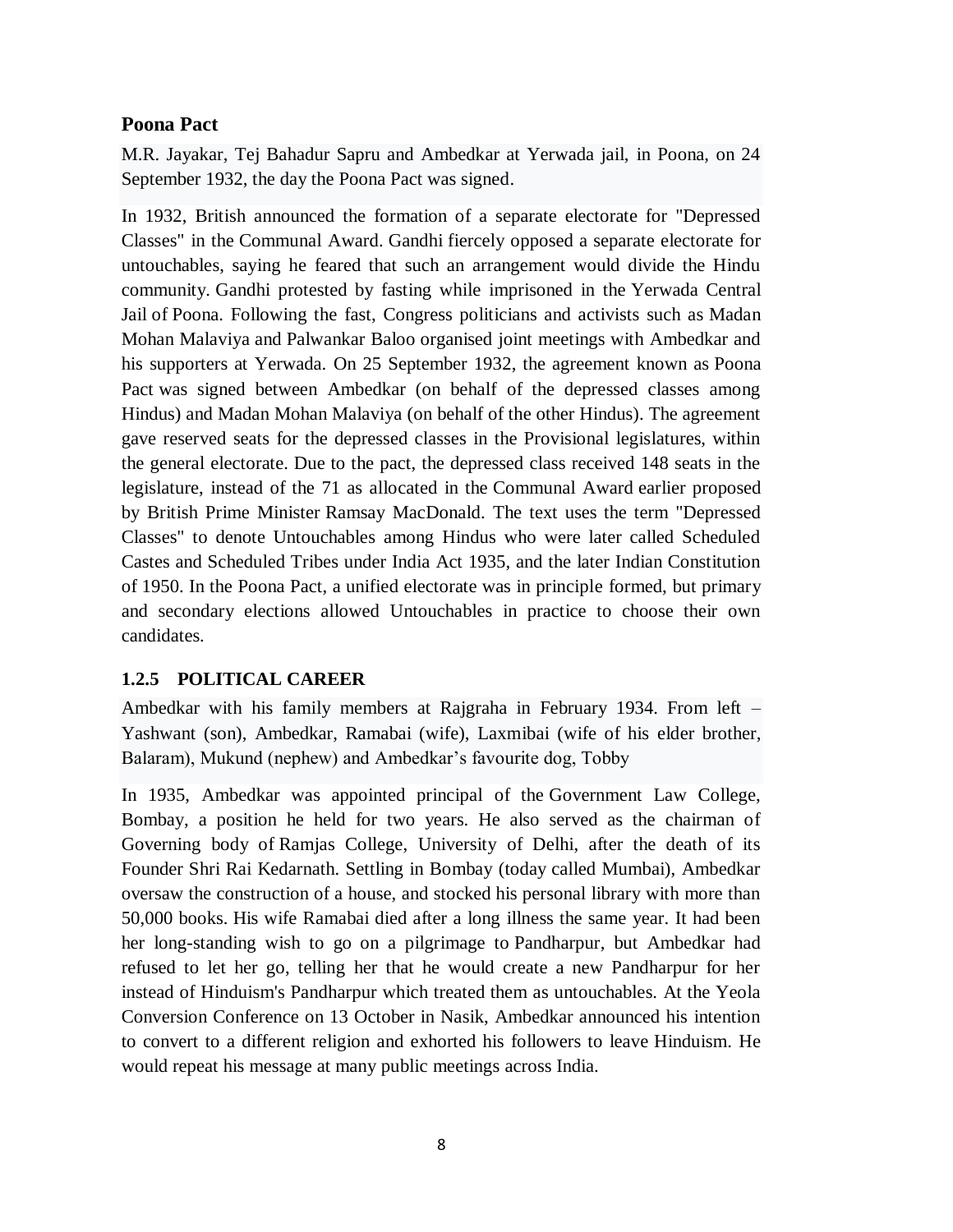treatment of slaves contained in the Koran are praiseworthy, there is nothing whatever in Islam that lends support to the abolition of this curse. But if slavery has gone, caste among Musalmans [Muslims] has remained.



**Drafting India's Constitution**

Ambedkar, chairman of the Drafting Committee, presenting the final draft of the Indian Constitution to Rajendra Prasad on 25 November 1949.

Upon India's independence on 15 August 1947, the new Congress-led government invited Ambedkar to serve as the nation's first Law Minister, which he accepted. On 29 August, he was appointed Chairman of the Constitution Drafting Committee, and was appointed by the Assembly to write India's new Constitution. [Granville](https://en.wikipedia.org/wiki/Granville_Austin)  [Austin](https://en.wikipedia.org/wiki/Granville_Austin) described the [Indian Constitution](https://en.wikipedia.org/wiki/Indian_Constitution) drafted by Ambedkar as 'first and foremost a social document'. 'The majority of India's constitutional provisions are either directly arrived at furthering the aim of social revolution or attempt to foster this revolution by establishing conditions necessary for its achievement.'

The text prepared by Ambedkar provided constitutional guarantees and protections for a wide range of [civil liberties](https://en.wikipedia.org/wiki/Civil_liberties) for individual citizens, including freedom of religion, the abolition of untouchability, and the outlawing of all forms of discrimination. Ambedkar argued for extensive economic and social rights for women, and won the Assembly's support for introducing a system of [reservations](https://en.wikipedia.org/wiki/Reservation_in_India) of jobs in the civil services, schools and colleges for members of [scheduled](https://en.wikipedia.org/wiki/Scheduled_Castes_and_Tribes)  [castes](https://en.wikipedia.org/wiki/Scheduled_Castes_and_Tribes) and [scheduled tribes](https://en.wikipedia.org/wiki/Scheduled_tribe) and [Other Backward Class,](https://en.wikipedia.org/wiki/Other_Backward_Class) a system akin to [affirmative](https://en.wikipedia.org/wiki/Affirmative_action)  [action.](https://en.wikipedia.org/wiki/Affirmative_action) India's lawmakers hoped to eradicate the socio-economic inequalities and lack of opportunities for India's depressed classes through these measures. The Constitution was adopted on 26 November 1949 by the Constituent Assembly.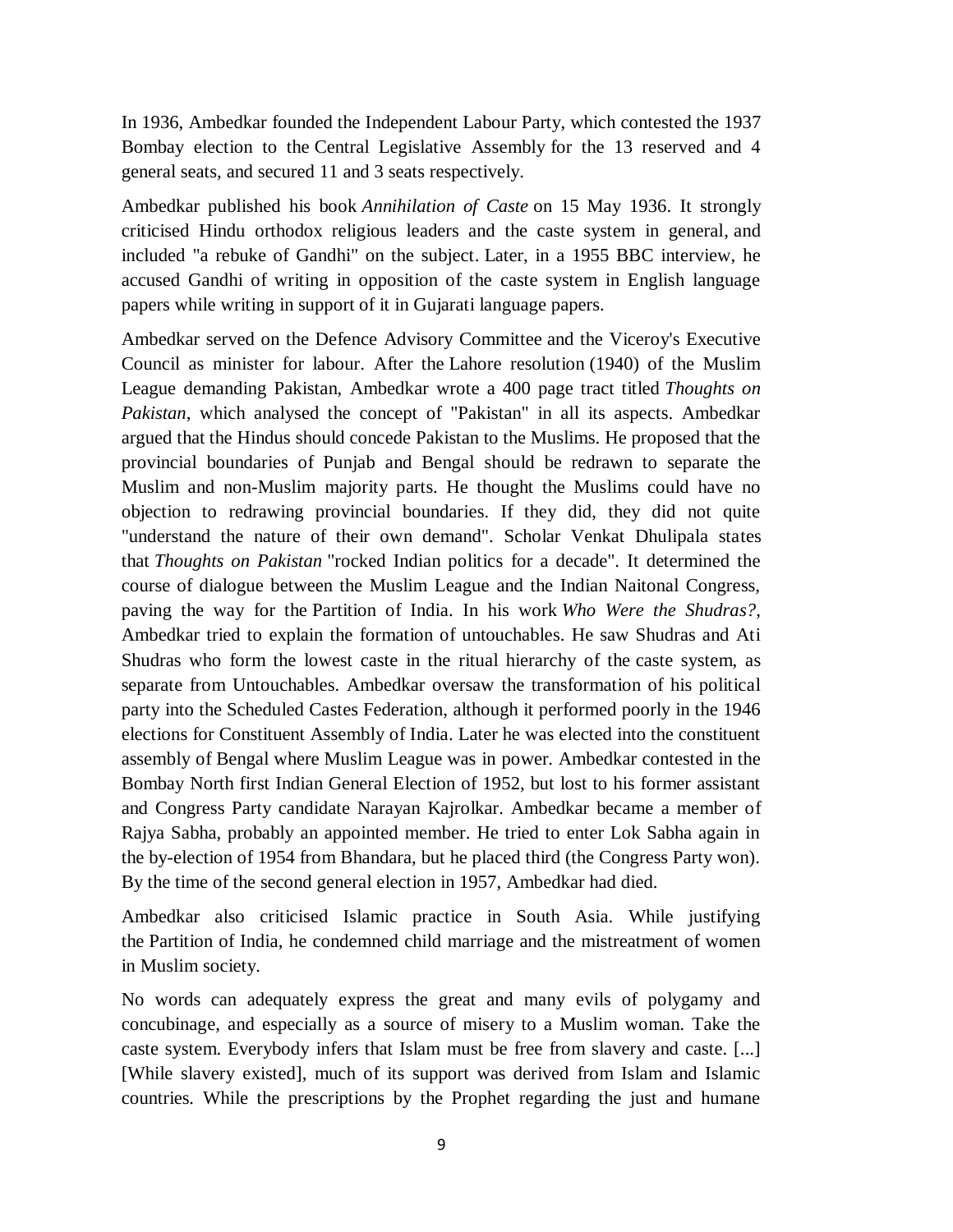## **Opposition to Article 370**

Ambedkar opposed [Article 370](https://en.wikipedia.org/wiki/Article_370) of the Constitution of India, which granted a special status to the State of Jammu and Kashmir, and which was included against his wishes. [Balraj Madhok](https://en.wikipedia.org/wiki/Balraj_Madhok) reportedly said, Ambedkar had clearly told the Kashmiri leader, [Sheikh Abdullah:](https://en.wikipedia.org/wiki/Sheikh_Abdullah) "You wish India should protect your borders, she should build roads in your area, she should supply you food grains, and Kashmir should get equal status as India. But Government of India should have only limited powers and Indian people should have no rights in Kashmir. To give consent to this proposal, would be a treacherous thing against the interests of India and I, as the Law Minister of India, will never do it." Then Sk. Abdullah approached Nehru, who directed him to Gopal Swami Ayyangar, who in turn approached Sardar Patel, saying Nehru had promised Sk. Abdullah the special status. Patel got the Article passed while Nehru was on a foreign tour. On the day the article came up for discussion, Ambedkar did not reply to questions on it but did participate on other articles. All arguments were done by Krishna Swami Ayyangar.

# **Support to Uniform Civil Code**

I personally do not understand why religion should be given this vast, expansive jurisdiction, so as to cover the whole of life and to prevent the legislature from encroaching upon that field. After all, what are we having this liberty for? We are having this liberty in order to reform our social system, which is so full of inequities, discriminations and other things, which conflict with our fundamental rights.

During the debates in the Constituent Assembly, Ambedkar demonstrated his will to reform Indian society by recommending the adoption of a [Uniform Civil Code.](https://en.wikipedia.org/wiki/Uniform_Civil_Code) Ambedkar resigned from the cabinet in 1951, when parliament stalled his draft of the [Hindu Code Bill,](https://en.wikipedia.org/wiki/Hindu_Code_Bills) which sought to enshrine gender equality in the laws of inheritance and marriage. Ambedkar independently contested an election in 1952 to the [lower house](https://en.wikipedia.org/wiki/Lower_house) of parliament, the [Lok Sabha,](https://en.wikipedia.org/wiki/Lok_Sabha) but was defeated in the [Bombay](https://en.wikipedia.org/wiki/Mumbai_North_Central_(Lok_Sabha_constituency))  [\(North Central\)](https://en.wikipedia.org/wiki/Mumbai_North_Central_(Lok_Sabha_constituency)) constituency by a little-known Narayan Sadoba Kajrolkar, who polled 138,137 votes compared to Ambedkar's 123,576. He was appointed to the [upper house,](https://en.wikipedia.org/wiki/Upper_house) of parliament, the [Rajya Sabha](https://en.wikipedia.org/wiki/Rajya_Sabha) in March 1952 and would remain as member till death.

# **Economic planning**

Ambedkar was the first Indian to pursue a doctorate in economics abroad. He argued that industrialisation and agricultural growth could enhance the Indian economy. He stressed investment in agriculture as the primary industry of India. According to [Sharad Pawar,](https://en.wikipedia.org/wiki/Sharad_Pawar) Ambedkar's vision helped the government to achieve its food security goal. Ambedkar advocated national economic and social development,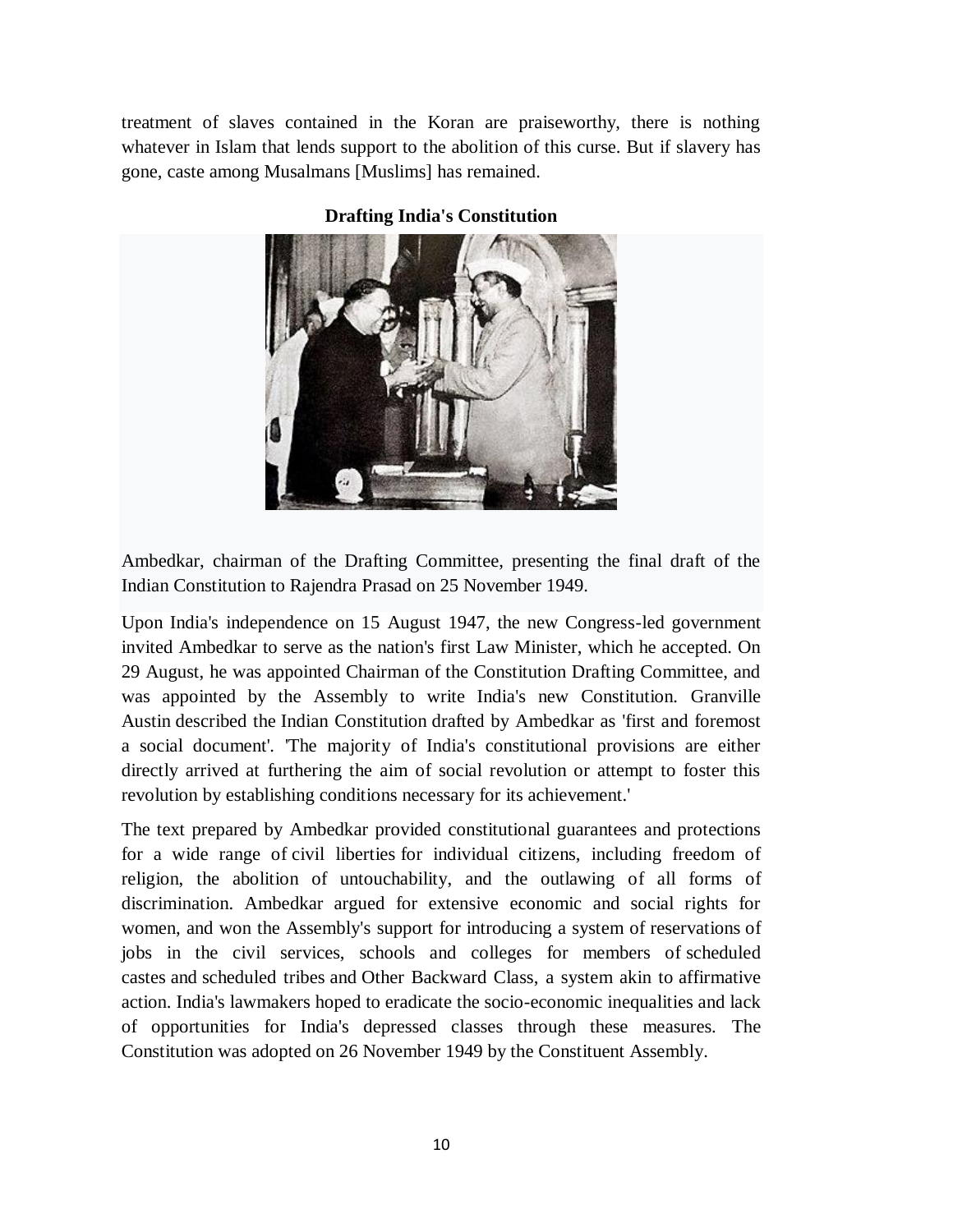stressing education, public hygiene, community health, residential facilities as the basic amenities. His DSc thesis "The problem of the Rupee: Its origin and solution" (1923) examines the causes for the Rupee's fall in value. He proved the importance of price stability over exchange stability. He analysed the silver and gold exchange rates and their effect on the economy, and found the reasons for the failure of British India's public treasury. He calculated the loss of development caused by British rule.

In 1951, Ambedkar established the [Finance Commission of India.](https://en.wikipedia.org/wiki/Finance_Commission_of_India) He opposed income tax for low-income groups. He contributed in Land Revenue Tax and excise duty policies to stabilise the economy. He played an important role in land reform and the state economic development.According to him, the caste system divided labourors and impeded economic progress. He emphasised a free economy with a stable Rupee which India has adopted recently. He advocated birth control to develop the Indian economy, and this has been adopted by Indian government as national policy for family planning. He emphasised equal rights for women for economic development. He laid the foundation of industrial relations after Indian independence.

# **Reserve Bank of India**

Ambedkar was trained as an economist, and was a professional economist until 1921, when he became a political leader. He wrote three scholarly books on economics:

- Administration and Finance of the East India Company
- The Evolution of Provincial Finance in British India
- The Problem of the Rupee: Its Origin and Its Solution.
- The [Reserve Bank of India](https://en.wikipedia.org/wiki/Reserve_Bank_of_India) (RBI), was based on the ideas that Ambedkar presented to the Hilton Young Commission.

#### **Second marriage**



**Ambedkar with wife Savita in 1948**

Ambedkar's first wife Ramabai died in 1935 after a long illness. After completing the draft of India's constitution in the late 1940s, he suffered from lack of sleep,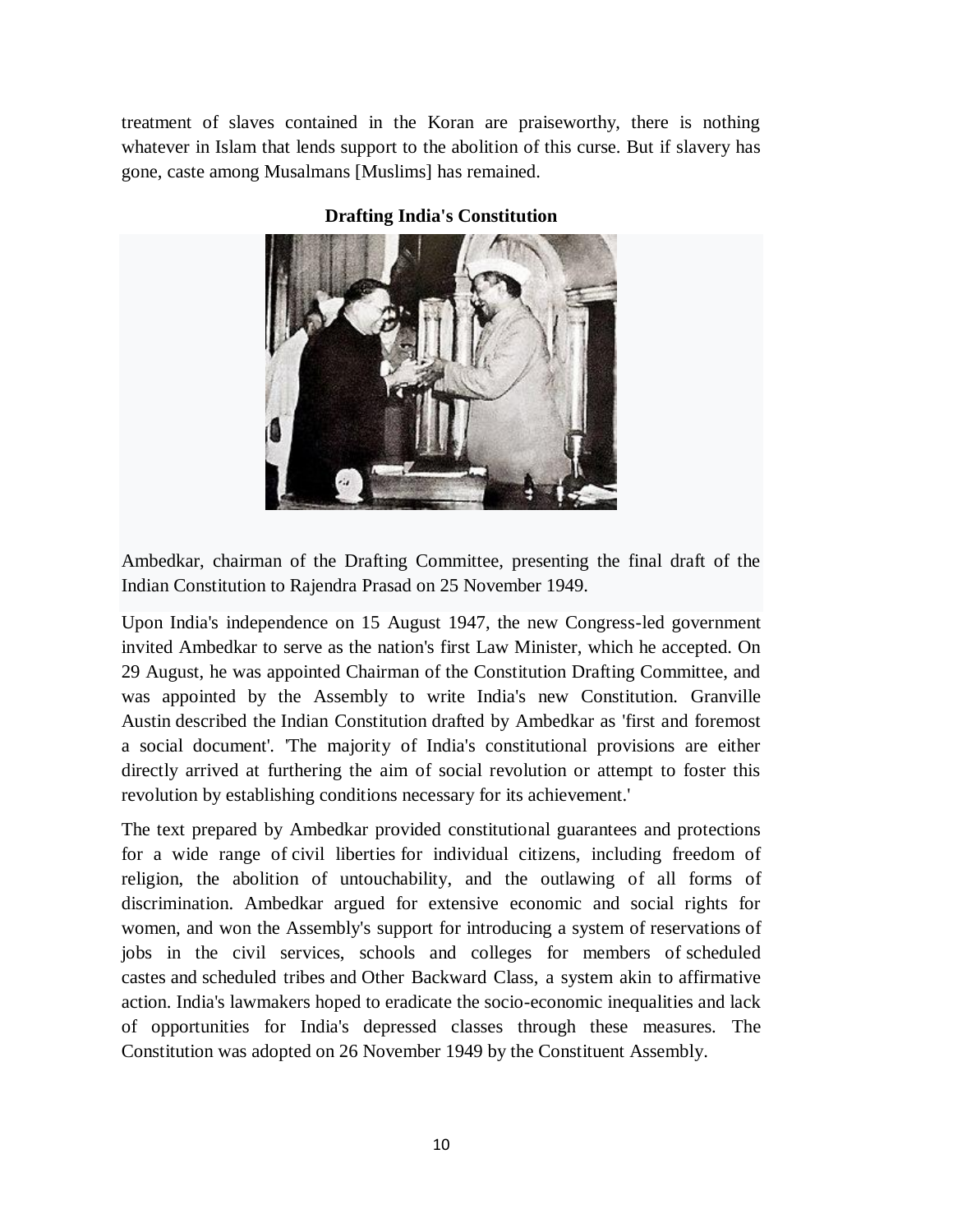had [neuropathic pain](https://en.wikipedia.org/wiki/Neuropathic_pain) in his legs, and was taking [insulin](https://en.wikipedia.org/wiki/Insulin) and homoeopathic medicines. He went to Bombay for treatment, and there met Dr. Sharada Kabir, whom he married on 15 April 1948, at his home in New Delhi. Doctors recommended a companion who was a good cook and had medical knowledge to care for him. She adopted the name Savita Ambedkar and cared for him the rest of his life. Savita Ambedkar, who was called 'Mai', died on May 29, 2003, aged 93 at Mehrauli, New Delhi.

**Conversion to Buddhism**



**Ambedkar delivering speech during mass conversion**

Ambedkar considered converting to [Sikhism,](https://en.wikipedia.org/wiki/Sikhism) which encouraged opposition to oppression and so appealed to leaders of scheduled castes. But after meeting with Sikh leaders, he concluded that he might get "second-rate" Sikh status, as described by scholar [Stephen P. Cohen.](https://en.wikipedia.org/wiki/Stephen_P._Cohen)

Instead, he studied Buddhism all his life. Around 1950, he devoted his attention to Buddhism and travelled to [Ceylon](https://en.wikipedia.org/wiki/Ceylon) (now Sri Lanka) to attend a meeting of the [World](https://en.wikipedia.org/wiki/World_Fellowship_of_Buddhists)  [Fellowship of Buddhists.](https://en.wikipedia.org/wiki/World_Fellowship_of_Buddhists) While dedicating a new Buddhist [vihara](https://en.wikipedia.org/wiki/Vihara) near [Pune,](https://en.wikipedia.org/wiki/Pune) Ambedkar announced he was writing a book on Buddhism, and that when it was finished, he would formally convert to Buddhism. He twice visited Burma in 1954; the second time to attend the third conference of the World Fellowship of Buddhists in [Rangoon.](https://en.wikipedia.org/wiki/Rangoon) In 1955, he founded the Bharatiya Bauddha Mahasabha, or the Buddhist Society of India. He completed his final work, *[The Buddha and His Dhamma](https://en.wikipedia.org/wiki/The_Buddha_and_His_Dhamma)*, in 1956 which was published posthumously. After meetings with the Sri Lankan Buddhist monk [Hammalawa Saddhatissa,](https://en.wikipedia.org/wiki/Hammalawa_Saddhatissa) Ambedkar organised a formal public ceremony for himself and his supporters in [Nagpur](https://en.wikipedia.org/wiki/Nagpur) on 14 October 1956. Accepting the [Three Refuges](https://en.wikipedia.org/wiki/Three_Jewels) and [Five Precepts](https://en.wikipedia.org/wiki/Five_Precepts) from a Buddhist [monk](https://en.wikipedia.org/wiki/Bhikkhu) in the traditional manner, Ambedkar completed his own conversion, along with his wife. He then proceeded to convert some 500,000 of his supporters who were gathered around him. He prescribed the [22 Vows](https://en.wikipedia.org/wiki/22_Vows) for these converts, after the Three Jewels and Five Precepts. He then travelled to [Kathmandu,](https://en.wikipedia.org/wiki/Kathmandu) Nepal to attend the Fourth World Buddhist Conference. His work on *The Buddha or Karl Marx* and "Revolution and counter-revolution in ancient India" remained incomplete.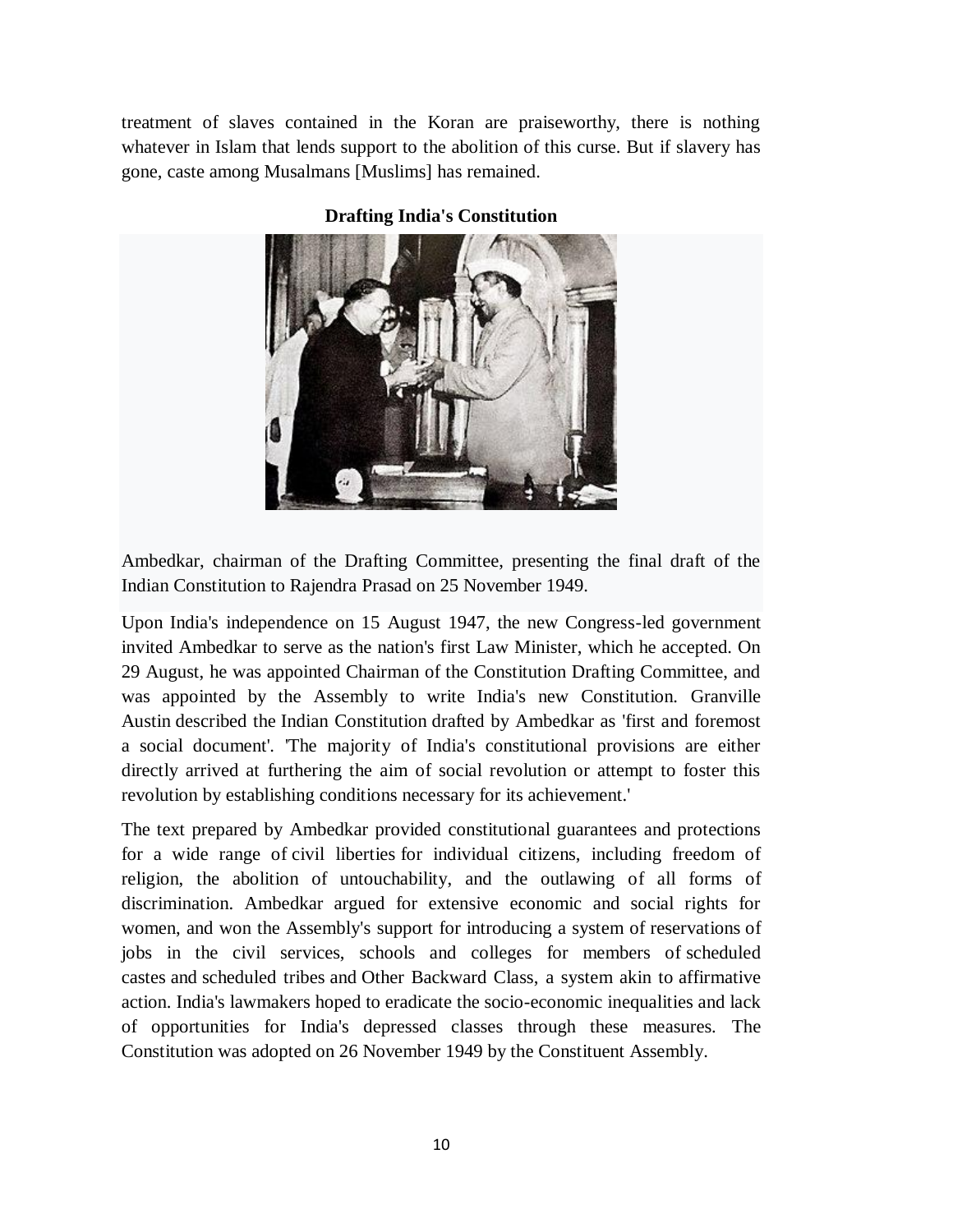## **Death**

Mahaparinirvana of B. R. Ambedkar

Since 1948, Ambedkar suffered from [diabetes.](https://en.wikipedia.org/wiki/Diabetes) He was bed-ridden from June to October in 1954 due to medication side-effects and poor eyesight. He had been increasingly embittered by political issues, which took a toll on his health. His health worsened during 1955. Three days after completing his final manuscript *[The Buddha](https://en.wikipedia.org/wiki/The_Buddha_and_His_Dhamma)  [and His Dhamma](https://en.wikipedia.org/wiki/The_Buddha_and_His_Dhamma)*, Ambedkar died in his sleep on 6 December 1956 at his home in Delhi.

A Buddhist cremation was organised at Dadar [Chowpatty](https://en.wikipedia.org/wiki/Chowpatty) beach on 7 December, attended by half a million grieving people. A conversion program was organised on 16 December 1956, so that cremation attendees were also converted to Buddhism at the same place.

Ambedkar was survived by his second wife, who died in 2003, and his son Yashwant (known as Bhaiyasaheb Ambedkar). Ambedkar's grandson, [Ambedkar Prakash](https://en.wikipedia.org/wiki/Ambedkar_Prakash_Yashwant)  [Yashwant,](https://en.wikipedia.org/wiki/Ambedkar_Prakash_Yashwant) is the chief-adviser of the Buddhist Society of India, leads the [Bharipa](https://en.wikipedia.org/wiki/Bharipa_Bahujan_Mahasangh)  [Bahujan Mahasangh](https://en.wikipedia.org/wiki/Bharipa_Bahujan_Mahasangh) and has served in both houses of the [Indian Parliament.](https://en.wikipedia.org/wiki/Indian_Parliament) A number of unfinished typescripts and handwritten drafts were found among Ambedkar's notes and papers and gradually made available. Among these were *Waiting for a Visa*, which probably dates from 1935–36 and is an autobiographical work, and the *Untouchables, or the Children of India's Ghetto*, which refers to the census of 1951. A memorial for Ambedkar was established in his [Delhi](https://en.wikipedia.org/wiki/Delhi) house at 26 Alipur Road. His birthdate is celebrated as a public holiday known as [Ambedkar Jayanti](https://en.wikipedia.org/wiki/Ambedkar_Jayanti) or [Bhim Jayanti.](https://en.wikipedia.org/wiki/Bhim_Jayanti) He was posthumously awarded India's highest civilian honour, the [Bharat Ratna,](https://en.wikipedia.org/wiki/Bharat_Ratna) in 1990.

On the anniversary of his birth and death, and on [Dhamma Chakra Pravartan Din](https://en.wikipedia.org/wiki/Dhamma_Chakra_Pravartan_Din) (14 October) at Nagpur, at least half a million people gather to pay homage to him at his memorial in Mumbai.<sup>[\[101\]](https://en.wikipedia.org/wiki/B._R._Ambedkar#cite_note-101)</sup> Thousands of bookshops are set up, and books are sold. His message to his followers was "educate, agitate, organise!".

# **Legacy**

People paying tribute at the central statue of Ambedkar in [Dr. Babasaheb Ambedkar](https://en.wikipedia.org/wiki/Dr._Babasaheb_Ambedkar_Marathwada_University)  [Marathwada University](https://en.wikipedia.org/wiki/Dr._Babasaheb_Ambedkar_Marathwada_University) in [Aurangabad.](https://en.wikipedia.org/wiki/Aurangabad,_Maharashtra)

Ambedkar's legacy as a socio-political reformer, had a deep effect on modern India. In post-Independence India, his socio-political thought is respected across the political spectrum. His initiatives have influenced various spheres of life and transformed the way India today looks at socio-economic policies, education and [affirmative action](https://en.wikipedia.org/wiki/Affirmative_action) through socio-economic and legal incentives. His reputation as a scholar led to his appointment as free India's first law minister, and chairman of the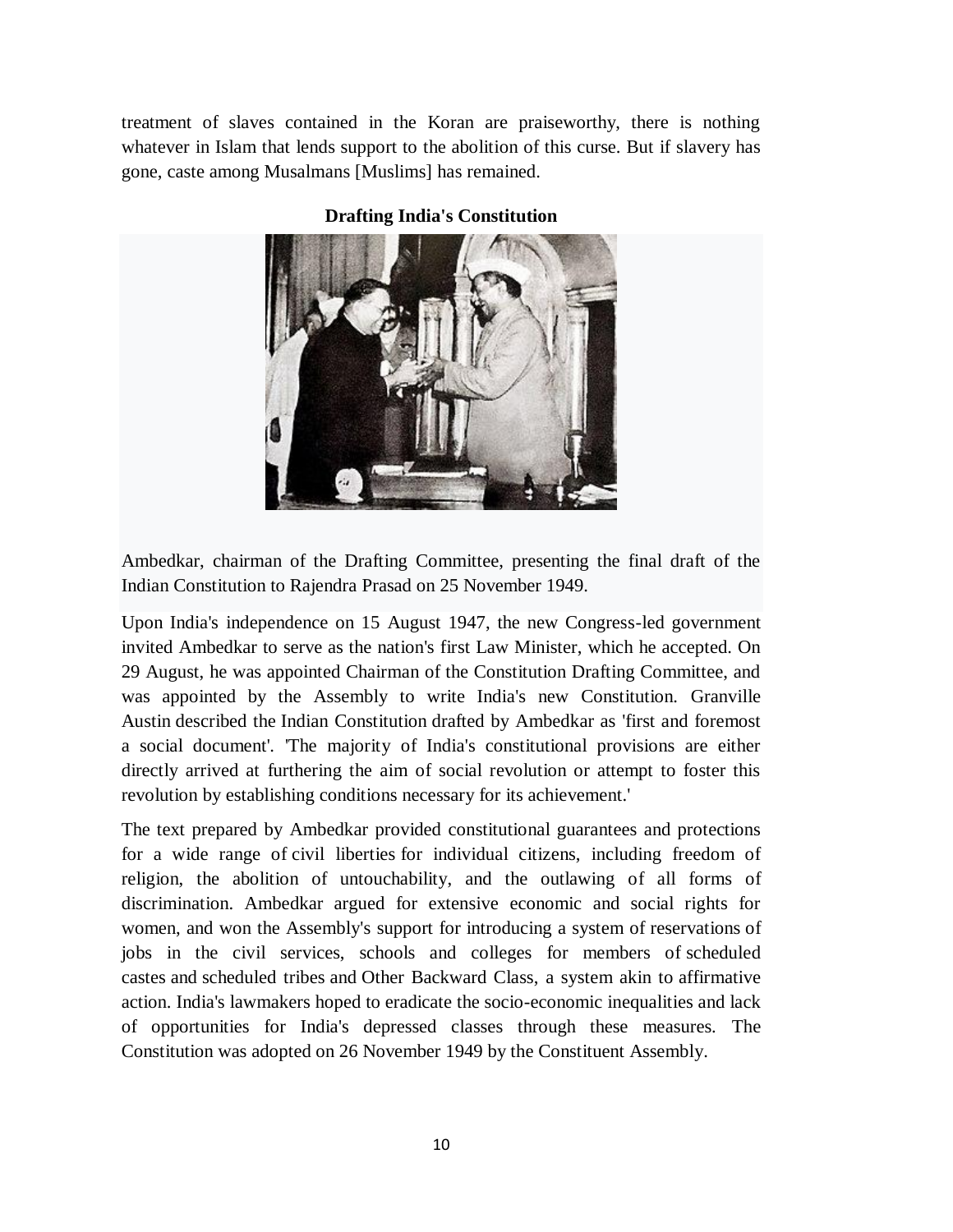committee for drafting the constitution. He passionately believed in individual freedom and criticised caste society. His accusations of [Hinduism](https://en.wikipedia.org/wiki/Hinduism) as being the foundation of the caste system made him controversial and unpopular among Hindus. His conversion to Buddhism sparked a revival in interest in Buddhist philosophy in India and abroad. Many public institutions are named in his honour, and the Dr. Babasaheb Ambedkar International Airport in [Nagpur,](https://en.wikipedia.org/wiki/Nagpur) otherwise known as [Sonegaon Airport.](https://en.wikipedia.org/wiki/Sonegaon_Airport) [Dr. B. R. Ambedkar National Institute of Technology,](https://en.wikipedia.org/wiki/Dr._B._R._Ambedkar_National_Institute_of_Technology,_Jalandhar)  [Jalandhar,](https://en.wikipedia.org/wiki/Dr._B._R._Ambedkar_National_Institute_of_Technology,_Jalandhar) [Ambedkar University Delhi](https://en.wikipedia.org/wiki/Ambedkar_University_Delhi) is also named in his honour.

The Maharashtra government has acquired a house in London where Ambedkar lived during his days as a student in the 1920s. The house is expected to be converted into a museum-cum-memorial to Ambedkar. Ambedkar was voted ["the Greatest Indian"](https://en.wikipedia.org/wiki/The_Greatest_Indian) in 2012 by a poll which didn't included [Mahatma Gandhi,](https://en.wikipedia.org/wiki/Mahatma_Gandhi) citing it was not possible to beat him in the poll. The poll was organised by [History TV18](https://en.wikipedia.org/wiki/History_TV18) and [CNN IBN.](https://en.wikipedia.org/wiki/CNN_IBN) Nearly 20 million votes were cast. Due to his role in economics, [Narendra Jadhav,](https://en.wikipedia.org/wiki/Narendra_Jadhav) a notable Indian economist, has said that Ambedkar was "the highest educated Indian economist of all times." [Amartya Sen,](https://en.wikipedia.org/wiki/Amartya_Sen) said that Ambedkar is "father of my economics", and "he was highly controversial figure in his home country, though it was not the reality. His contribution in the field of economics is marvelous and will be remembered forever."

Ambedkar's legacy was not without criticism. Ambedkar has been criticised for his one-sided views on the issue of untouchability at the expense of cooperation with the larger nationalist movement. Ambedkar has been also criticised by some of his biographers over his neglect of organization-building. Ambedkar's political philosophy has given rise to a large number of political parties, publications and workers' unions that remain active across India, especially in [Maharashtra.](https://en.wikipedia.org/wiki/Maharashtra) His promotion of Buddhism has rejuvenated interest in Buddhist philosophy among sections of population in India. Mass conversion ceremonies have been organised by human rights activists in modern times, emulating Ambedkar's Nagpur ceremony of 1956. Some Indian Buddhists regard him as a [Bodhisattva,](https://en.wikipedia.org/wiki/Bodhisattva) although he never claimed it himself. Outside India, during the late 1990s, some Hungarian [Romani](https://en.wikipedia.org/wiki/Romani_people)  [people](https://en.wikipedia.org/wiki/Romani_people) drew parallels between their own situation and that of the downtrodden people in India. Inspired by Ambedkar, they started to convert to Buddhism.

#### **1.2.6 IN POPULAR CULTURE**

Several movies, plays, and other works have been based on the life and thoughts of Ambedkar. [Jabbar Patel](https://en.wikipedia.org/wiki/Jabbar_Patel) directed the English-language film *[Dr. Babasaheb](https://en.wikipedia.org/wiki/Dr._Babasaheb_Ambedkar_(film))  [Ambedkar](https://en.wikipedia.org/wiki/Dr._Babasaheb_Ambedkar_(film))* in 2000 with [Mammootty](https://en.wikipedia.org/wiki/Mammootty) in the lead role. This biopic was sponsored by the [National Film Development Corporation of India](https://en.wikipedia.org/wiki/National_Film_Development_Corporation_of_India) and the government's [Ministry](https://en.wikipedia.org/wiki/Ministry_of_Social_Justice_and_Empowerment)  [of Social Justice and Empowerment.](https://en.wikipedia.org/wiki/Ministry_of_Social_Justice_and_Empowerment) The film was released after a long and controversial gestation. David Blundell, professor of anthropology at [UCLA](https://en.wikipedia.org/wiki/UCLA) and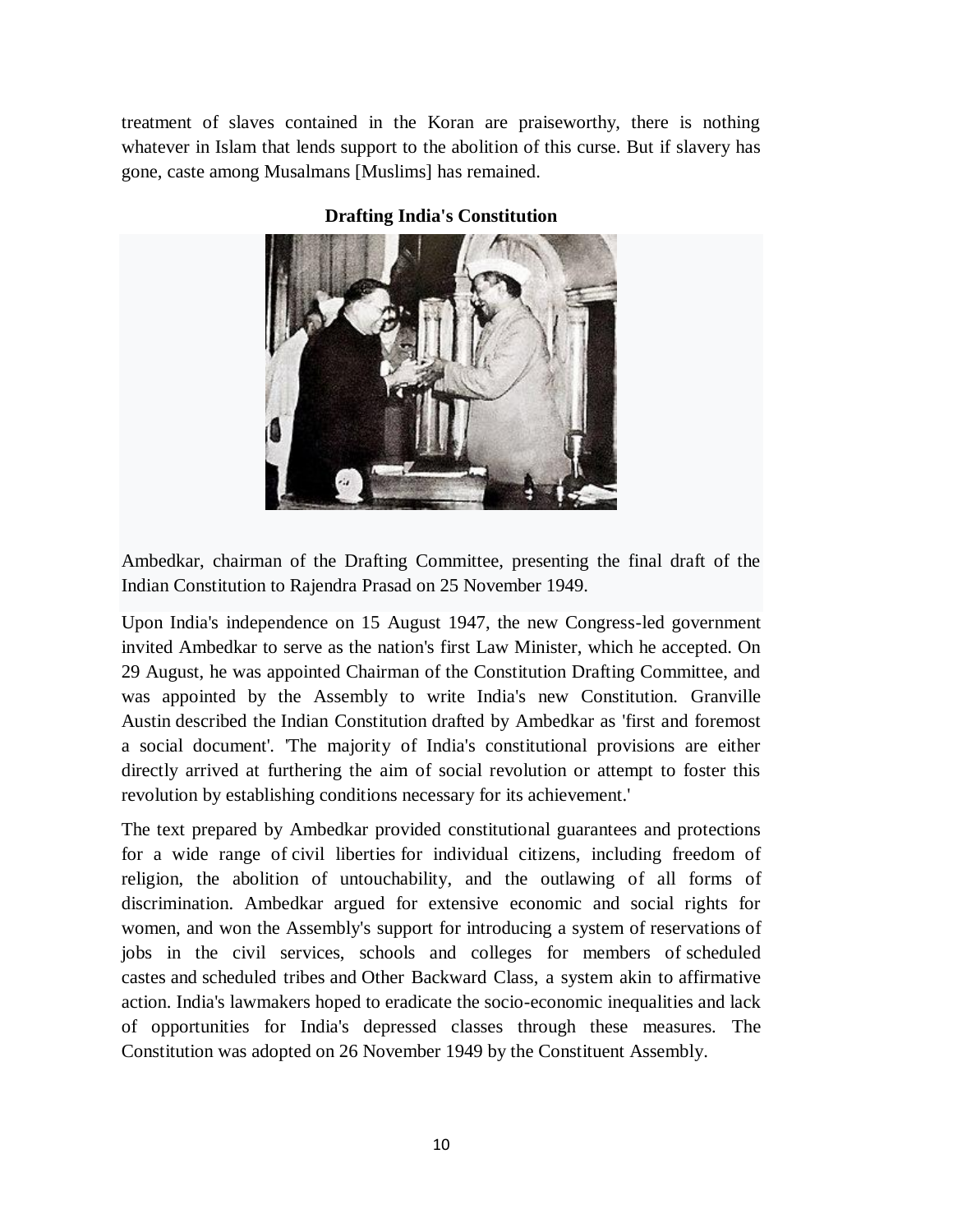historical ethnographer, has established *Arising Light* – a series of films and events that are intended to stimulate interest and knowledge about the social conditions in India and the life of Ambedkar. In *[Samvidhaan](https://en.wikipedia.org/wiki/Samvidhaan)*, a TV mini-series on the making of the Constitution of India directed by [Shyam Benegal,](https://en.wikipedia.org/wiki/Shyam_Benegal) the pivotal role of B. R. Ambedkar was played by [Sachin Khedekar.](https://en.wikipedia.org/wiki/Sachin_Khedekar) The play *Ambedkar Aur Gandhi*, directed by [Arvind Gaur](https://en.wikipedia.org/wiki/Arvind_Gaur) and written by Rajesh Kumar, tracks the two prominent personalities of its title. *[Bhimayana: Experiences of Untouchability](https://en.wikipedia.org/wiki/Bhimayana)* is a graphic biography of Ambedkar created by Pardhan-Gond artists Durgabai Vyam and Subhash Vyam, and writers Srividya Natarajan and [S. Anand.](https://en.wikipedia.org/wiki/S._Anand) The book depicts the experiences of untouchability faced by Ambedkar from childhood to adulthood. CNN named it one of the top 5 political comic books. The [Ambedkar](https://en.wikipedia.org/wiki/Ambedkar_Memorial)  [Memorial](https://en.wikipedia.org/wiki/Ambedkar_Memorial) at [Lucknow](https://en.wikipedia.org/wiki/Lucknow) is dedicated in his memory. The [chaitya](https://en.wikipedia.org/wiki/Chaitya) consists of monuments showing his biography.

[Google](https://en.wikipedia.org/wiki/Google) commemorated Ambedkar's 124th birthday through a homepage doodle on 14 April 2015. The doodle was featured in India, Argentina, Chile, Ireland, Peru, Poland, Sweden and the United Kingdom.

#### **Works**

The Education Department, [Government of Maharashtra](https://en.wikipedia.org/wiki/Government_of_Maharashtra) (Mumbai) published the collection of Ambedkar's writings and speeches in different volumes.

*[Castes in India: Their Mechanism, Genesis and Development](https://en.wikipedia.org/wiki/Castes_in_India:_Their_Mechanism,_Genesis_and_Development) and 11 Other Essays*

- *Ambedkar in the Bombay Legislature,*
- *with the Simon Commission and at the*
- *Round Table Conferences*, 1927–1939
- *Philosophy of Hinduism; India and the Pre-requisites of Communism;*
- *Revolution and Counter-revolution; Buddha or Karl Marx*
- *Riddles in Hinduism*
- *Essays on Untouchables and Untouchability*
- *The Evolution of Provincial Finance in British India*
- *The Untouchables Who Were They And Why They Became Untouchables ?*
- *[The Annihilation of Caste](https://en.wikipedia.org/wiki/The_Annihilation_of_Caste)* (1936)
- *Pakistan or the Partition of India*
- *What Congress and Gandhi have done to the Untouchables; Mr. Gandhi and the Emancipation of the Untouchables*
- Ambedkar as member of the Governor General's Executive Council, 1942–46
- *[The Buddha and](https://en.wikipedia.org/wiki/The_Buddha_and_His_Dhamma) his Dhamma*
- *Unpublished Writings; Ancient Indian Commerce; Notes on laws; [Waiting for](https://en.wikipedia.org/wiki/Waiting_for_a_Visa)  [a Visa](https://en.wikipedia.org/wiki/Waiting_for_a_Visa) ; Miscellaneous notes, etc.*
- Ambedkar as the principal architect of the Constitution of India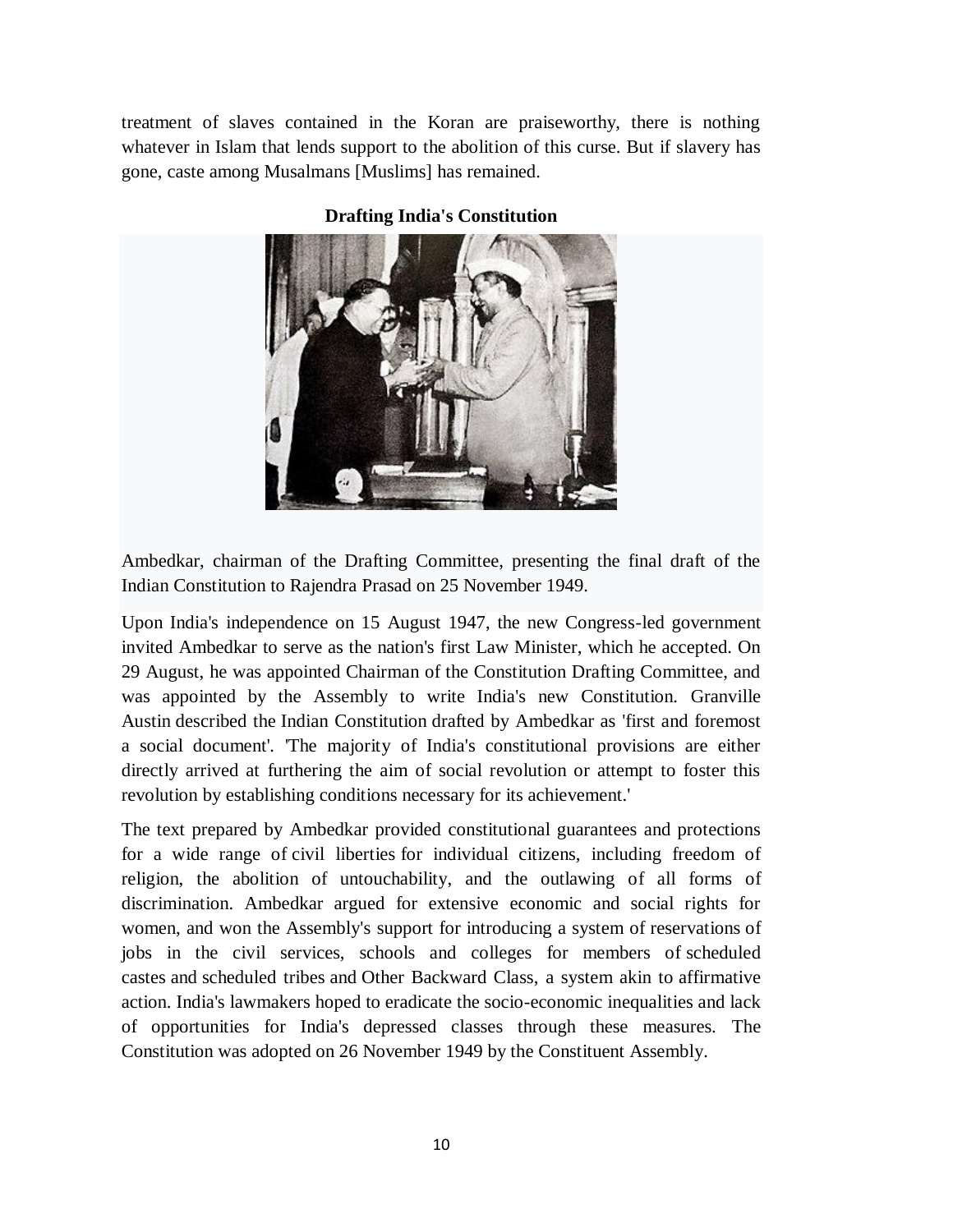- (2 parts) Dr. Ambedkar and The Hindu Code Bill
- *Ambedkar as Free India's First Law Minister and Member of Opposition in Indian Parliament* (1947–1956)
- *The Pali Grammar*
- Ambedkar and his Egalitarian Revolution Struggle for Human Rights. Events starting from March 1927 to 17 November 1956 in the chronological order; Ambedkar and his Egalitarian Revolution – Socio-political and religious activities. Events starting from November 1929 to 8 May 1956 in the chronological order; Ambedkar and his Egalitarian Revolution – Speeches. (Events starting from 1 January to 20 November 1956 in the chronological order.)

# **1.3 LET US SUM UP**

Ambedkar conceived education as an instrument of social change and religion as a social force to reconstruct the world. In this context his conception of religion and its significance for education and social change can be studied in more details.

Production of an enlighted, emancipatory, democratised citizen was a prime concern of Arnbedkar's social project. In this light Ambedkar's democratic ideals and their importance for education can be investigated and a construct for a scheme of education in accordance with these ideals developed.

# **1.4 CHECK YOUR PROGRESS**

1) 'Educate Agitate Organise' has also been subjected to exhumation. Explain …………………………………………………………………………………… …………………………………………………………………………………… …………………………………………………………………………………… …………………………………………………………………………………… 2) Ambedkar's style of social criticism. Elaborate …………………………………………………………………………………… …………………………………………………………………………………… …………………………………………………………………………………… …………………………………………………………………………………… 3) Religion as a transformative force. Do you agree? …………………………………………………………………………………… …………………………………………………………………………………… …………………………………………………………………………………… ……………………………………………………………………………………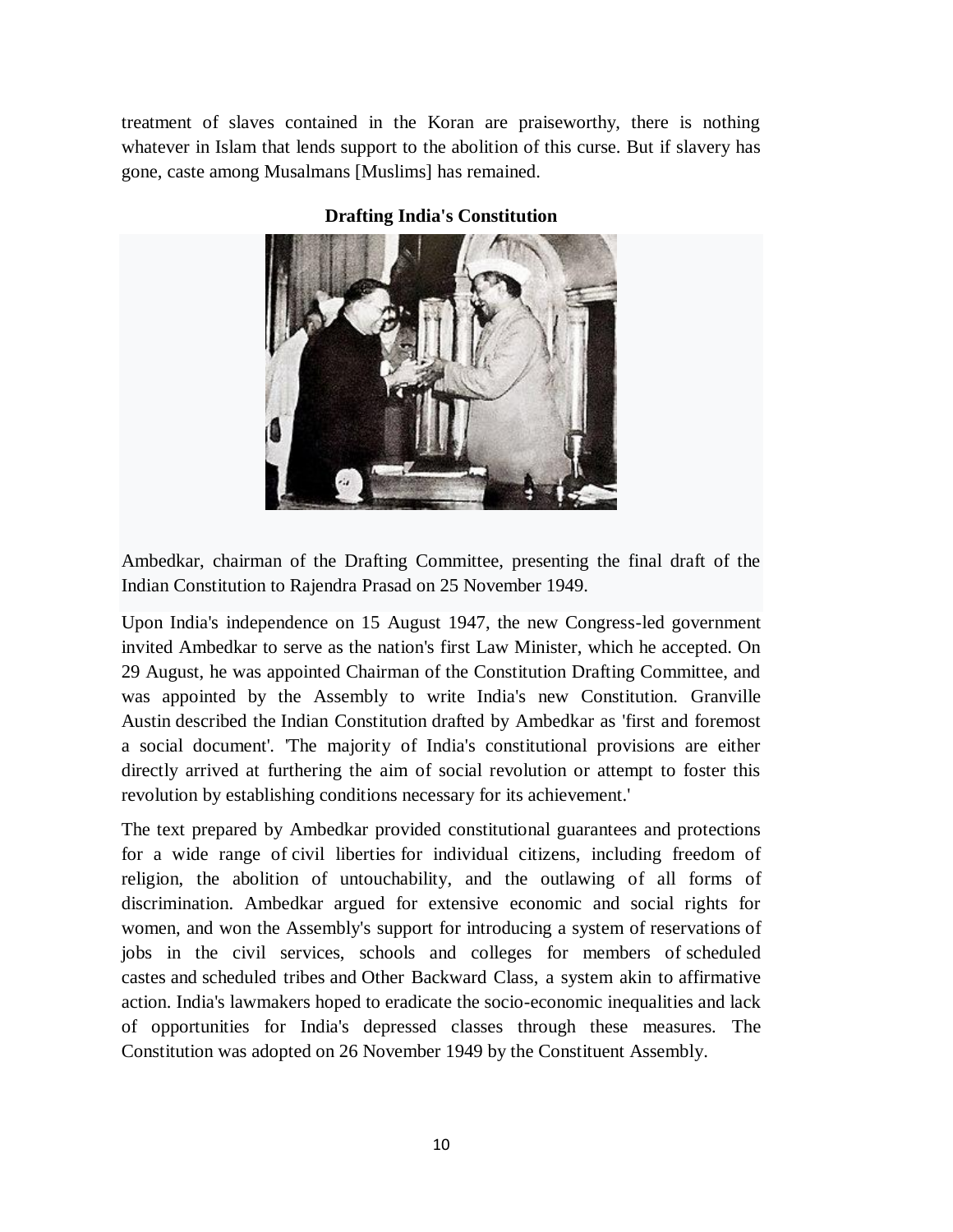# **UNIT 2 : A TEXT ON CASTES IN INDIA": DR. BABASAHEB AMBEDKAR**

#### **Structure**

- 2.0 Objective
- 2.1 Introduction
- 2.2 Text
- 2.3 Let us sum up
- 2.4 Check your progress

#### **2.0 OBJECTIVE**

- 1. To analyse and interpret Ambedkar's conception of education as power, as a tool for the development of the individual as well as the society and as an instrument for the emancipation of the deprived groups.
- 2. To trace the contribution made by Ambedkar for the development of education in general and for the education of the Dalits in particular.
- 3. To analyse and interpret the educational ideas and activities of Ambedkar in the light of his message, 'Educate, Agitate and Organise.
- 4. To establish meaningful linkages between Ambedkar's theories on social and political reformation and on education and its development.

# **2.1 INTRODUCTION**

Ambedkarism is a living force in India and that force defines the ideology of the Dalit movements. But, Ambedkar as a thinker and ardent rebel against casteism is being subjected to a systematic dememorization. The discourse communities of powerknowledge in India, who would like very much to preserve their superiority as well as monopoly over knowledge have got united in their efforts to mistify the thoughts and social actions of this revolutionary of modem India. The academics and scholars have not yet shed their reluctance to have a dispassionate discourse on Ambedkar's life and struggle against casteism. Though his observations and message are still relevant for completing the unfinished social projects in India, the academies in the country have ignored or discouraged scholarly studies on caste issues. At the same time, attempts are made outside the boundaries of academies to characterize him as a 'false god' to be ignored. What is truly demeaning is the effort to block any discussion on his observations on caste, society and religion, particularly Hinduism.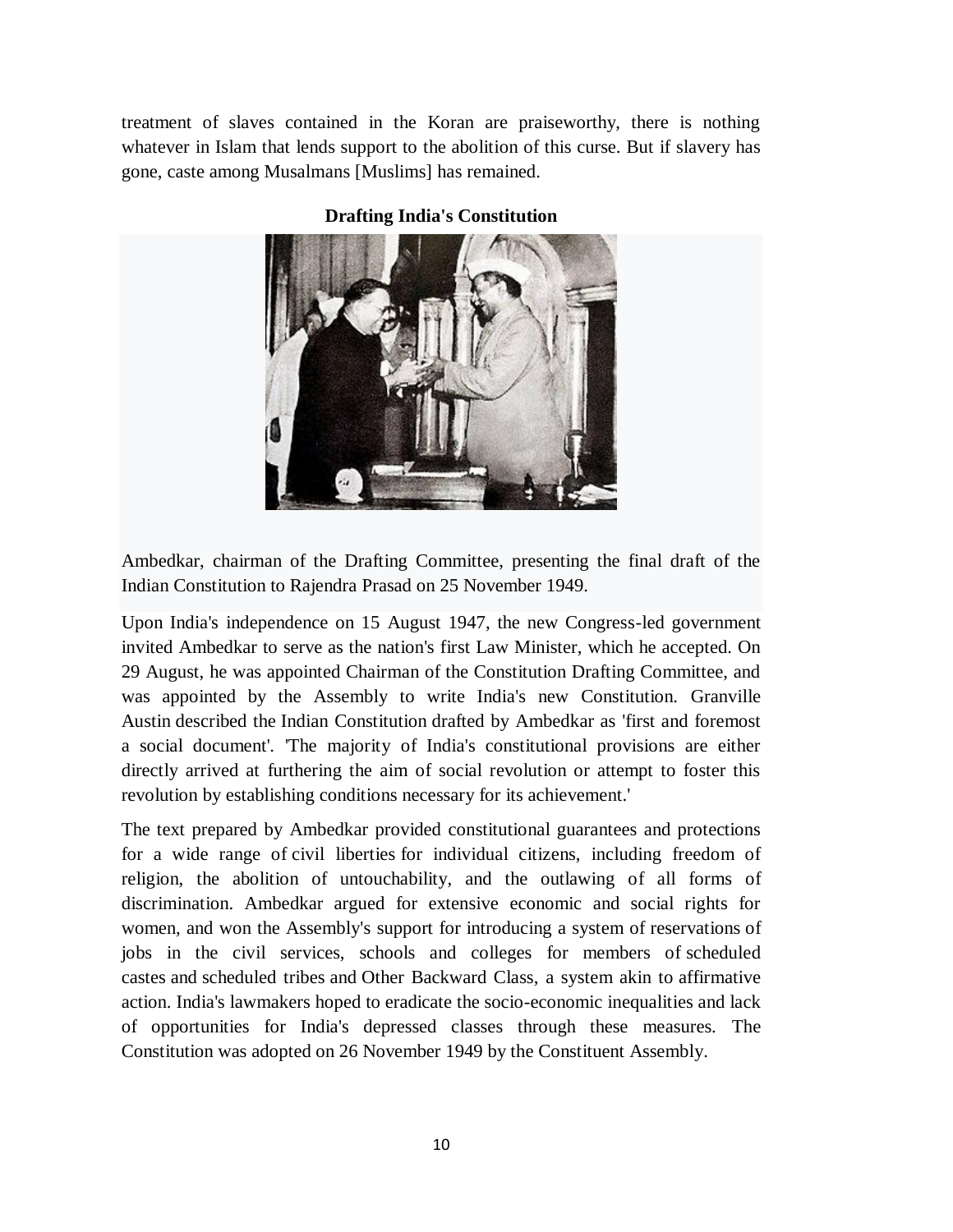# **2.2 TEXT**

## **Castes in India: Their Mechanism, Genesis, and Development**

1. Many of us, I dare say, have witnessed local, national or international expositions of material objects that make up the sum total of human civilization. But few can entertain the idea of there being such a thing as an exposition of human institutions. Exhibition of human institutions is a strange idea; some might call it the wildest of ideas. But the students of Ethnology I hope you will not be hard on this innovation, for it is not so, and to you at least it should not be strange.

2. You all have visited, I believe, some historic place like ruins of Pompeii, and listened with curiosity to the history of the remains as it flowed from the glib tongue of the guide. In my opinion a student of Ethnology, in one sense at least, is much like the guide. Like his prototype, he holds up (perhaps with more seriousness and desire of self-instruction) the social institutions to view with all the objectiveness humanly possible, and inquires in their origin and function.

3. Most of our fellow students in this Seminar, which concerns itself with primitive versus modern society, have ably acquitted themselves along these lines by giving lucid expositions of the various institutions, modern or primitive, in which they are interested. It is my turn now, this evening, to entertain you, as best I can, with a paper on "Castes in India: Their Mechanism, Genesis and Development."

4. I need hardly remind you of the complexity of the subject I intend to handle. Subtler minds and abler pens than mine have been brought to the task of unravelling the mysteries of Caste; but unfortunately it still remains in the domain of the "unexplained," not to say of the "un-understood." I am quite alive to the complex intricacies of a hoary institution like Caste, but I am not so pessimistic as to relegate it to the region of the unknowable, for I believe it can be known. The caste problem is a vast one, both theoretically and practically. Practically, it is an institution that portends tremendous consequences. It is a local problem, but one capable of much wider mischief, for "as long as caste in India does exist, Hindus will hardly intermarry or have any social intercourse with outsiders; and if Hindus migrate to other regions on earth, Indian caste would become a world problem." Theoretically, it has defied a great many scholars who have taken upon themselves, as a labour of love, to dig into its origin. Such being the case, I cannot treat the problem in its entirety. Time, space and acumen, I am afraid, would all fail me, if I attempted to do otherwise than limit myself to a phase of it, namely, the genesis, mechanism and spread of the caste system. I will strictly observe this rule, and will dwell on extraneous matters only when it is necessary to clarify or support a point in my thesis.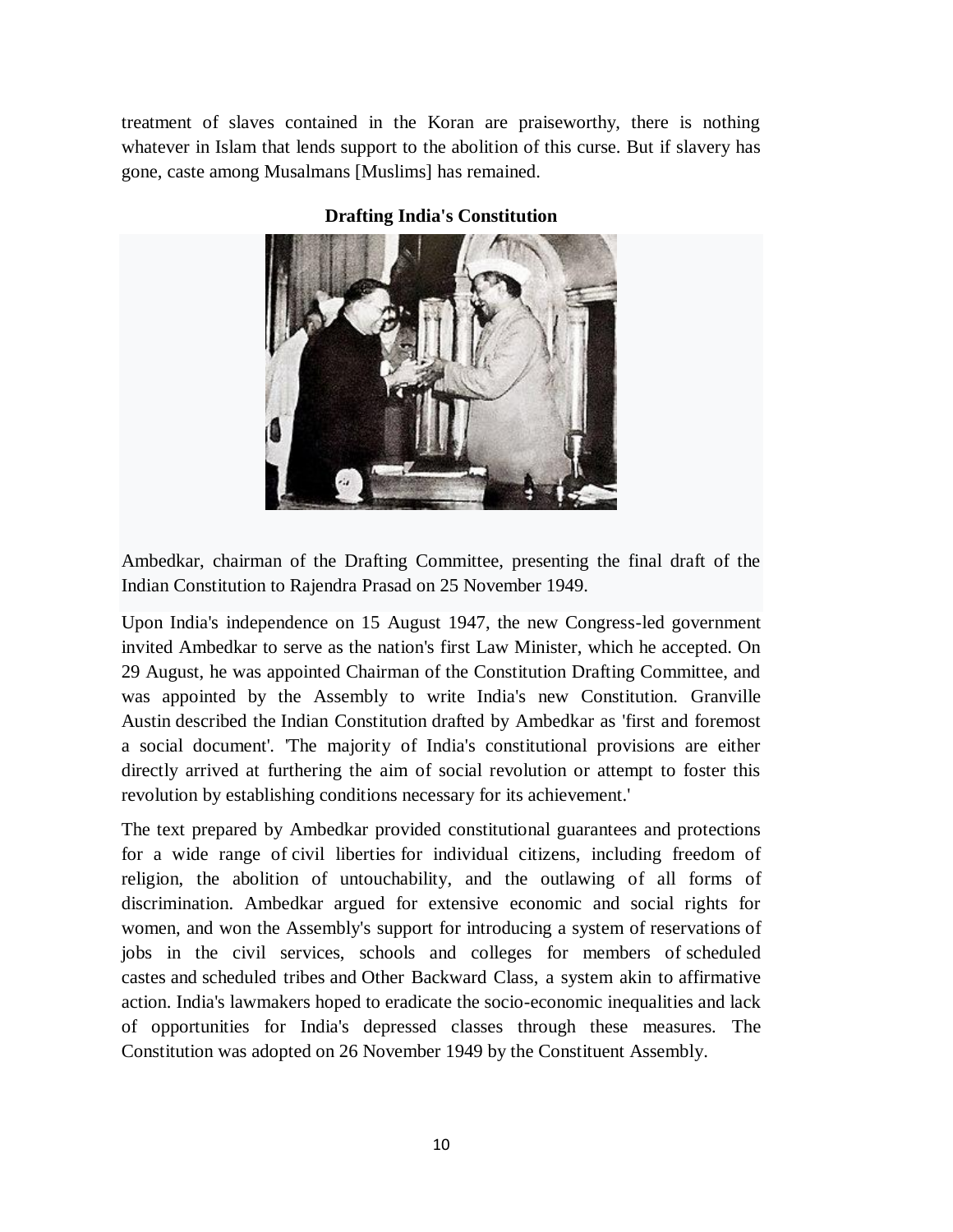5. To proceed with the subject. According to well-known ethnologists, the population of India is a mixture of Aryans, Dravidians, Mongolians and Scythians. All these stocks of people came into India from various directions and with various cultures, centuries ago, when they were in a tribal state. They all in turn elbowed their entry into the country by fighting with their predecessors, and after a stomachful of it settled down as peaceful neighbours. Through constant contact and mutual intercourse they evolved a common culture that superseded their distinctive cultures. It may be granted that there has not been a thorough amalgamation of the various stocks that make up the peoples of India, and to a traveller from within the boundaries of India the East presents a marked contrast in physique and even in colour to the West, as does the South to the North. But amalgamation can never be the sole criterion of homogeneity as predicated of any people. Ethnically all people are heterogeneous. It is the unity of culture that is the basis of homogeneity. Taking this for granted, I venture to say that there is no country that can rival the Indian Peninsula with respect to the unity of its culture. It has not only a geographic unity, but it has over and above all a deeper and a much more fundamental unity—the indubitable cultural unity that covers the land from end to end. But it is because of this homogeneity that Caste becomes a problem so difficult to be explained. If the Hindu Society were a mere federation of mutually exclusive units, the matter would be simple enough. But Caste is a parcelling of an already homogeneous unit, and the explanation of the genesis of Caste is the explanation of this process of parcelling.

6. Before launching into our field of enquiry, it is better to advise ourselves regarding the nature of a caste. I will therefore draw upon a few of the best students of caste for their definitions of it :

(1) Mr. Senart, a French authority, defines a caste as "a close corporation, in theory at any rate rigorously hereditary: equipped with a certain traditional and independent organisation, including a chief and a council, meeting on occasion in assemblies of more or less plenary authority and joining together at certain festivals: bound together by common occupations, which relate more particularly to marriage and to food and to questions of ceremonial pollution, and ruling its members by the exercise of jurisdiction, the extent of which varies, but which succeeds in making the authority of the community more felt by the sanction of certain penalties and, above all, by final irrevocable exclusion from the group." (2) Mr. Nesfield defines a caste as "a class of the community which disowns any connection with any other class and can neither intermarry nor eat nor drink with any but persons of their own community."

(3) According to Sir H. Risley, "a caste may be defined as a collection of families or groups of families bearing a common name which usually denotes or is associated with specific occupation, claiming common descent from a mythical ancestor, human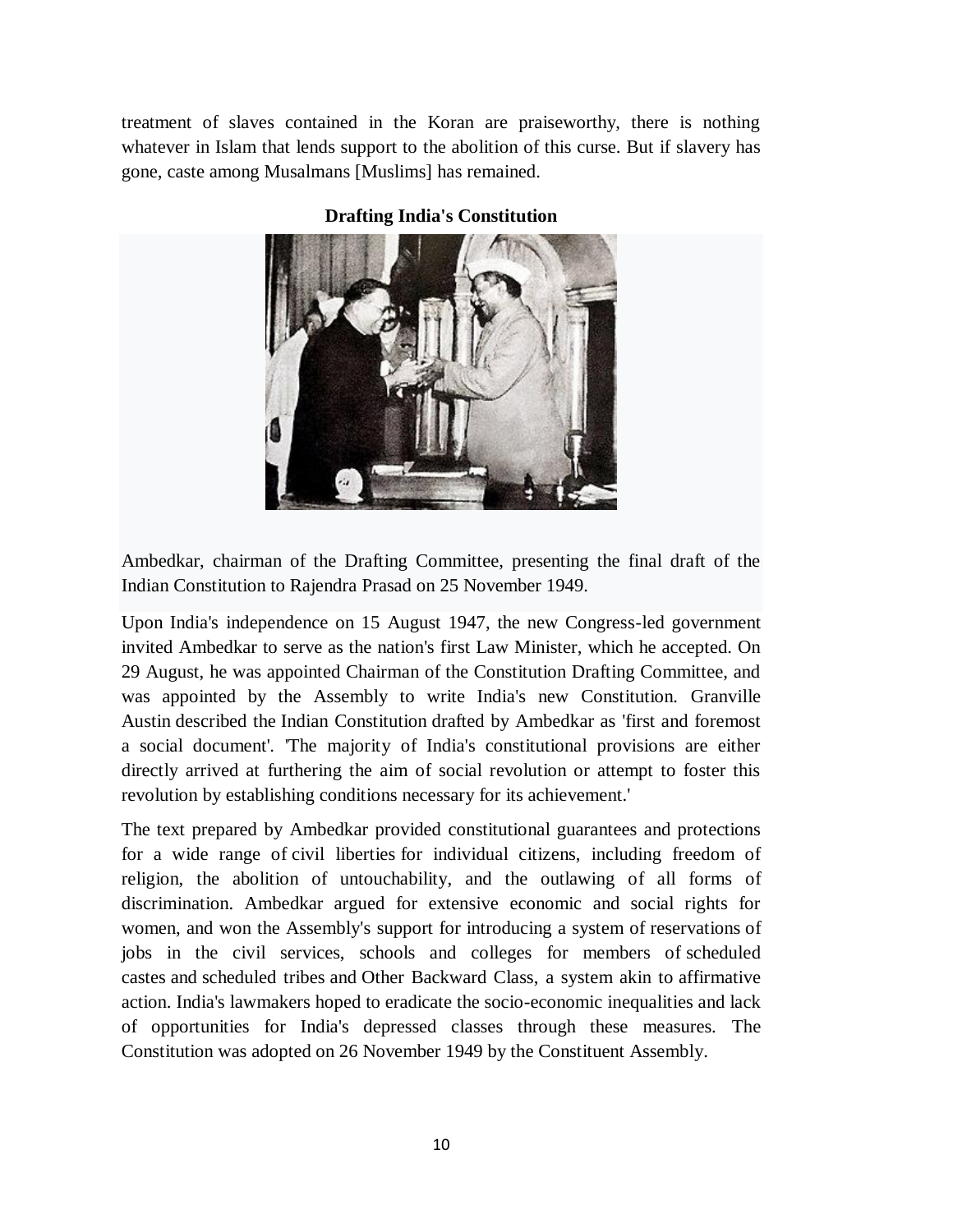or divine, professing to follow the same professional callings and are regarded by those who are competent to give an opinion as forming a single homogeneous community."

(4) Dr. Ketkar defines caste as "a social group having two characteristics: (i) membership is confined to those who are born of members and includes all persons so born; (ii) the members are forbidden by an inexorable social law to marry outside the group."

7. To review these definitions is of great importance for our purpose. It will be noticed that taken individually the definitions of three of the writers include too much or too little: none is complete or correct by itself and all have missed the central point in the mechanism of the Caste system. Their mistake lies in trying to define caste as an isolated unit by itself, and not as a group within, and with definite relations to, the system of caste as a whole. Yet collectively all of them are complementary to one another, each one emphasising what has been obscured in the other. By way of criticism, therefore, I will take only those points common to all Castes in each of the above definitions which are regarded as peculiarities of Caste and evaluate them as such.

8. To start with Mr. Senart. He draws attention to the "idea of pollution" as a characteristic of Caste. With regard to this point it may be safely said that it is by no means a peculiarity of Caste as such. It usually originates in priestly ceremonialism and is a particular case of the general belief in purity. Consequently its necessary connection with Caste may be completely denied without damaging the working of Caste. The "idea of pollution" has been attached to the institution of Caste, only because the Caste that enjoys the highest rank is the priestly Caste: while we know that priest and purity are old associates. We may therefore conclude that the "idea of pollution" is a characteristic of Caste only in so far as Caste has a religious flavour.

9. Mr. Nesfield in his way dwells on the absence of messing with those outside the Caste as one of its characteristics. In spite of the newness of the point we must say that Mr. Nesfield has mistaken the effect for the cause. Caste, being a self-enclosed unit, naturally limits social intercourse, including messing etc., to members within it. Consequently this absence of messing with outsiders is not due to positive prohibition, but is a natural result of Caste, i.e. exclusiveness. No doubt this absence of messing, originally due to exclusiveness, acquired the prohibitory character of a religious injunction, but it may be regarded as a later growth. Sir H. Risley makes no new point deserving of special attention.

10. We now pass on to the definition of Dr. Ketkar who has done much for the elucidation of the subject. Not only is he a native, but he has also brought a critical acumen and an open mind to bear on his study of Caste. His definition merits consideration, for he has defined Caste in its relation to a system of Castes, and has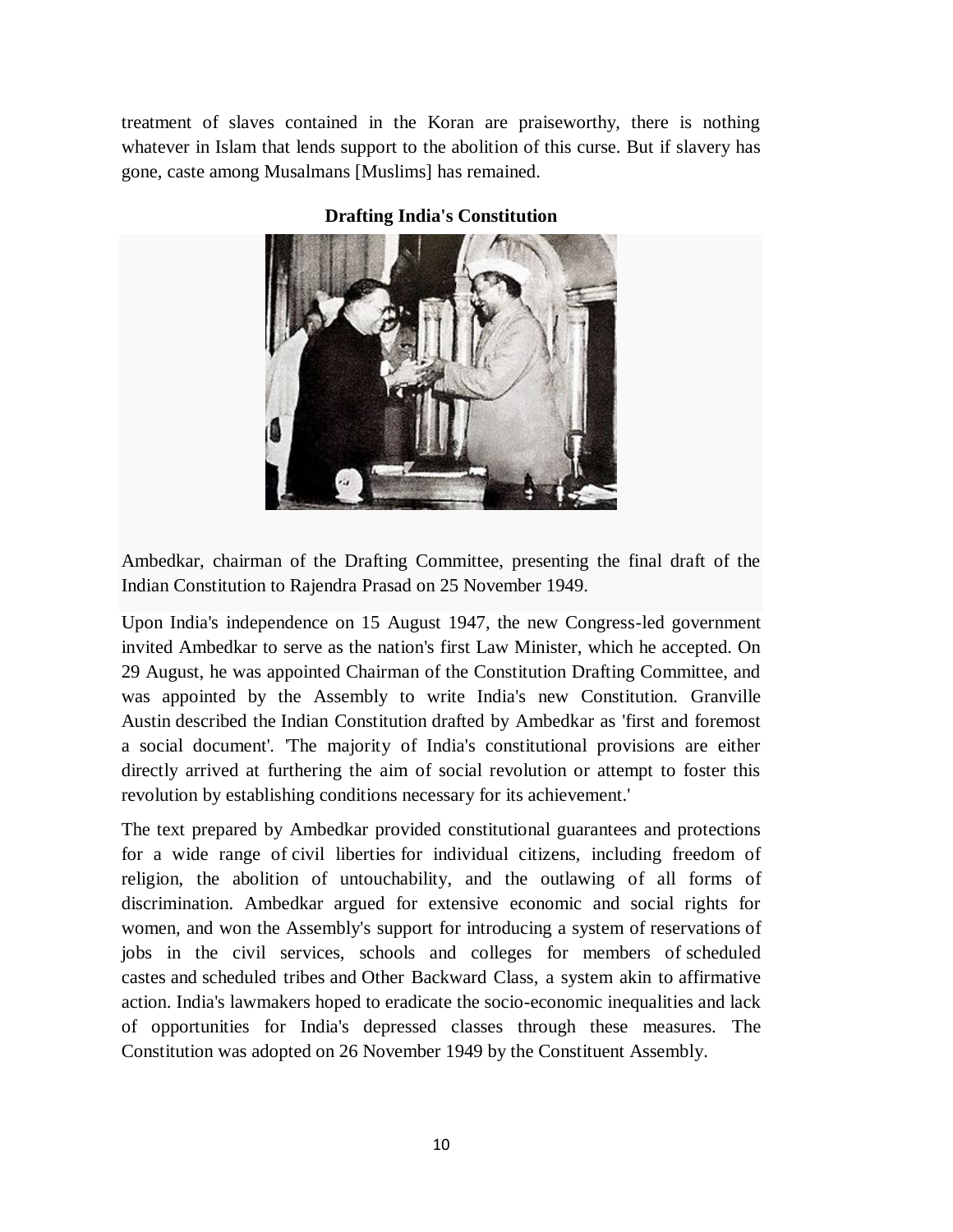concentrated his attention only on those characteristics which are absolutely necessary for the existence of a Caste within a system, rightly excluding all others as being secondary or derivative in character. With respect to his definition it must, however, be said that in it there is a slight confusion of thought, lucid and clear as otherwise it is. He speaks of Prohibition of Intermarriage and Membership by Autogeny as the two characteristics of Caste. I submit that these are but two aspects of one and the same thing, and not two different things as Dr. Ketkar supposes them to be. If you prohibit intermarriage the result is that you limit membership. to those born within the group. Thus the two are the obverse and the reverse sides of the same medal.

11. This critical evaluation of the various characteristics of Caste leave no doubt that prohibition, or rather the absence of intermarriage—endogamy, to be concise—is the only one that can be called the essence of Caste when rightly understood. But some may deny this on abstract anthropological grounds, for there exist endogamous groups without giving rise to the problem of Caste. In a general way this may be true, as endogamous societies, culturally different, making their abode in localities more or less removed, and having little to do with each other are a physical reality. The Negroes and the Whites and the various tribal groups that go by name of American Indians in the United States may be cited as more or less appropriate illustrations in support of this view. But we must not confuse matters, for in India the situation is different. As pointed out before, the peoples of India form a homogeneous whole. The various races of India occupying definite territories have more or less fused into one another and do possess cultural unity, which is the only criterion of a homogeneous population. Given this homogeneity as a basis, Caste becomes a problem altogether new in character and wholly absent in the situation constituted by the mere propinquity of endogamous social or tribal groups. Caste in India means an artificial chopping off of the population into fixed and definite units, each one prevented from fusing into another through the custom of endogamy. Thus the conclusion is inevitable that Endogamy is the only characteristic that is peculiar to caste, and if we succeed in showing how endogamy is maintained, we shall practically have proved the genesis and also the mechanism of Caste.

12. It may not be quite easy for you to anticipate why I regard endogamy as a key to the mystery of the Caste system. Not to strain your imagination too much, I will proceed to give you my reasons for it.

13. It may not also be out of place to emphasize at this moment that no civilized society of today presents more survivals of primitive times than does the Indian society. Its religion is essentially primitive and its tribal code, in spite of the advance of time and civilization, operates in all its pristine vigour even today. One of these primitive survivals, to which I wish particularly to draw your attention, is the Custom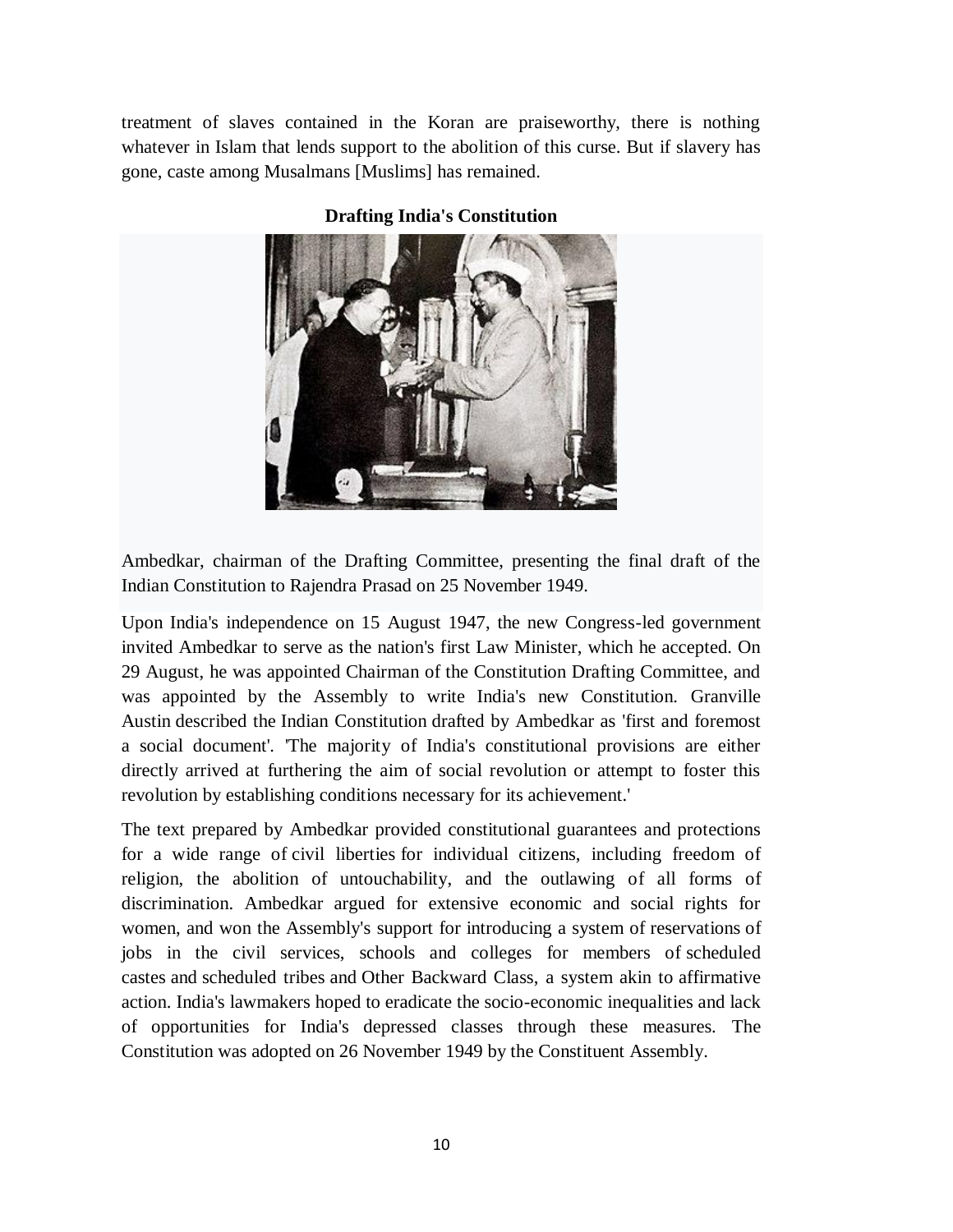of Exogamy. The prevalence of exogamy in the primitive worlds is a fact too wellknown to need any explanation. With the growth of history, however, exogamy has lost its efficacy, and excepting the nearest blood-kins, there is usually no social bar restricting the field of marriage. But regarding the peoples of India the law of exogamy is a positive injunction even today. Indian society still savours of the clan system, even though there are no clans; and this can be easily seen from the law of matrimony which centres round the principle of exogamy, for it is not that Sapindas (blood-kins) cannot marry, but a marriage even between Sagotras (of the same class) is regarded as a sacrilege.

14. Nothing is therefore more important for you to remember than the fact that endogamy is foreign to the people of India. The various Gotras of India are and have been exogamous: so are the other groups with totemic organization. It is no exaggeration to say that with the people of India exogamy is a creed and none dare infringe it, so much so that, in spite of the endogamy of the Castes within them, exogamy is strictly observed and that there are more rigorous penalties for violating exogamy than there are for violating endogamy. You will, therefore, readily see that with exogamy as the rule there could be no Caste, for exogamy means fusion. But we have castes; consequently in the final analysis creation of Castes, so far as India is concerned, means the superposition of endogamy on exogamy. However, in an originally exogamous population an easy working out of endogamy (which is equivalent to the creation of Caste) is a grave problem, and it is in the consideration of the means utilized for the preservation of endogamy against exogamy that we may hope to find the solution of our problem.

15. Thus the superposition of endogamy on exogamy means the creation of caste. But this is not an easy affair. Let us take an imaginary group that desires to make itself into a Caste and analyse what means it will have to adopt to make itself endogamous. If a group desires to make itself endogamous a formal injunction against intermarriage with outside groups will be of no avail, especially if prior to the introduction of endogamy, exogamy had been the rule in all matrimonial relations. Again, there is a tendency in all groups lying in close contact with one another to assimilate and amalgamate, and thus consolidate into a homogeneous society. If this tendency is to be strongly counteracted in the interest of Caste formation, it is absolutely necessary to circumscribe a circle outside which people should not contract marriages.

16. Nevertheless, this encircling to prevent marriages from without creates problems from within which are not very easy of solution. Roughly speaking, in a normal group the two sexes are more or less evenly distributed, and generally speaking there is an equality between those of the same age. The equality is, however, never quite realized in actual societies. At the same time to the group that is desirous of making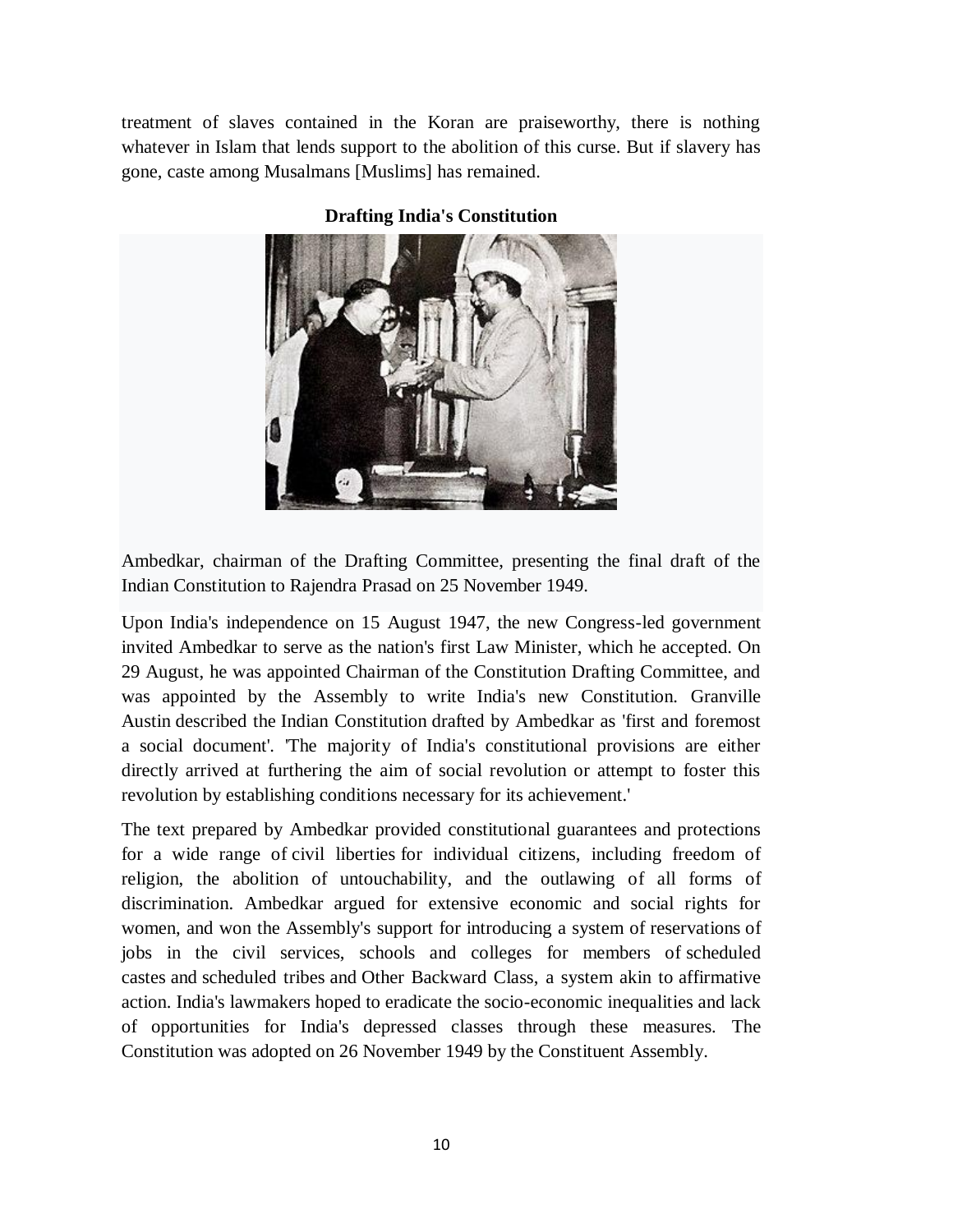itself into a caste the maintenance of equality between the sexes becomes the ultimate goal, for without it endogamy can no longer subsist. In other words, if endogamy is to be preserved conjugal rights from within have to be provided for, otherwise members of the group will be driven out of the circle to take care of themselves in any way they can. But in order that the conjugal rights be provided for from within, it is absolutely necessary to maintain a numerical equality between the marriageable units of the two sexes within the group desirous of making itself into a Caste. It is only through the maintenance of such an equality that the necessary endogamy of the group can be kept intact, and a very large disparity is sure to break it.

17. The problem of Caste, then, ultimately resolves itself into one of repairing the disparity between the marriageable units of the two sexes within it. Left to nature, the much needed parity between the units can be realized only when a couple dies simultaneously. But this is a rare contingency. The husband may die before the wife and create a surplus woman, who must be disposed of, else through intermarriage she will violate the endogamy of the group. In like manner the husband may survive, his wife and be a surplus man, whom the group, while it may sympathise with him for the sad bereavement, has to dispose of, else he will marry outside the Caste and will break the endogamy. Thus both the surplus man and the surplus woman constitute a menace to the Caste if not taken care of, for not finding suitable partners inside their prescribed circle (and left to themselves they cannot find any, for if the matter be not regulated there can only be just enough pairs to go round) very likely they will transgress the boundary, marry outside and import offspring that is foreign to the Caste.

18. Let us see what our imaginary group is likely to do with this surplus man and surplus woman. We will first take up the case of the surplus woman. She can be disposed of in two different ways so as to preserve the endogamy of the Caste.

19. First: burn her on the funeral pyre of her deceased husband and get rid of her. This, however, is rather an impracticable way of solving the problem of sex disparity. In some cases it may work, in others it may not. Consequently every surplus woman cannot thus be disposed of, because it is an easy solution but a hard realization. And so the surplus woman (= widow), if not disposed of, remains in the group: but in her very existence lies a double danger. She may marry outside the Caste and violate endogamy, or she may marry within the Caste and through competition encroach upon the chances of marriage that must be reserved for the potential brides in the Caste. She is therefore a menace in any case, and something must be done to her if she cannot be burned along with her deceased husband.

20. The second remedy is to enforce widowhood on her for the rest of her life. So far as the objective results are concerned, burning is a better solution than enforcing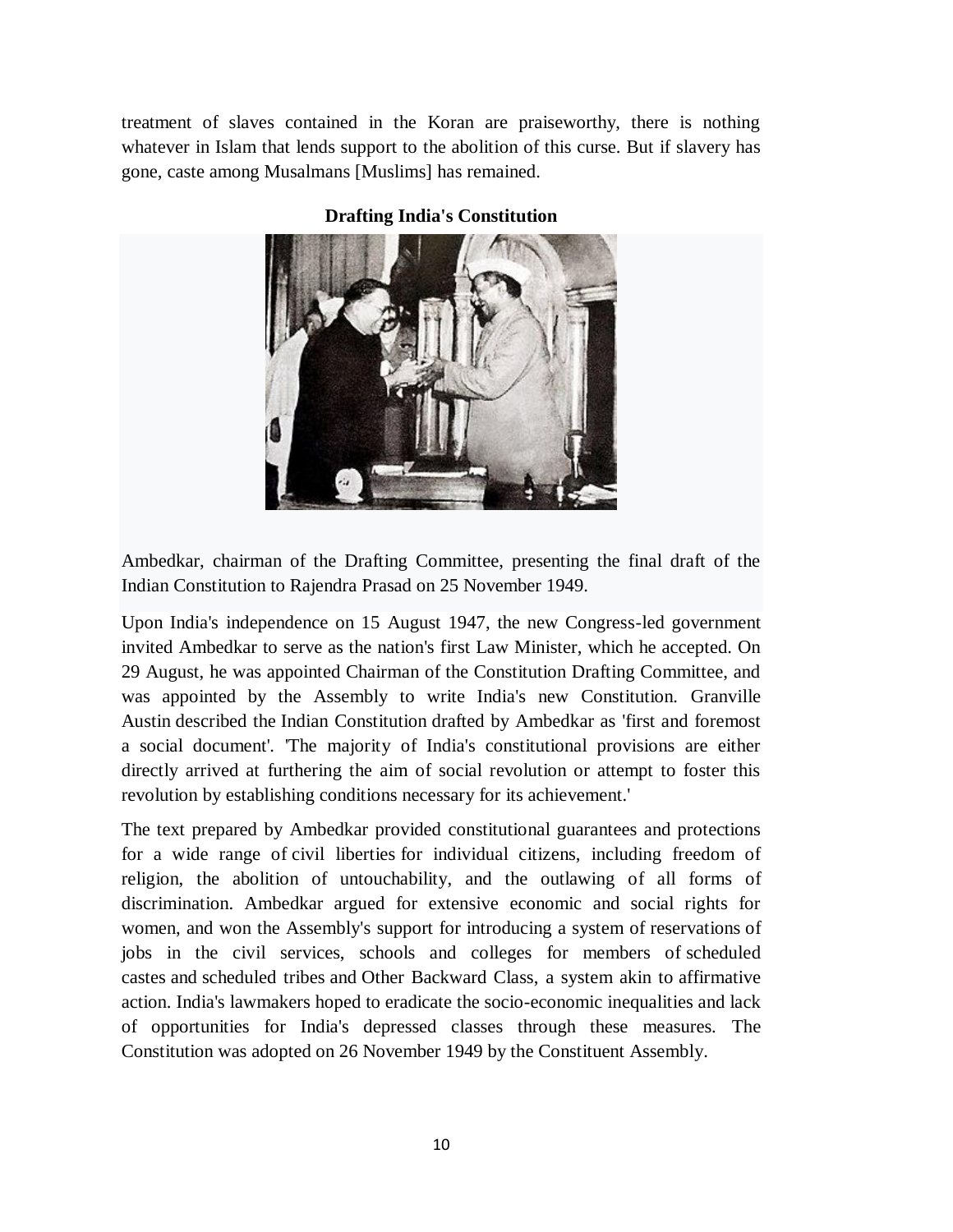widowhood. Burning the widow eliminates all the three evils that a surplus woman is fraught with. Being dead and gone she creates no problem of remarriage either inside or outside the Caste. But compulsory widowhood is superior to burning because it is more practicable. Besides being comparatively humane it also guards against the evils of remarriage as does burning; but it fails to guard the morals of the group. No doubt under compulsory widowhood the woman remains, and just because she is deprived of her natural right of being a legitimate wife in future, the incentive to immoral conduct is increased. But this is by no means an insuperable difficulty. She can be degraded to a condition in which she is no longer a source of allurement.

21. The problem of the surplus man (= widower) is much more important and much more difficult than that of the surplus woman in a group that desires to make itself into a Caste. From time immemorial man as compared with woman has had the upper hand. He is a dominant figure in every group and of the two sexes has greater prestige. With this traditional superiority of man over woman his wishes have always been consulted. Woman, on the other hand, has been an easy prey to all kinds of iniquitous injunctions, religious, social or economic. But man as a maker of injunctions is most often above them all. Such being the case, you cannot accord the same kind of treatment to a surplus man as you can to a surplus woman in a Caste.

22. The project of burning him with his deceased wife is hazardous in two ways: first of all it cannot be done, simply because he is a man. Secondly, if done, a sturdy soul is lost to the Caste. There remain then only two solutions which can conveniently dispose of him. I say conveniently, because he is an asset to the group.

23. Important as he is to the group, endogamy is still more important, and the solution must assure both these ends. Under these circumstances he may be forced or I should say induced, after the manner of the widow, to remain a widower for the rest of his life. This solution is not altogether difficult, for without any compulsion some are so disposed as to enjoy self-imposed celibacy, or even to take a further step of their own accord and renounce the world and its joys. But, given human nature as it is, this solution can hardly be expected to be realized. On the other hand, as is very likely to be the case, if the surplus man remains in the group as an active participator in group activities, he is a danger to the morals of the group. Looked at from a different point of view celibacy, though easy in cases where it succeeds, is not so advantageous even then to the material prospects of the Caste. If he observes genuine celibacy and renounces the world, he would not be a menace to the preservation of Caste endogamy or Caste morals as he undoubtedly would be if he remained a secular person. But as an ascetic celibate he is as good as burned, so far as the material wellbeing of his Caste is concerned. A Caste, in order that it may be large enough to afford a vigorous communal life, must be maintained at a certain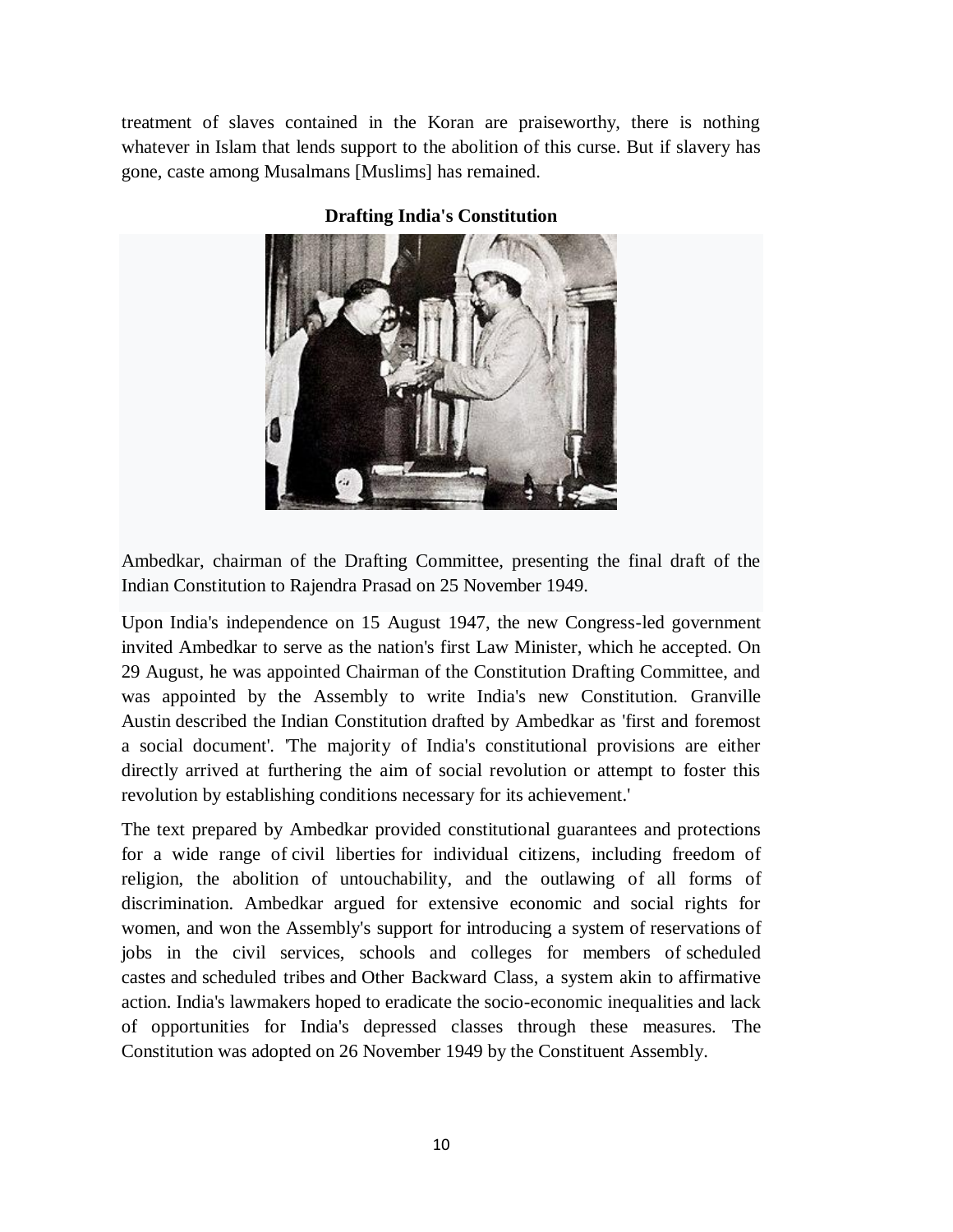numerical strength. But to hope for this and to proclaim celibacy is the same as trying to cure atrophy by bleeding.

24. Imposing celibacy on the surplus man in the group, therefore, fails both theoretically and practically. It is in the interest of the Caste to keep him as a Grahastha (one who raises a family), to use a Sanskrit technical term. But the problem is to provide him with a wife from within the Caste. At the outset this is not possible, for the ruling ratio in a caste has to be one man to one woman and none can have two chances of marriage, for in a Caste thoroughly self-enclosed there are always just enough marriageable women to go round for the marriageable men. Under these circumstances the surplus man can be provided with a wife only by recruiting a bride from the ranks of those not yet marriageable in order to tie him down to the group. This is certainly the best of the possible solutions in the case of the surplus man. By this, he is kept within the Caste. By this means numerical depletion through constant outflow is guarded against, and by this endogamy and morals are preserved.

25. It will now be seen that the four means by which numerical disparity between the two sexes is conveniently maintained are: (1) burning the widow with her deceased husband; (2) compulsory widowhood—a milder form of burning; (3) imposing celibacy on the widower; and (4) wedding him to a girl not yet marriageable. Though, as I said above, burning the widow and imposing celibacy on the widower are of doubtful service to the group in its endeavour to preserve its endogamy, all of them operate as means. But means, as forces, when liberated or set in motion create an end. What then is the end that these means create? They create and perpetuate endogamy, while caste and endogamy, according to our analysis of the various definitions of caste, are one and the same thing. Thus the existence of these means is identical with caste and caste involves these means.

26. This, in my opinion, is the general mechanism of a caste in a system of castes. Let us now turn from these high generalities to the castes in Hindu Society and inquire into their mechanism. I need hardly premise that there are a great many pitfalls in the path of those who try to unfold the past, and caste in India to be sure is a very ancient institution. This is especially true where there exist no authentic or written records or where the people, like the Hindus, are so constituted that to them writing history is a folly, for the world is an illusion. But institutions do live, though for a long time they may remain unrecorded and as often as not customs and morals are like fossils that tell their own history. If this is true, our task will be amply rewarded if we scrutinize the solution the Hindus arrived at to meet the problems of the surplus man and surplus woman.

27. Complex though it be in its general working the Hindu Society, even to a superficial observer, presents three singular uxorial customs, namely: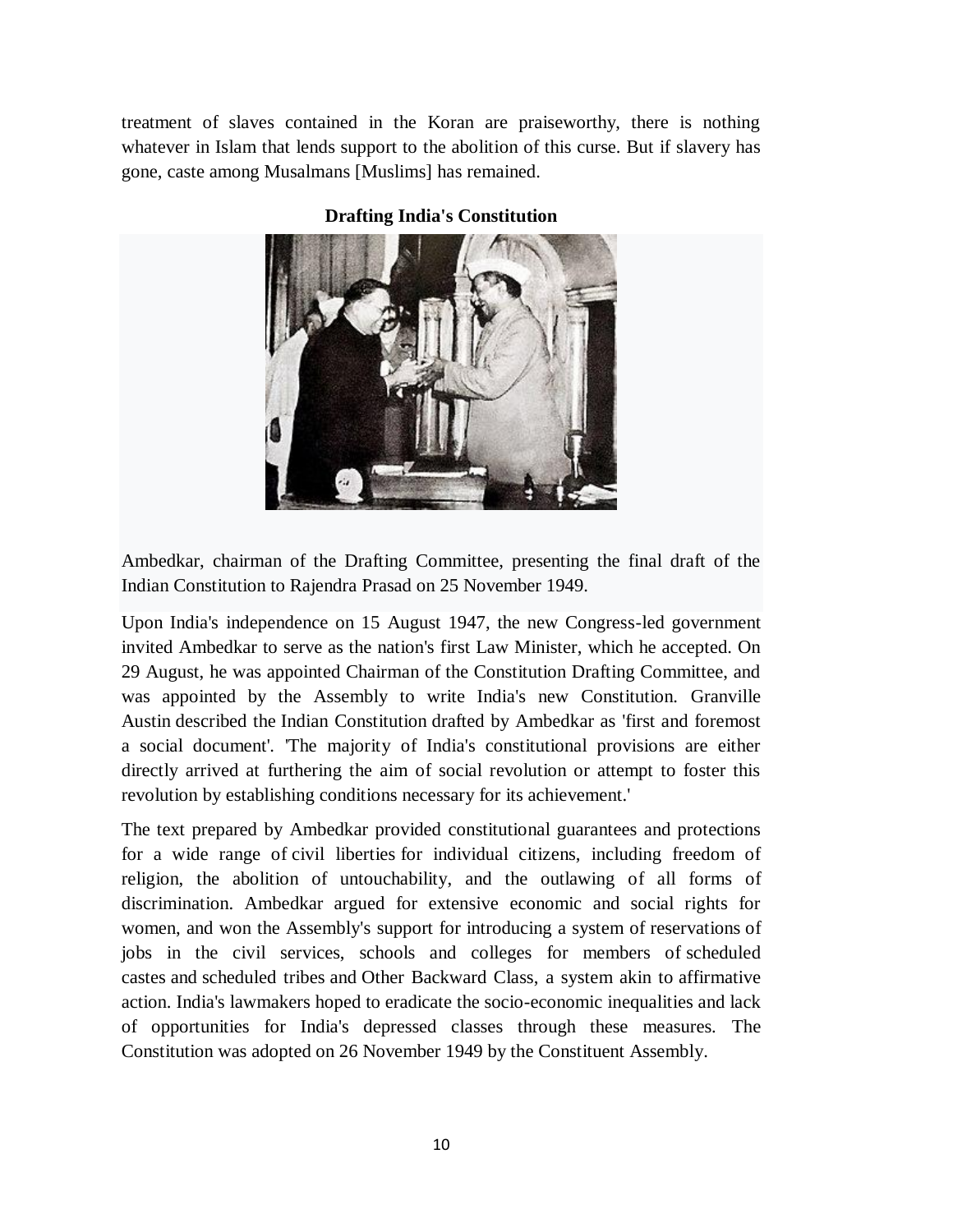(i) Sati or the burning of the widow on the funeral pyre of her deceased husband.

(ii) Enforced widowhood by which a widow is not allowed to remarry.

(iii) Girl marriage. In addition, one also notes a great hankering after Sannyasa (renunciation) on the part of the widower, but this may in some cases be due purely to psychic disposition.

28. So far as I know, no scientific explanation of the origin of these customs is forthcoming even today. We have plenty of philosophy to tell us why these customs were honoured, but nothing to tell us the causes of their origin and existence. Sati has been honoured (Cf. A. K. Coomaraswamy, "Sati: A Defence of the Eastern Woman" in the British Sociological Review, Vol. VI, 1913) because it is a "proof of the perfect unity of body and soul" between husband and wife and of "devotion beyond the grave," because it embodied the ideal of wifehood, which is well expressed by Uma when she said, "Devotion to her Lord is woman's honour, it is her eternal heaven: and Maheshvara," she adds with a most touching human cry, "I desire not paradise itself if thou are not satisfied with me!" Why compulsory widowhood is honoured I know not, nor have I yet met with any one who sang in praise of it, though there are a great many who adhere to it. The eulogy in honour of girl marriage is reported by Dr. Ketkar to be as follows: "A really faithful man or woman ought not to feel affection for a woman or a man other than the one with whom he or she is united. Such purity is compulsory not only after marriage, but even before marriage, for that is the only correct ideal of chastity. No maiden could be considered pure if she feels love for a man other than the one to whom she might be married. As she does not know to whom she is going to be married, she must not feel affection, for any man at all before marriage. If she does so, it is a sin. So it is better for a girl to know whom she has to love before any sexual consciousness has been awakened in her" (History of Caste in India, 1909, pp. 2-33.). Hence girl marriage.

29. This high-flown and ingenious sophistry indicates why these institutions were honoured, but does not tell us why they were practiced. My own interpretation is that they were honoured because they were practiced. Any one slightly acquainted with the rise of individualism in the 18th century will appreciate my remark. At all times, it is the movement that is most important; and the philosophies grow around it long afterwards to justify it and give it a moral support. In like manner I urge that the very fact that these customs were so highly eulogized proves that they needed eulogy for their prevalence. Regarding the question as to why they arose, I submit that they were needed to create the structure of caste and the philosophies in honour of them were intended to popularise them, or to gild the pill, as we might say, for they must have been so abominable and shocking to the moral sense of the unsophisticated that they needed a great deal of sweetening. These customs are essentially of the nature of means, though they are represented as ideals. But this should not blind us from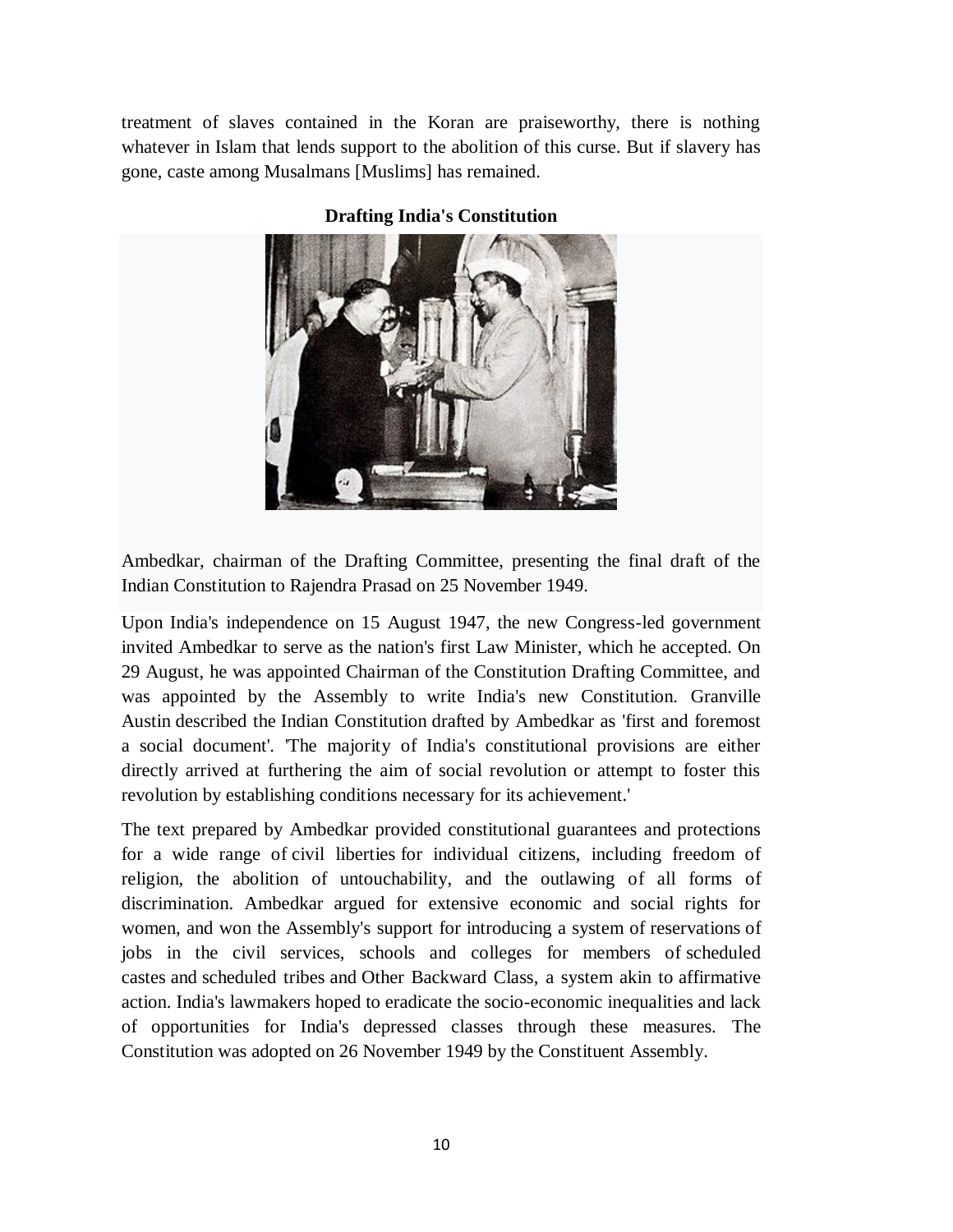understanding the results that flow from them. One might safely say that idealization of means is necessary and in this particular case was perhaps motivated to endow them with greater efficacy. Calling a means an end does no harm, except that it disguises its real character; but it does not deprive it of its real nature, that of a means. You may pass a law that all cats are dogs, just as you can call a means an end. But you can no more change the nature of means thereby than you can turn cats into dogs; consequently I am justified in holding that, whether regarded as ends or as means, Sati, enforced widowhood and girl marriage are customs that were primarily intended to solve the problem of the surplus man and surplus woman in a caste and to maintain its endogamy. Strict endogamy could not be preserved without these customs, while caste without endogamy is a fake.

30. Having explained the mechanism of the creation and preservation of Caste in India, the further question as to its genesis naturally arises. The question of origin is always an annoying question and in the study of Caste it is sadly neglected; some have connived at it, while others have dodged it. Some are puzzled as to whether there could be such a thing as the origin of caste and suggest that "if we cannot control our fondness for the word 'origin,' we should better use the plural form, viz. 'origins of caste.'" As for myself I do not feel puzzled by the Origin of Caste in India for, as I have established before, endogamy is the only characteristic of Caste and when I say Origin of Caste I mean The Origin of the Mechanism for Endogamy.

31. The atomistic conception of individuals in a Society so greatly popularised— I was about to say vulgarised—in political orations is the greatest humbug. To say that individuals make up society is trivial; society is always composed of classes. It may be an exaggeration to assert the theory of class-conflict, but the existence of definite classes in a society is a fact. Their basis may differ. They may be economic or intellectual or social, but an individual in a society is always a member of a class. This is a universal fact and early Hindu society could not have been an exception to this rule, and, as a matter of fact, we know it was not. If we bear this generalization in mind, our study of the genesis of caste would be very much facilitated, for we have only to determine what was the class that first made itself into a caste, for class and caste, so to say, are next door neighbours, and it is only a span that separates the two. A Caste is an Enclosed Class.

32. The study of the origin of caste must furnish us with an answer to the question what is the class that raised this "enclosure" around itself? The question may seem too inquisitorial, but it is pertinent, and an answer to this will serve us to elucidate the mystery of the growth and development of castes all over India. Unfortunately a direct answer to this question is not within my power. I can answer it only indirectly. I said just above that the customs in question were current in the Hindu society. To be true to facts it is necessary to qualify the statement, as it connotes universality of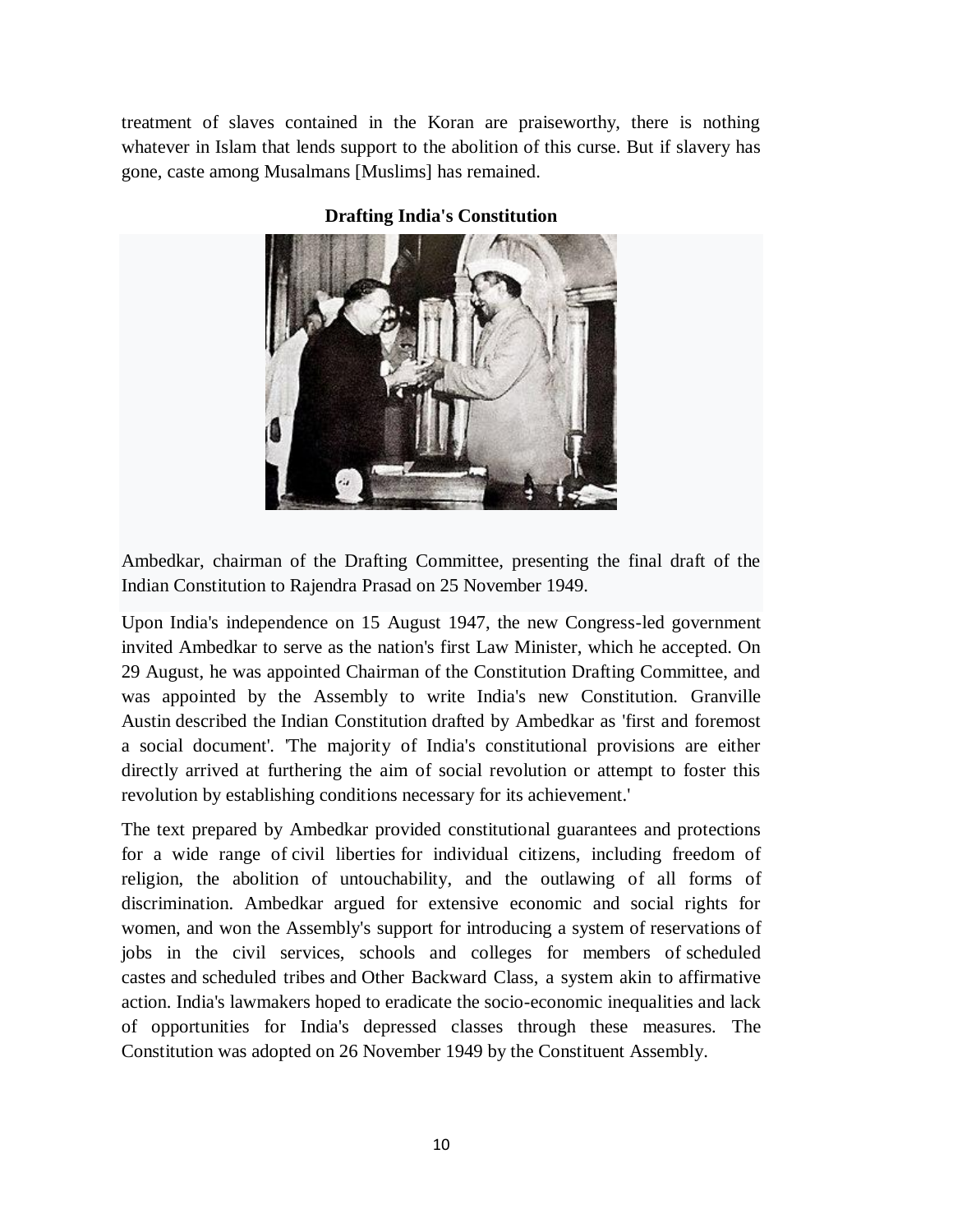their prevalence. These customs in all their strictness are obtainable only in one caste, namely the Brahmins, who occupy the highest place in the social hierarchy of the Hindu society; and as their prevalence in non-Brahmin castes is derivative, their observance is neither strict nor complete. This important fact can serve as a basis of an important observation. If the prevalence of these customs in the non-Brahmin Castes is derivative, as can be shown very easily, then it needs no argument to prove what class is the father of the institution of caste. Why the Brahmin class should have enclosed itself into a caste is a different question, which may be left as an employment for another occasion. But the strict observance of these customs and the social superiority arrogated by the priestly class in all ancient civilizations are sufficient to prove that they were the originators of this "unnatural institution" founded and maintained through these unnatural means.

33. I now come to the third part of my paper regarding the question of the growth and spread of the caste system all over India. The question I have to answer is: How did the institution of caste spread among the rest of the non-Brahmin population of the country? The question of the spread of the castes all over India has suffered a worse fate than the question of genesis. And the main cause, as it seems to me, is that the two questions of spread and of origin are not separated. This is because of the common belief among scholars that the caste system has either been imposed upon the docile population of India by a law-giver as a divine dispensation, or that it has grown according to some law of social growth peculiar to the Indian people.

34. I first propose to handle the law-giver of India. Every country has its law-giver, who arises as an incarnation (avatar) in times of emergency to set right a sinning humanity and give it the laws of justice and morality. Manu, the law-giver of India, if he did exist, was certainly an audacious person. If the story that he gave the law of caste be credited, then Manu must have been a dare-devil fellow and the humanity that accepted his dispensation must be a humanity quite different from the one we are acquainted with. It is unimaginable that the law of caste was given. It is hardly an exaggeration to say that Manu could not have outlived his law, for what is that class that can submit to be degraded to the status of brutes by the pen of a man, and suffer him to raise another class to the pinnacle? Unless he was a tyrant who held all the population in subjection it cannot be imagined that he could have been allowed to dispense his patronage in this grossly unjust manner, as may be easily seen by a mere glance at his "Institutes." I may seem hard on Manu, but I am sure my force is not strong enough to kill his ghost. He lives like a disembodied spirit and is appealed to, and I am afraid will yet live long. One thing I want to impress upon you is that Manu did not give the law of Caste and that he could not do so. Caste existed long before Manu. He was an upholder of it and therefore philosophised about it, but certainly he did not and could not ordain the present order of Hindu Society. His work ended with the codification of existing caste rules and the preaching of Caste Dharma. The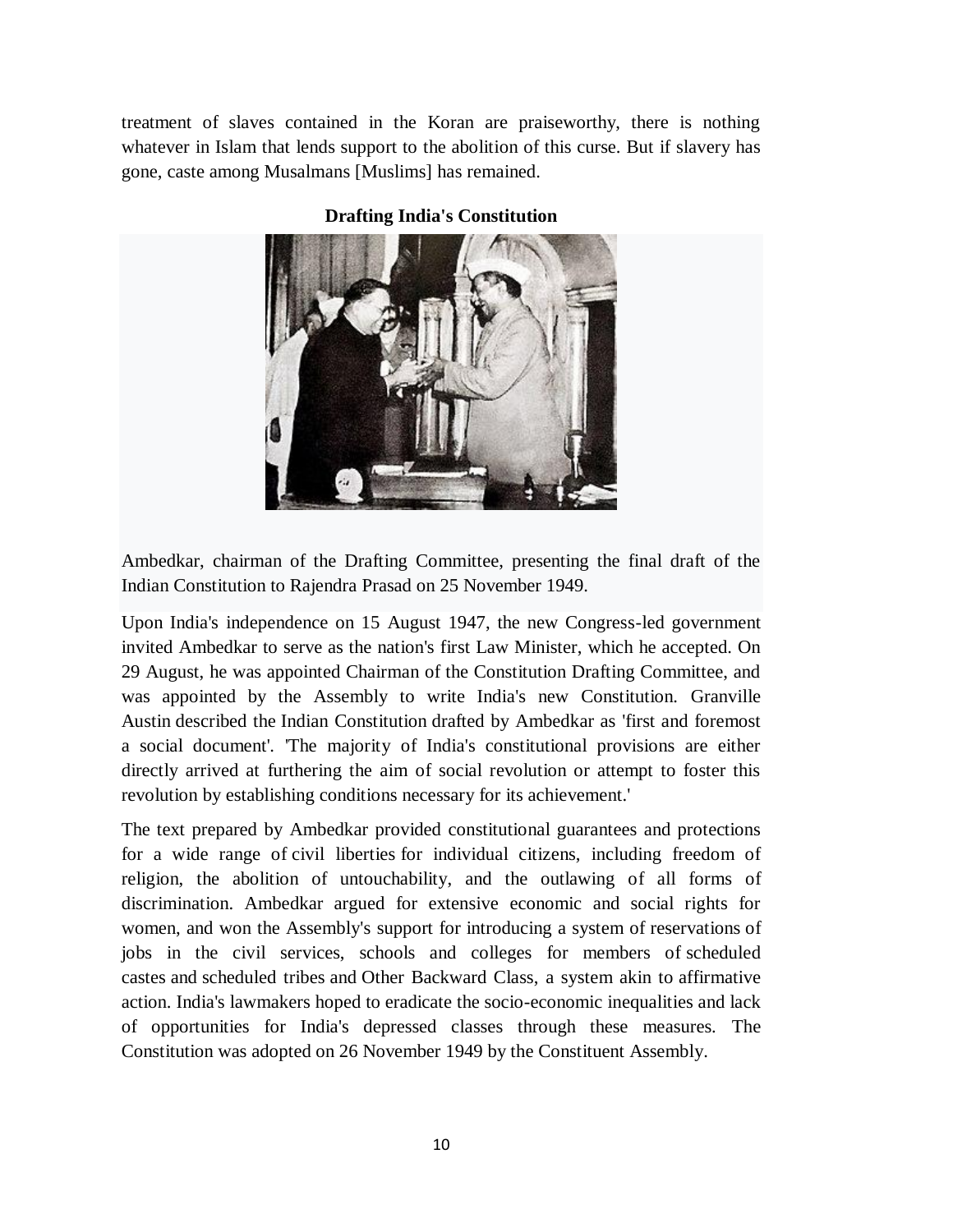spread and growth of the Caste system is too gigantic a task to be achieved by the power or cunning of an individual or of a class. Similar in argument is the theory that the Brahmins created the Caste. After what I have said regarding Manu, I need hardly say anything more, except to point out that it is incorrect in thought and malicious in intent. The Brahmins may have been guilty of many things, and I dare say they were, but the imposing of the caste system on the non-Brahmin population was beyond their mettle. They may have helped the process by their glib philosophy, but they certainly could not have pushed their scheme beyond their own confines. To fashion society after one's own pattern! How glorious! How hard! One can take pleasure and eulogize its furtherance; but cannot further it very far. The vehemence of my attack may seem to be unnecessary; but I can assure you that it is not uncalled for. There is a strong belief in the mind of orthodox Hindus that the Hindu Society was somehow moulded into the framework of the Caste System and that it is an organization consciously created by the Shastras. Not only does this belief exist, but it is being justified on the ground that it cannot but be good, because it is ordained by the Shastras and the Shastras cannot be wrong. I have urged so much on the adverse side of this attitude, not because the religious sanctity is grounded on scientific basis, nor to help those reformers who are preaching against it. Preaching did not make the caste system; neither will it unmake it. My aim is to show the falsity of the attitude that has exalted religious sanction to the position of a scientific explanation.

35. Thus the great man theory does not help us very far in solving the spread of castes in India. Western scholars, probably not much given to hero-worship, have attempted other explanations. The nuclei, round which have "formed" the various castes in India, are, according to them:

- 1. occupation;
- 2. survivals of tribal organization etc.;
- 3. the rise of new belief;
- 4. cross-breeding;
	- and
- 5. migration.

36. The question may be asked whether these nuclei do not exist in other societies and whether they are peculiar to India. If they are not peculiar to India, but are common to the world, why is it that they did not "form" caste on other parts of this planet? Is it because those parts are holier than the land of the Vedas, or that the professors are mistaken? I am afraid that the latter is the truth.

37. In spite of the high theoretic value claimed by the several authors for their respective theories based on one or other of the above nuclei, one regrets to say that on close examination they are nothing more than filling illustrations—what Matthew Arnold means by "the grand name without the grand thing in it." Such are the various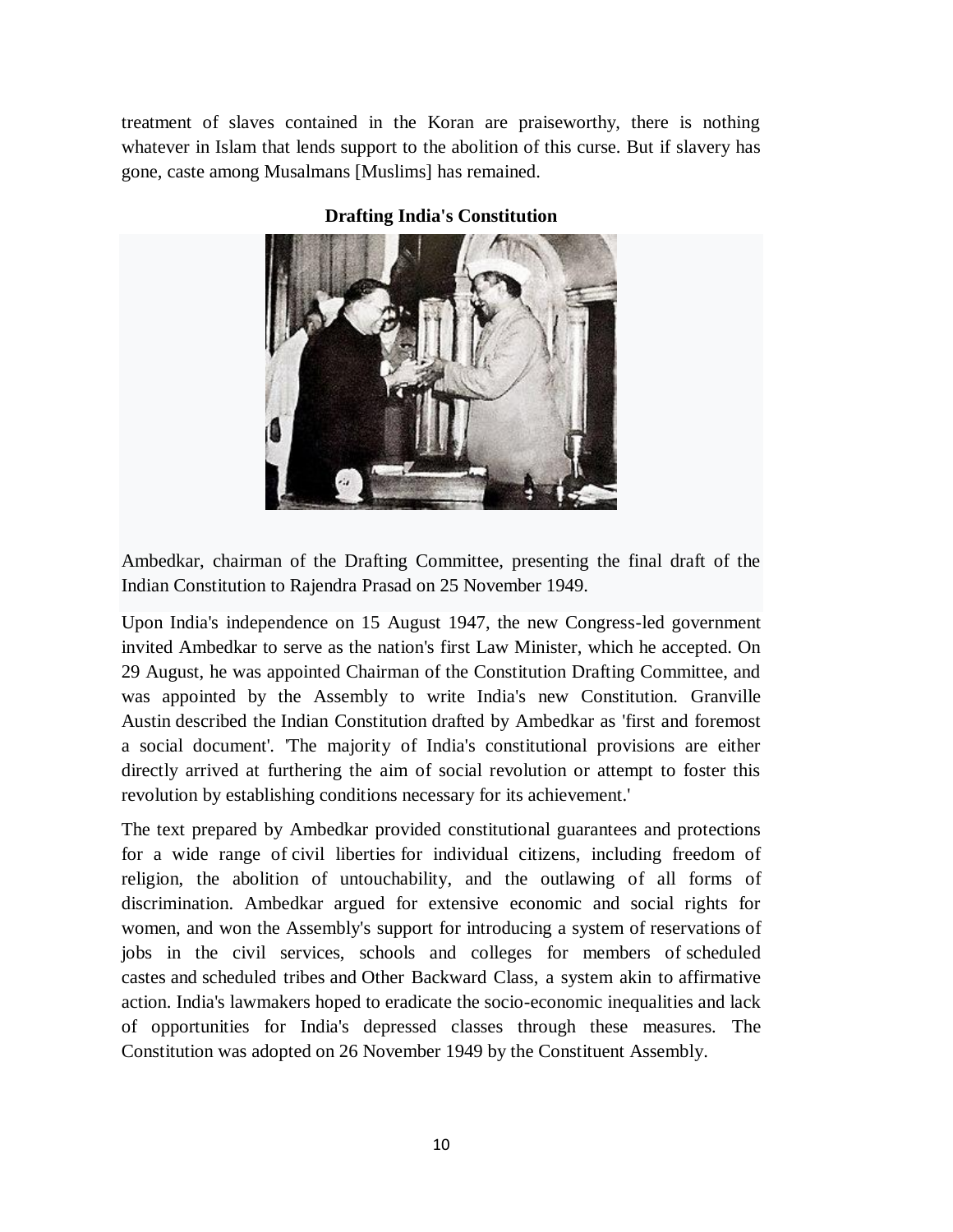theories of caste advanced by Sir Denzil lbbetson, Mr. Nesfield, Mr. Senart and Sir H. Risley. To criticise them in a lump would be to say that they are a disguised form of the Petitio Principii of formal logic. To illustrate: Mr. Nesfield says that " function and function only. . . was the foundation upon which the whole system of Castes in India was built up." But he may rightly be reminded that he does not very much advance our thought by making the above statement, which practically amounts to saying that castes in India are functional or occupational, which is a very poor discovery! We have yet to know from Mr. Nesfield why is it that an occupational group turned into an occupational caste? I would very cheerfully have undertaken the task of dwelling on the theories of other ethnologists, had it not been for the fact that Mr. Nesfield's is a typical one.

38. Without stopping to criticize those theories that explain the caste system as a natural phenomenon occurring in obedience to the law of disintegration, as explained by Herbert Spencer in his formula of evolution; or as natural as "the structural differentiation within an organism," to employ the phraseology of orthodox apologists; or as an early attempt to test the laws of eugenics—as all belonging to the same class of fallacy which regards the caste system as inevitable, or as being consciously imposed in anticipation of these laws on a helpless and humble population, I will now lay before you my own view on the subject.

39. We shall be well advised to recall at the outset that the Hindu society, in common with other societies, was composed of classes and the earliest known are

- (1) the Brahmins or the priestly class;
- (2) the Kshatriya, or the military class;
- (3) the Vaishya, or the merchant class; and
- (4) the Shudra, or the artisan and menial class.

Particular attention has to be paid to the fact that this was essentially a class system, in which individuals, when qualified, could change their class, and therefore classes did change their personnel. At some time in the history of the Hindus, the priestly class socially detached itself from the rest of the body of people and through a closed-door policy became a caste by itself . The other classes being subject to the law of social division of labour underwent differentiation, some into large, others into very minute, groups. The Vaishya and Shudra classes were the original inchoate plasm, which formed the sources of the numerous castes of today. As the military occupation does not very easily lend itself to very minute sub-division, the Kshatriya class could have differentiated into soldiers and administrators.

40. This sub-division of a society is quite natural. But the unnatural thing about these sub-divisions is that they have lost the open-door character of the class system and have become self-enclosed units called castes. The question is: were they compelled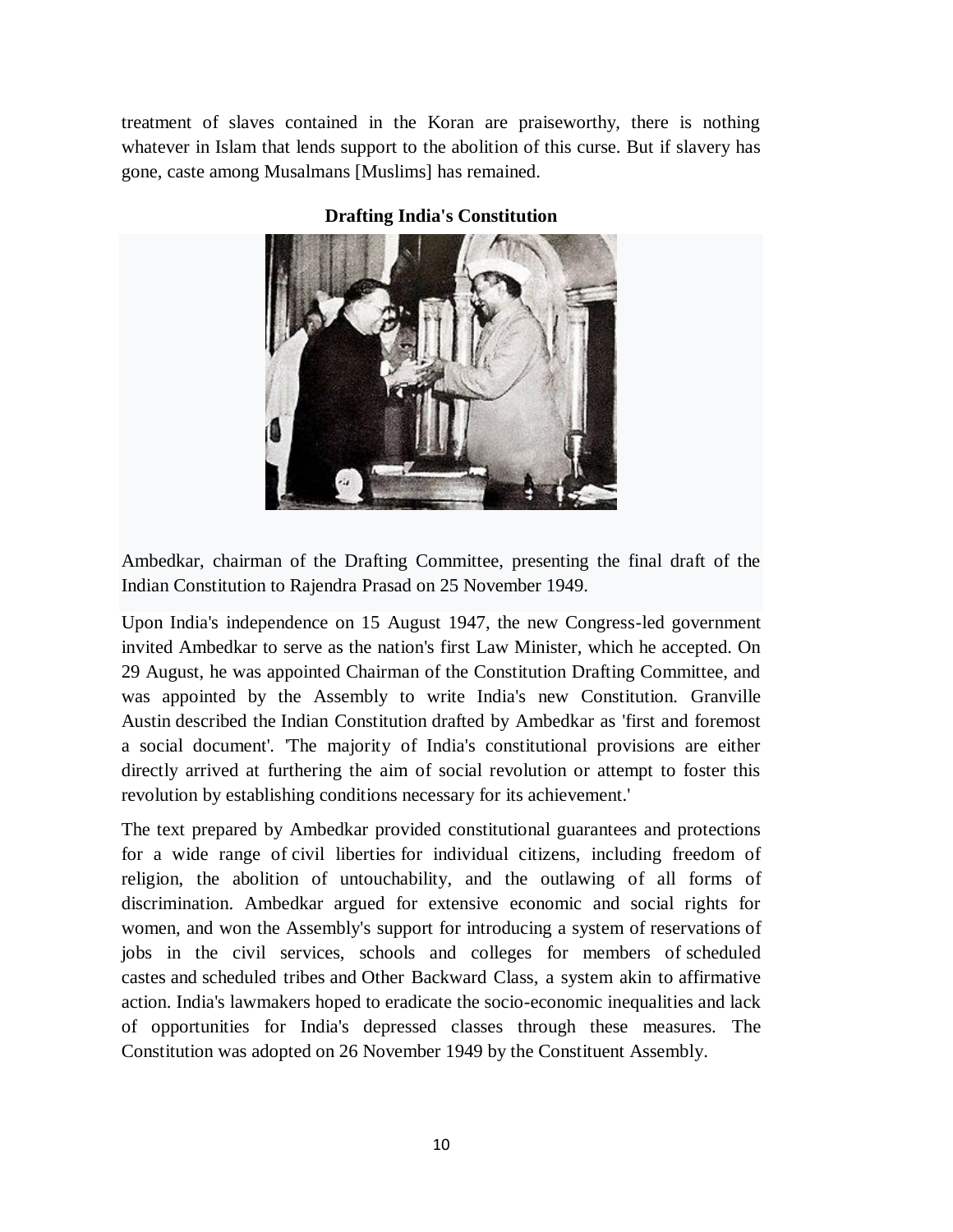to close their doors and become endogamous, or did they close them of their own accord? I submit that there is a double line of answer: Some closed the door: Others found it closed against them. The one is a psychological interpretation and the other is mechanistic, but they are complementary and both are necessary to explain the phenomena of caste-formation in its entirety.

41. I will first take up the psychological interpretation. The question we have to answer in this connection is: Why did these sub-divisions or classes, if you please, industrial, religious or otherwise, become self-enclosed or endogamous? My answer is because the Brahmins were so. Endogamy or the closed-door system, was a fashion in the Hindu society, and as it had originated from the Brahmin caste it was whole-heartedly imitated by all the non-Brahmin sub-divisions or classes, who, in their turn, became endogamous castes. It is "the infection of imitation" that caught all these sub-divisions on their onward march of differentiation and has turned them into castes. The propensity to imitate is a deep-seated one in the human mind and need not be deemed an inadequate explanation for the formation of the various castes in India. It is so deep-seated that Walter Bagehot argues that, "We must not think of . . . imitation as voluntary, or even conscious. On the contrary it has its seat mainly in very obscure parts of the mind, whose notions, so far from being consciously produced, are hardly felt to exist; so far from being conceived beforehand, are not even felt at the time. The main seat of the imitative part of our nature is our belief, and the causes predisposing us to believe this or disinclining us to believe that are among the obscurest parts of our nature. But as to the imitative nature of credulity there can be no doubt" (Physics and Politics, 1915, p. 60). This propensity to imitate has been made the subject of a scientific study by Gabriel Tarde, who lays down three laws of imitation. One of his three laws is that imitation flows from the higher to the lower or, to quote his own words, "Given the opportunity, a nobility will always and everywhere imitate its leaders, its kings or sovereigns, and the people likewise, given the opportunity, its nobility" (Laws of Imitation, tr. by E. C. Parsons, 2nd edition, p. 217). Another of Trade's laws of imitation is: that the extent or intensity of imitation varies inversely in proportion to distance, or in his own words "The thing that is most imitated is the most superior one of those that are nearest. In fact, the influence of the model's example is efficacious inversely to its distance as well as directly to its superiority. Distance is understood here in its sociological meaning. However distant in space a stranger may be, he is close by, from this point of view, if we have numerous and daily relations with him and if we have every facility to satisfy our desire to imitate him. This law of the imitation of the nearest, of the least distant, explains the gradual and consecutive character of the spread of an example that has been set by the higher social ranks"

42. In order to prove my thesis—which really needs no proof—that some castes were formed by imitation, the best way, it seems to me, is to find out whether or not the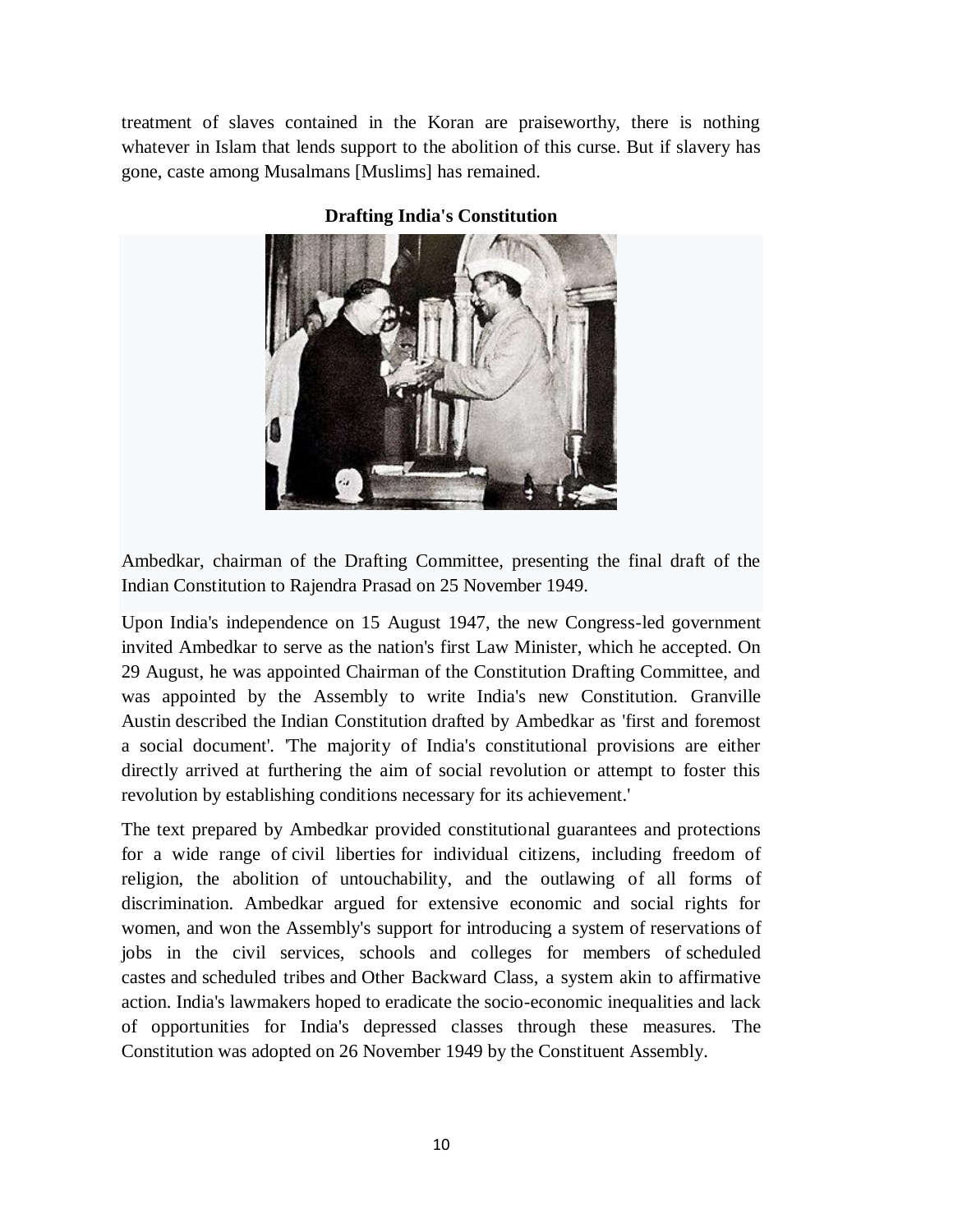vital conditions for the formation of castes by imitation exist in the Hindu Society. The conditions for imitation, according to this standard authority are:

(1) that the source of imitation must enjoy prestige in the group and

(2) that there must be "numerous and daily relations" among members of a group.

That these conditions were present in India there is little reason to doubt. The Brahmin is a semi-god and very nearly a demi-god. He sets up a mode and moulds the rest. His prestige is unquestionable and is the fountain-head of bliss and good. Can such a being, idolised by scriptures and venerated by the priest-ridden multitude, fail to project his personality on the suppliant humanity? Why, if the story be true, he is believed to be the very end of creation. Such a creature is worthy of more than mere imitation, but at least of imitation; and if he lives in an endogamous enclosure, should not the rest follow his example? Frail humanity! Be it embodied in a grave philosopher or a frivolous housemaid, it succumbs. It cannot be otherwise. Imitation is easy and invention is difficult.

43. Yet another way of demonstrating the play of imitation in the formation of castes is to understand the attitude of non-Brahmin classes towards those customs which supported the structure of caste in its nascent days until, in the course of history, it became embedded in the Hindu mind and hangs there to this day without any support—for now it needs no prop but belief—like a weed on the surface of a pond. In a way, but only in a way, the status of a. caste in the Hindu Society varies directly with the extent of the observance of the customs of Sati, enforced widowhood, and girl marriage. But observance of these customs varies directly with the distance (I am using the word in the Tardian sense) that separates the caste. Those castes that are nearest to the Brahmins have imitated all the three customs and insist on the strict observance thereof. Those that are less near have imitated enforced widowhood and girl marriage; others, a little further off, have only girl marriage; and those furthest off have imitated only the belief in the caste principle. This imperfect imitation, I dare say, is due partly to what Tarde calls "distance" and partly to the barbarous character of these customs. This phenomenon is a complete illustration of Tarde's law and leaves no doubt that the whole process of caste-formation in India is a process of imitation of the higher by the lower. At this juncture I will turn back to support a former conclusion of mine, which might have appeared to you as too sudden or unsupported. I said that the Brahmin class first raised the structure of caste by the help of those three customs in question. My reason for that conclusion was that their existence in other classes was derivative. After what I have said regarding the role of imitation in the spread of these customs among the non-Brahmin castes, as means or as ideals, though the imitators have not been aware of it, they exist among them as derivatives; and, if they are derived, there must have been prevalent one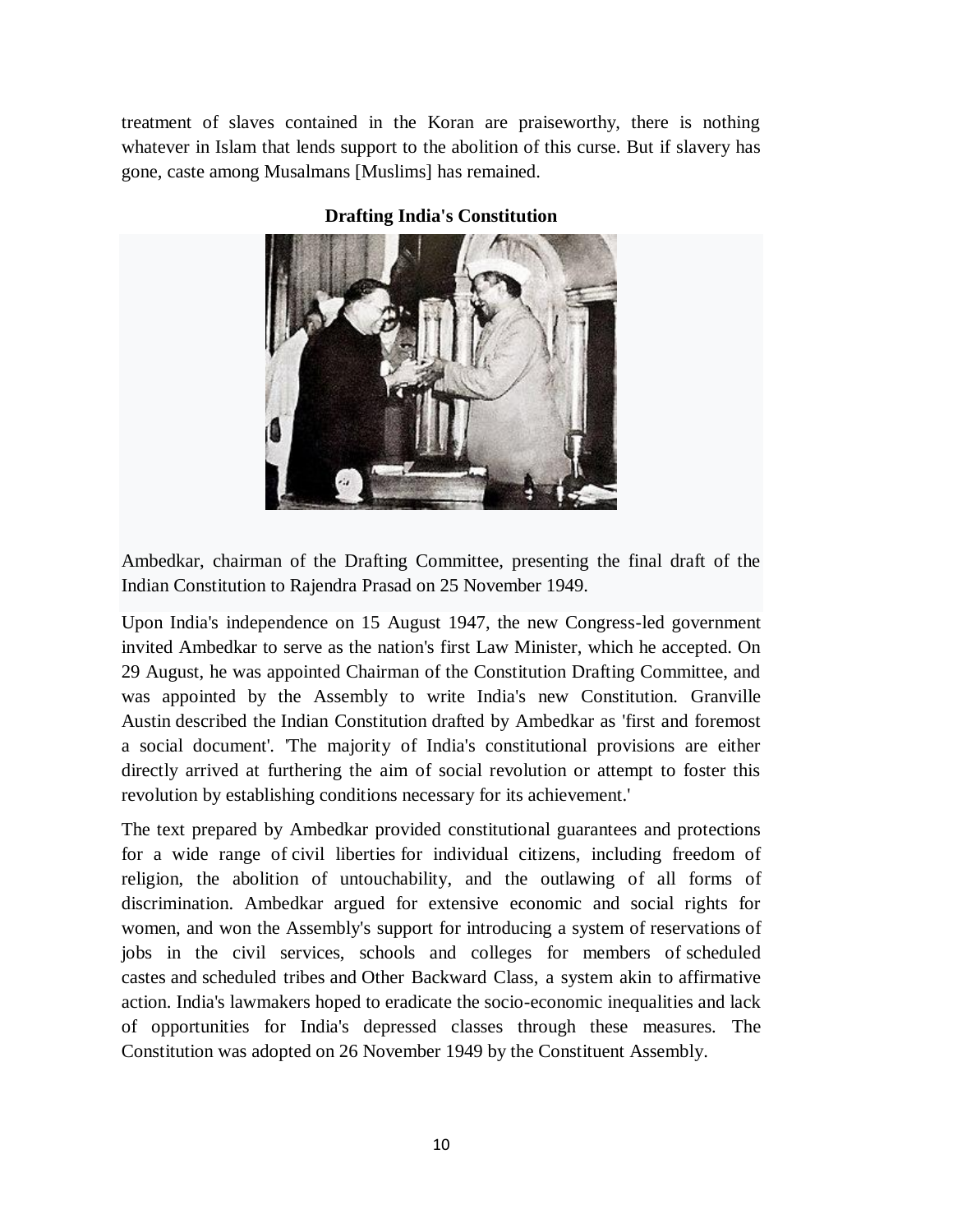original caste that was high enough to have served as a pattern for the rest. But in a theocratic society, who could be the pattern but the servant of God?

44. This completes the story of those that were weak enough to close their doors. Let us now see how others were closed in as a result of being closed out. This I call the mechanistic process of the formation of caste. It is mechanistic because it is inevitable. That this line of approach, as well as the psychological one, to the explanation of the subject has escaped my predecessors is entirely due to the fact that they have conceived caste as a unit by itself and not as one within a System of Caste. The result of this oversight or lack of sight has been very detrimental to the proper understanding of the subject matter and therefore its correct explanation. I will proceed to offer my own explanation by making one remark which I will urge you to bear constantly in mind. It is this : that caste in the singular number is an unreality. Castes exist only in the plural number. There is no such thing as a caste: There are always castes. To illustrate my meaning: while making themselves into a caste, the Brahmins, by virtue of this, created non-Brahmin caste; or, to express it in my own way, while closing themselves in they closed others out. I will clear my point by taking another illustration. Take India as a whole with its various communities designated by the various creeds to which they owe allegiance, to wit, the Hindus, Mohammedans, Jews, Christians and Parsis. Now, barring the Hindus, the rest within themselves are non-caste communities. But with respect to each other they are castes. Again, if the first four enclose themselves, the Parsis are directly closed out, but are indirectly closed in. Symbolically, if Group A wants to be endogamous, Group B has to be so by sheer force of circumstances.

45. Now apply the same logic to the Hindu society and you have another explanation of the "fissiparous" character of caste, as a consequence of the virtue of selfduplication that is inherent in it. Any innovation that seriously antagonises the ethical, religious and social code of the Caste is not likely to be tolerated by the Caste, and the recalcitrant members of a Caste are in danger of being thrown out of the Caste, and left to their own fate without having the alternative of being admitted into or absorbed by other Castes. Caste rules are inexorable and they do not wait to make nice distinctions between kinds of offence. Innovation may be of any kind, but all kinds will suffer the same penalty. A novel way of thinking will create a new Caste for the old ones will not tolerate it. The noxious thinker respectfully called Guru (Prophet) suffers the same fate as the sinners in illegitimate love. The former creates a caste of the nature of a religious sect and the latter a type of mixed caste. Castes have no mercy for a sinner who has the courage to violate the code. The penalty is excommunication and the result is a new caste. It is not peculiar Hindu psychology that induces the excommunicated to form themselves into a caste; far from it. On the contrary, very often they have been quite willing to be humble members of some caste (higher by preference) if they could be admitted within its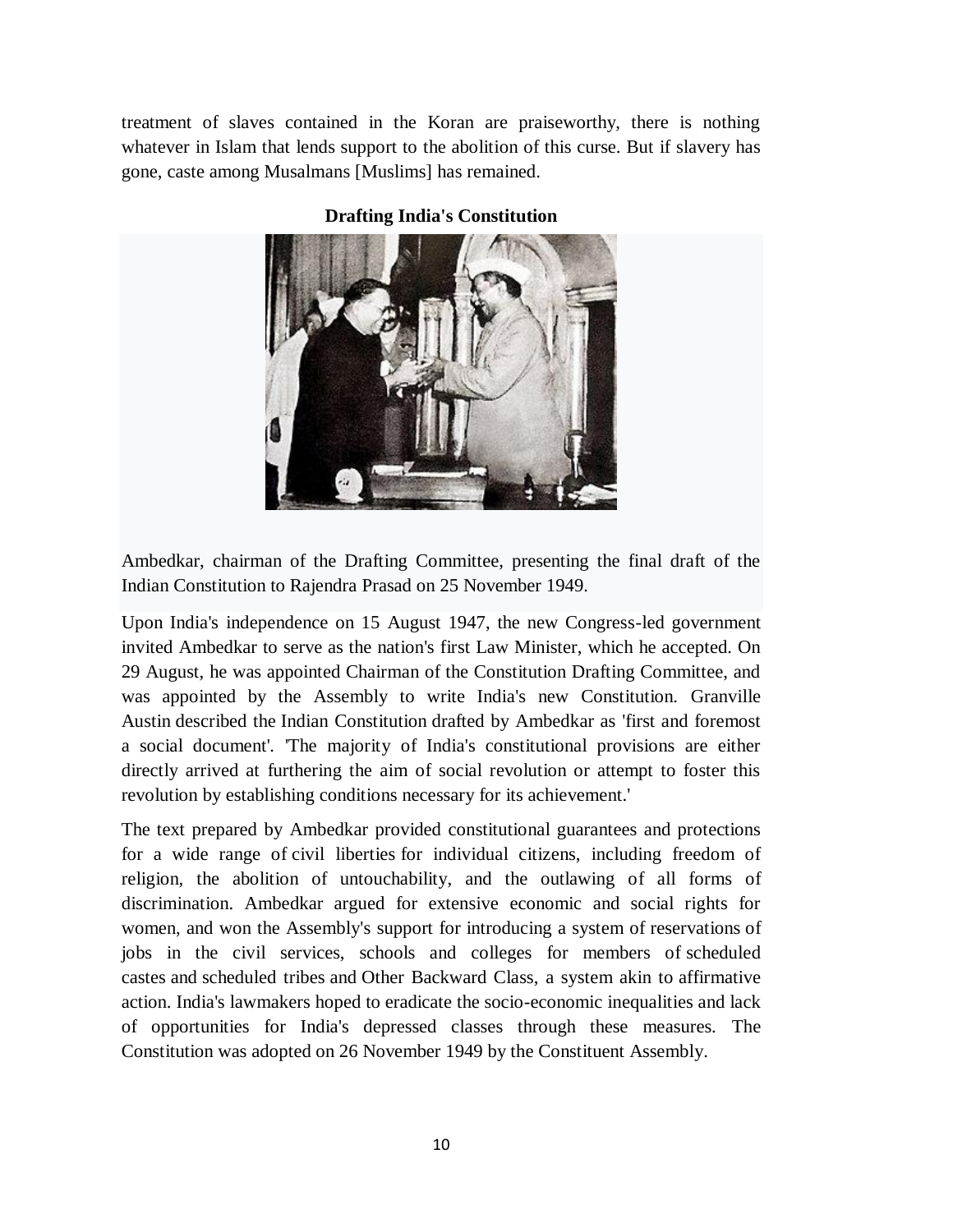fold. But castes are enclosed units and it is their conspiracy with clear conscience that compels the excommunicated to make themselves into a caste. The logic of this obdurate circumstance is merciless, and it is in obedience to its force that some unfortunate groups find themselves enclosed, because others in enclosing, themselves have closed them out, with the result that new groups (formed on any basis obnoxious to the caste rules) by a mechanical law are constantly being converted into castes to a bewildering multiplicity. Thus is told the second tale in the process of Caste formation in India.

46. Now to summarise the main points of my thesis. In my opinion there have been several mistakes committed by the students of Caste, which have misled them in their investigations. European students of Caste have unduly emphasised the role of colour in the Caste system. Themselves impregnated by colour prejudices, they very readily imagined it to be the chief factor in the Caste problem. But nothing can be farther from the truth, and Dr. Ketkar is correct when he insists that "All the princes whether they belonged to the so-called Aryan race, or the so-called Dravidian race, were Aryas. Whether a tribe or a family was racially Aryan or Dravidian was a question which never troubled the people of India, until foreign scholars came in and began to draw the line. The colour of the skin had long ceased to be a matter of importance" (History of Caste, p. 82). Again, they have mistaken mere descriptions for explanation and fought over them as though they were theories of origin. There are occupational, religious etc., castes, it is true, but it is by no means an explanation of the origin of Caste. We have yet to find out why occupational groups are castes; but this question has never even been raised. Lastly they have taken Caste very lightly as though a breath had made it. On the contrary. Caste, as I have explained it, is almost impossible to be sustained: for the difficulties that it involves are tremendous. It is true that Caste rests on belief, but before belief comes to be the foundation of an institution, the institution itself needs to be perpetuated and fortified. My study of the Caste problem involves four main points:

- (1) that in spite of the composite make-up of the Hindu population, there is a deep cultural unity;
- (2) that caste is a parcelling into bits of a larger cultural unit;
- (3) that there was one caste to start with; and
- (4) that classes have become Castes through imitation and excommunication.

47. Peculiar interest attaches to the problem of Caste in India today; as persistent attempts are being made to do away with this unnatural institution. Such attempts at reform, however, have aroused a great deal of controversy regarding its origin, as to whether it is due to the conscious command of a Supreme Authority, or is an unconscious growth in the life of a human society under peculiar circumstances. Those who hold the latter view will, I hope, find some food for thought in the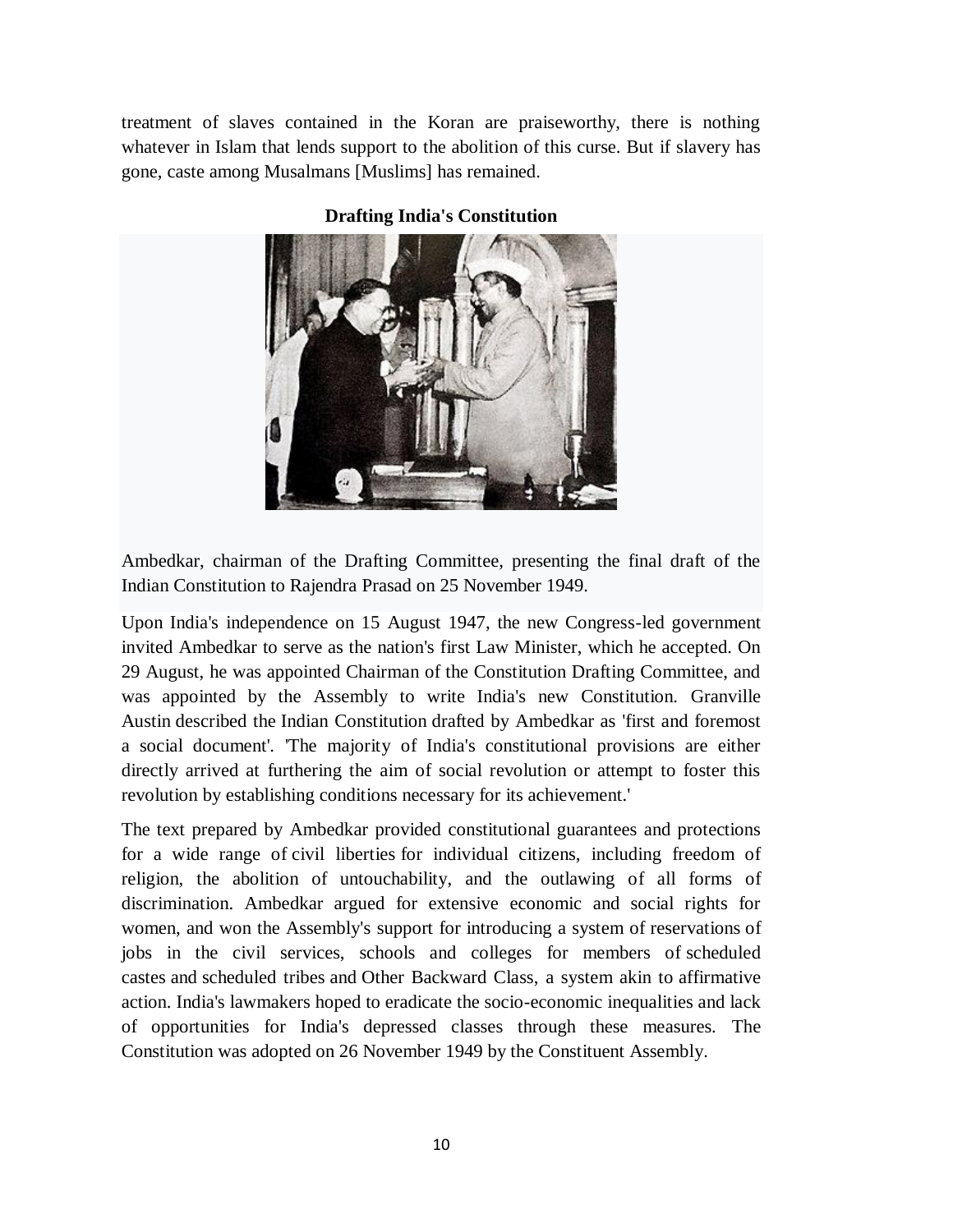standpoint adopted in this paper. Apart from its practical importance the subject of Caste is an all-absorbing problem and the interest aroused in me regarding its theoretic foundations has moved me to put before you some of the conclusions which seem to me well founded, and the grounds upon which they may be supported. I am not, however, so presumptuous as to think them in any way final, or anything more than a contribution to a discussion of the subject. It seems to me that the car has been shunted on wrong lines, and the primary object of the paper is to indicate what I regard to be the right path of investigation, with a view to arrive at a serviceable truth. We must, however, guard against approaching the subject with a bias. Sentiment must be outlawed from the domain of science and things should be judged from an objective standpoint. For myself I shall find as much pleasure in a positive destruction of my own ideology, as in a rational disagreement on a topic, which, notwithstanding many learned disquisitions, is likely to remain controversial forever. To conclude, while I am ambitious to advance a Theory of Caste, if it can be shown to be untenable I shall be equally willing to give it up.

# **2.3 LET'S SUM UP**

Ambedkar himself was instrumental in the establishment of People's Education Society as an alternative agency for education of the depressed classes. A study can be undertaken to exhume the philosophy, aims, functioning and achievement of the People's Education Society with regard to the education of the Dalits and the backward sections of the society.

Ambedkar was a strong advocate of affirmative action for the progress of the downtrodden people. Keeping this in mind the social and educational progress achieved by the Dalits in free India can be studied by using a multiple research design to ascertain the mechanism and effectiveness of implementation of affirmative action in India.

# **2.4 CHECK YOUR PROGRESS**

1) Education is not only a source of power but it is also an instrument of social change. Elucidate

……………………………………………………………………………………… ……………………………………………………………………………………… ……………………………………………………………………………………… ……………………………………………………………………………………… ………………………………………………………………………………………